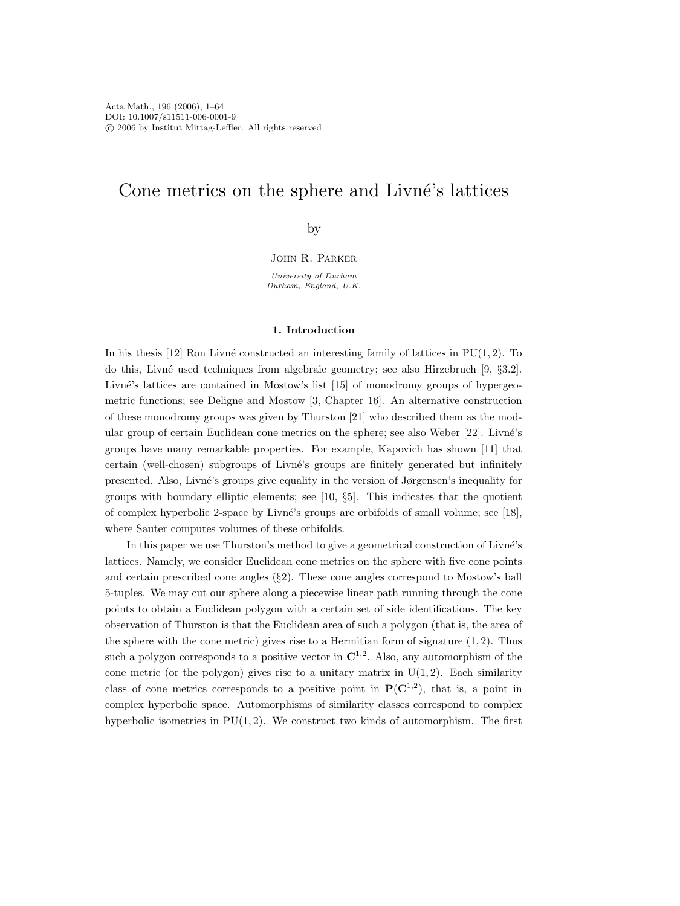# Cone metrics on the sphere and Livné's lattices

by

John R. Parker

University of Durham Durham, England, U.K.

#### **1. Introduction**

In his thesis [12] Ron Livné constructed an interesting family of lattices in  $PU(1, 2)$ . To do this, Livn´e used techniques from algebraic geometry; see also Hirzebruch [9, §3.2]. Livné's lattices are contained in Mostow's list [15] of monodromy groups of hypergeometric functions; see Deligne and Mostow [3, Chapter 16]. An alternative construction of these monodromy groups was given by Thurston [21] who described them as the modular group of certain Euclidean cone metrics on the sphere; see also Weber [22]. Livné's groups have many remarkable properties. For example, Kapovich has shown [11] that certain (well-chosen) subgroups of Livné's groups are finitely generated but infinitely presented. Also, Livn´e's groups give equality in the version of Jørgensen's inequality for groups with boundary elliptic elements; see  $[10, 85]$ . This indicates that the quotient of complex hyperbolic 2-space by Livn´e's groups are orbifolds of small volume; see [18], where Sauter computes volumes of these orbifolds.

In this paper we use Thurston's method to give a geometrical construction of Livné's lattices. Namely, we consider Euclidean cone metrics on the sphere with five cone points and certain prescribed cone angles  $(\S2)$ . These cone angles correspond to Mostow's ball 5-tuples. We may cut our sphere along a piecewise linear path running through the cone points to obtain a Euclidean polygon with a certain set of side identifications. The key observation of Thurston is that the Euclidean area of such a polygon (that is, the area of the sphere with the cone metric) gives rise to a Hermitian form of signature  $(1, 2)$ . Thus such a polygon corresponds to a positive vector in  $\mathbb{C}^{1,2}$ . Also, any automorphism of the cone metric (or the polygon) gives rise to a unitary matrix in  $U(1, 2)$ . Each similarity class of cone metrics corresponds to a positive point in  $P(C^{1,2})$ , that is, a point in complex hyperbolic space. Automorphisms of similarity classes correspond to complex hyperbolic isometries in  $PU(1, 2)$ . We construct two kinds of automorphism. The first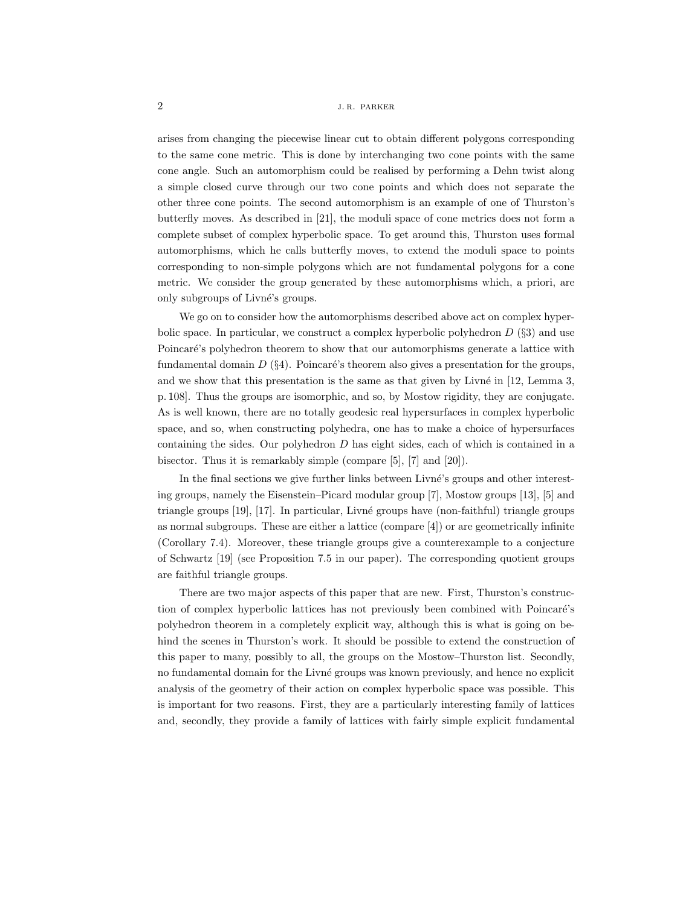arises from changing the piecewise linear cut to obtain different polygons corresponding to the same cone metric. This is done by interchanging two cone points with the same cone angle. Such an automorphism could be realised by performing a Dehn twist along a simple closed curve through our two cone points and which does not separate the other three cone points. The second automorphism is an example of one of Thurston's butterfly moves. As described in [21], the moduli space of cone metrics does not form a complete subset of complex hyperbolic space. To get around this, Thurston uses formal automorphisms, which he calls butterfly moves, to extend the moduli space to points corresponding to non-simple polygons which are not fundamental polygons for a cone metric. We consider the group generated by these automorphisms which, a priori, are only subgroups of Livné's groups.

We go on to consider how the automorphisms described above act on complex hyperbolic space. In particular, we construct a complex hyperbolic polyhedron  $D$  (§3) and use Poincaré's polyhedron theorem to show that our automorphisms generate a lattice with fundamental domain  $D(\S 4)$ . Poincaré's theorem also gives a presentation for the groups, and we show that this presentation is the same as that given by Livné in  $[12, \text{Lemma 3},$ p. 108]. Thus the groups are isomorphic, and so, by Mostow rigidity, they are conjugate. As is well known, there are no totally geodesic real hypersurfaces in complex hyperbolic space, and so, when constructing polyhedra, one has to make a choice of hypersurfaces containing the sides. Our polyhedron  $D$  has eight sides, each of which is contained in a bisector. Thus it is remarkably simple (compare [5], [7] and [20]).

In the final sections we give further links between Livné's groups and other interesting groups, namely the Eisenstein–Picard modular group [7], Mostow groups [13], [5] and triangle groups [19], [17]. In particular, Livn´e groups have (non-faithful) triangle groups as normal subgroups. These are either a lattice (compare [4]) or are geometrically infinite (Corollary 7.4). Moreover, these triangle groups give a counterexample to a conjecture of Schwartz [19] (see Proposition 7.5 in our paper). The corresponding quotient groups are faithful triangle groups.

There are two major aspects of this paper that are new. First, Thurston's construction of complex hyperbolic lattices has not previously been combined with Poincaré's polyhedron theorem in a completely explicit way, although this is what is going on behind the scenes in Thurston's work. It should be possible to extend the construction of this paper to many, possibly to all, the groups on the Mostow–Thurston list. Secondly, no fundamental domain for the Livné groups was known previously, and hence no explicit analysis of the geometry of their action on complex hyperbolic space was possible. This is important for two reasons. First, they are a particularly interesting family of lattices and, secondly, they provide a family of lattices with fairly simple explicit fundamental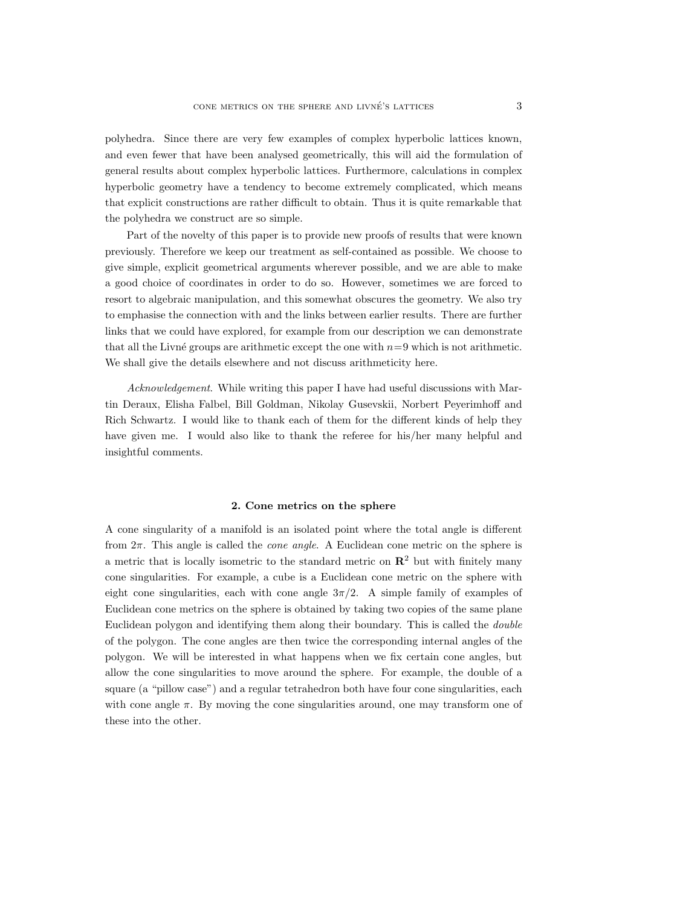polyhedra. Since there are very few examples of complex hyperbolic lattices known, and even fewer that have been analysed geometrically, this will aid the formulation of general results about complex hyperbolic lattices. Furthermore, calculations in complex hyperbolic geometry have a tendency to become extremely complicated, which means that explicit constructions are rather difficult to obtain. Thus it is quite remarkable that the polyhedra we construct are so simple.

Part of the novelty of this paper is to provide new proofs of results that were known previously. Therefore we keep our treatment as self-contained as possible. We choose to give simple, explicit geometrical arguments wherever possible, and we are able to make a good choice of coordinates in order to do so. However, sometimes we are forced to resort to algebraic manipulation, and this somewhat obscures the geometry. We also try to emphasise the connection with and the links between earlier results. There are further links that we could have explored, for example from our description we can demonstrate that all the Livné groups are arithmetic except the one with  $n=9$  which is not arithmetic. We shall give the details elsewhere and not discuss arithmeticity here.

*Acknowledgement*. While writing this paper I have had useful discussions with Martin Deraux, Elisha Falbel, Bill Goldman, Nikolay Gusevskii, Norbert Peyerimhoff and Rich Schwartz. I would like to thank each of them for the different kinds of help they have given me. I would also like to thank the referee for his/her many helpful and insightful comments.

#### **2. Cone metrics on the sphere**

A cone singularity of a manifold is an isolated point where the total angle is different from 2π. This angle is called the *cone angle*. A Euclidean cone metric on the sphere is a metric that is locally isometric to the standard metric on  $\mathbb{R}^2$  but with finitely many cone singularities. For example, a cube is a Euclidean cone metric on the sphere with eight cone singularities, each with cone angle  $3\pi/2$ . A simple family of examples of Euclidean cone metrics on the sphere is obtained by taking two copies of the same plane Euclidean polygon and identifying them along their boundary. This is called the *double* of the polygon. The cone angles are then twice the corresponding internal angles of the polygon. We will be interested in what happens when we fix certain cone angles, but allow the cone singularities to move around the sphere. For example, the double of a square (a "pillow case") and a regular tetrahedron both have four cone singularities, each with cone angle  $\pi$ . By moving the cone singularities around, one may transform one of these into the other.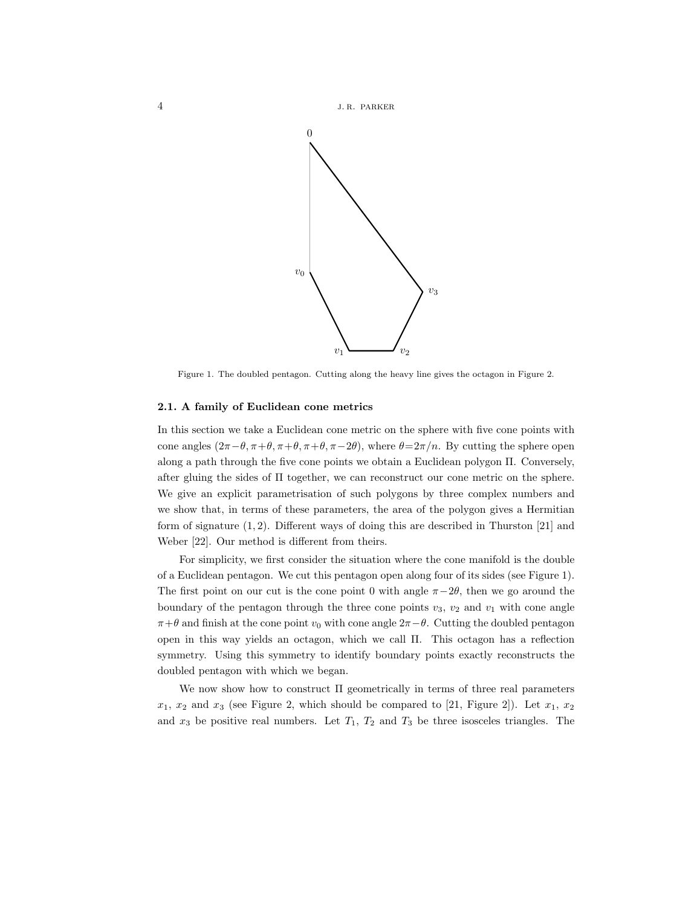



Figure 1. The doubled pentagon. Cutting along the heavy line gives the octagon in Figure 2.

#### **2.1. A family of Euclidean cone metrics**

In this section we take a Euclidean cone metric on the sphere with five cone points with cone angles  $(2\pi - \theta, \pi + \theta, \pi + \theta, \pi - 2\theta)$ , where  $\theta = 2\pi/n$ . By cutting the sphere open along a path through the five cone points we obtain a Euclidean polygon Π. Conversely, after gluing the sides of Π together, we can reconstruct our cone metric on the sphere. We give an explicit parametrisation of such polygons by three complex numbers and we show that, in terms of these parameters, the area of the polygon gives a Hermitian form of signature  $(1, 2)$ . Different ways of doing this are described in Thurston [21] and Weber [22]. Our method is different from theirs.

For simplicity, we first consider the situation where the cone manifold is the double of a Euclidean pentagon. We cut this pentagon open along four of its sides (see Figure 1). The first point on our cut is the cone point 0 with angle  $\pi-2\theta$ , then we go around the boundary of the pentagon through the three cone points  $v_3$ ,  $v_2$  and  $v_1$  with cone angle  $\pi + \theta$  and finish at the cone point  $v_0$  with cone angle  $2\pi - \theta$ . Cutting the doubled pentagon open in this way yields an octagon, which we call Π. This octagon has a reflection symmetry. Using this symmetry to identify boundary points exactly reconstructs the doubled pentagon with which we began.

We now show how to construct Π geometrically in terms of three real parameters  $x_1, x_2$  and  $x_3$  (see Figure 2, which should be compared to [21, Figure 2]). Let  $x_1, x_2$ and  $x_3$  be positive real numbers. Let  $T_1$ ,  $T_2$  and  $T_3$  be three isosceles triangles. The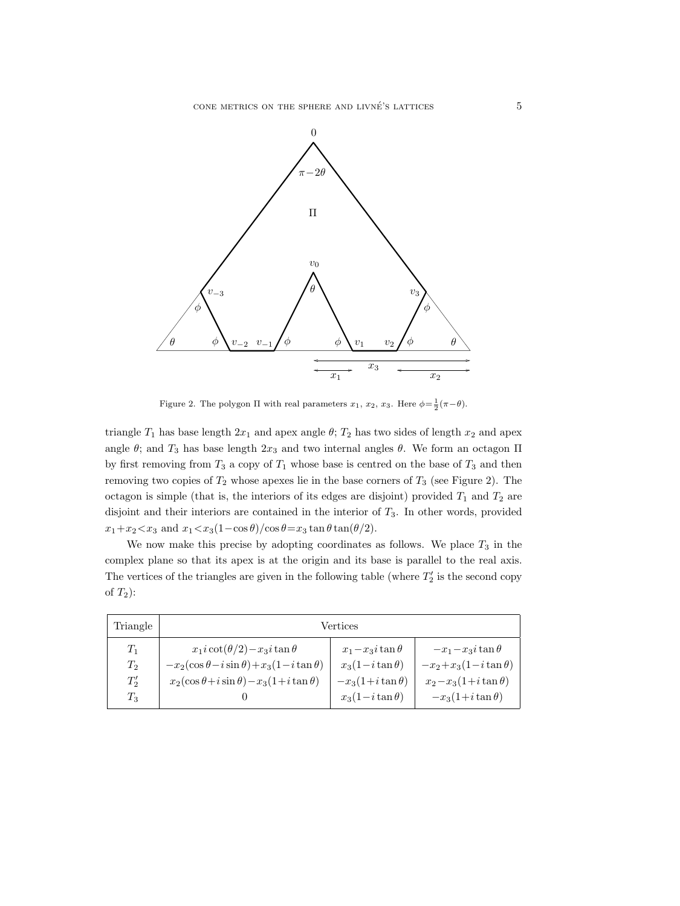

Figure 2. The polygon  $\Pi$  with real parameters  $x_1, x_2, x_3$ . Here  $\phi = \frac{1}{2}(\pi - \theta)$ .

triangle  $T_1$  has base length  $2x_1$  and apex angle  $\theta$ ;  $T_2$  has two sides of length  $x_2$  and apex angle  $\theta$ ; and  $T_3$  has base length  $2x_3$  and two internal angles  $\theta$ . We form an octagon  $\Pi$ by first removing from  $T_3$  a copy of  $T_1$  whose base is centred on the base of  $T_3$  and then removing two copies of  $T_2$  whose apexes lie in the base corners of  $T_3$  (see Figure 2). The octagon is simple (that is, the interiors of its edges are disjoint) provided  $T_1$  and  $T_2$  are disjoint and their interiors are contained in the interior of  $T_3$ . In other words, provided  $x_1+x_2 \lt x_3$  and  $x_1 \lt x_3(1-\cos\theta)/\cos\theta = x_3 \tan\theta \tan(\theta/2)$ .

We now make this precise by adopting coordinates as follows. We place  $T_3$  in the complex plane so that its apex is at the origin and its base is parallel to the real axis. The vertices of the triangles are given in the following table (where  $T_2'$  is the second copy of  $T_2$ :

| Triangle | Vertices                                              |                       |                           |  |  |  |  |
|----------|-------------------------------------------------------|-----------------------|---------------------------|--|--|--|--|
| $T_1$    | $x_1 i \cot(\theta/2) - x_3 i \tan \theta$            | $x_1-x_3i\tan\theta$  | $-x_1-x_3i\tan\theta$     |  |  |  |  |
| $T_2$    | $-x_2(\cos\theta - i\sin\theta) + x_3(1-i\tan\theta)$ | $x_3(1-i\tan\theta)$  | $-x_2+x_3(1-i\tan\theta)$ |  |  |  |  |
| $T_2'$   | $x_2(\cos\theta + i\sin\theta) - x_3(1+i\tan\theta)$  | $-x_3(1+i\tan\theta)$ | $x_2-x_3(1+i\tan\theta)$  |  |  |  |  |
| $T_3$    |                                                       | $x_3(1-i\tan\theta)$  | $-x_3(1+i\tan\theta)$     |  |  |  |  |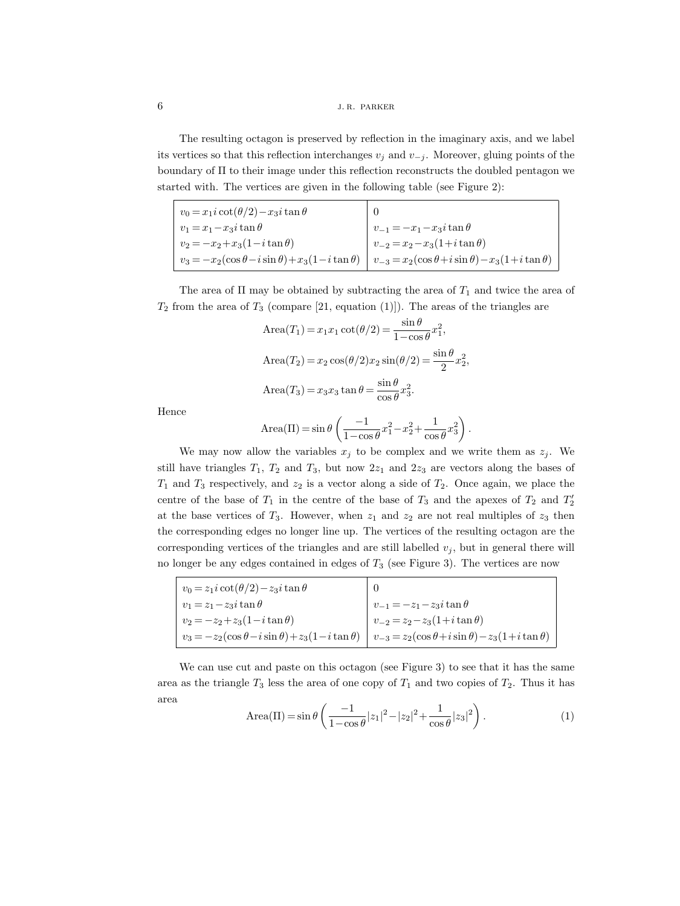# **6 j. r.** parker

The resulting octagon is preserved by reflection in the imaginary axis, and we label its vertices so that this reflection interchanges  $v_j$  and  $v_{-j}$ . Moreover, gluing points of the boundary of Π to their image under this reflection reconstructs the doubled pentagon we started with. The vertices are given in the following table (see Figure 2):

| $v_0 = x_1 i \cot(\theta/2) - x_3 i \tan \theta$              |                                                               |
|---------------------------------------------------------------|---------------------------------------------------------------|
| $v_1 = x_1 - x_3i \tan \theta$                                | $v_{-1} = -x_1 - x_3 i \tan \theta$                           |
| $v_2 = -x_2 + x_3(1 - i \tan \theta)$                         | $v_{-2} = x_2 - x_3(1 + i \tan \theta)$                       |
| $v_3 = -x_2(\cos\theta - i\sin\theta) + x_3(1 - i\tan\theta)$ | $v_{-3} = x_2(\cos\theta + i\sin\theta) - x_3(1+i\tan\theta)$ |

The area of  $\Pi$  may be obtained by subtracting the area of  $T_1$  and twice the area of  $T_2$  from the area of  $T_3$  (compare [21, equation (1)]). The areas of the triangles are

Area
$$
(T_1)
$$
 =  $x_1x_1 \cot(\theta/2) = \frac{\sin \theta}{1 - \cos \theta} x_1^2$ ,  
\nArea $(T_2)$  =  $x_2 \cos(\theta/2) x_2 \sin(\theta/2) = \frac{\sin \theta}{2} x_2^2$ ,  
\nArea $(T_3)$  =  $x_3x_3 \tan \theta = \frac{\sin \theta}{\cos \theta} x_3^2$ .

Hence

Area(II) = sin 
$$
\theta
$$
  $\left( \frac{-1}{1 - \cos \theta} x_1^2 - x_2^2 + \frac{1}{\cos \theta} x_3^2 \right)$ 

.

We may now allow the variables  $x_j$  to be complex and we write them as  $z_j$ . We still have triangles  $T_1$ ,  $T_2$  and  $T_3$ , but now  $2z_1$  and  $2z_3$  are vectors along the bases of  $T_1$  and  $T_3$  respectively, and  $z_2$  is a vector along a side of  $T_2$ . Once again, we place the centre of the base of  $T_1$  in the centre of the base of  $T_3$  and the apexes of  $T_2$  and  $T_2'$ at the base vertices of  $T_3$ . However, when  $z_1$  and  $z_2$  are not real multiples of  $z_3$  then the corresponding edges no longer line up. The vertices of the resulting octagon are the corresponding vertices of the triangles and are still labelled  $v_j$ , but in general there will no longer be any edges contained in edges of  $T_3$  (see Figure 3). The vertices are now

| $v_0 = z_1 i \cot(\theta/2) - z_3 i \tan \theta$              |                                                               |
|---------------------------------------------------------------|---------------------------------------------------------------|
| $v_1 = z_1 - z_3i \tan \theta$                                | $v_{-1} = -z_1 - z_3 i \tan \theta$                           |
| $v_2 = -z_2 + z_3(1 - i \tan \theta)$                         | $v_{-2} = z_2 - z_3(1+i\tan\theta)$                           |
| $v_3 = -z_2(\cos\theta - i\sin\theta) + z_3(1 - i\tan\theta)$ | $v_{-3} = z_2(\cos\theta + i\sin\theta) - z_3(1+i\tan\theta)$ |

We can use cut and paste on this octagon (see Figure 3) to see that it has the same area as the triangle  $T_3$  less the area of one copy of  $T_1$  and two copies of  $T_2$ . Thus it has area

Area(II) = sin 
$$
\theta
$$
  $\left( \frac{-1}{1 - \cos \theta} |z_1|^2 - |z_2|^2 + \frac{1}{\cos \theta} |z_3|^2 \right)$ . (1)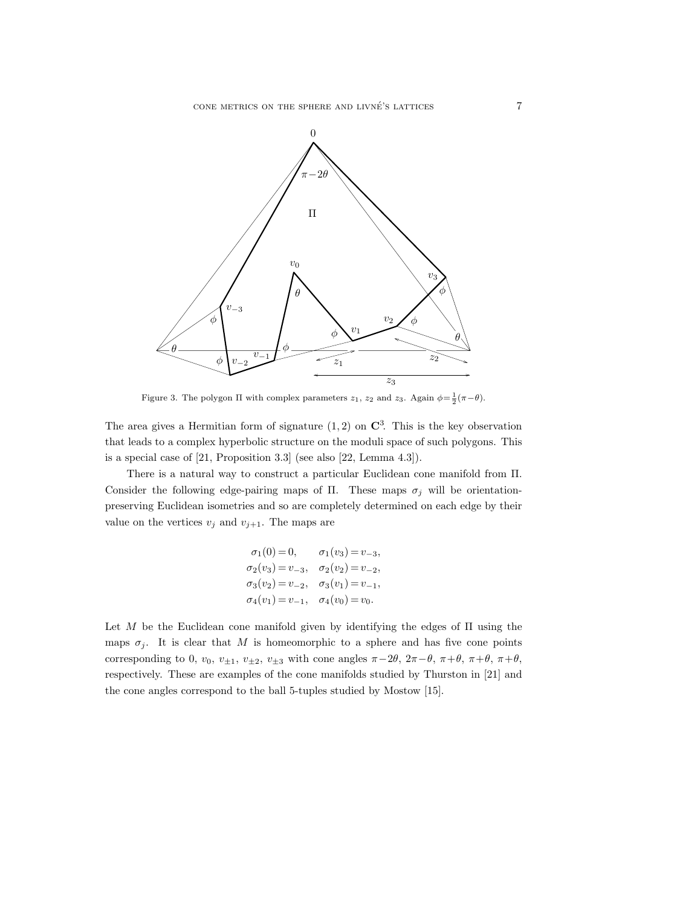

Figure 3. The polygon  $\Pi$  with complex parameters  $z_1$ ,  $z_2$  and  $z_3$ . Again  $\phi = \frac{1}{2}(\pi - \theta)$ .

The area gives a Hermitian form of signature  $(1, 2)$  on  $\mathbb{C}^3$ . This is the key observation that leads to a complex hyperbolic structure on the moduli space of such polygons. This is a special case of [21, Proposition 3.3] (see also [22, Lemma 4.3]).

There is a natural way to construct a particular Euclidean cone manifold from Π. Consider the following edge-pairing maps of Π. These maps  $\sigma_j$  will be orientationpreserving Euclidean isometries and so are completely determined on each edge by their value on the vertices  $v_j$  and  $v_{j+1}$ . The maps are

$$
\sigma_1(0) = 0, \qquad \sigma_1(v_3) = v_{-3},
$$
  
\n
$$
\sigma_2(v_3) = v_{-3}, \qquad \sigma_2(v_2) = v_{-2},
$$
  
\n
$$
\sigma_3(v_2) = v_{-2}, \qquad \sigma_3(v_1) = v_{-1},
$$
  
\n
$$
\sigma_4(v_1) = v_{-1}, \qquad \sigma_4(v_0) = v_0.
$$

Let  $M$  be the Euclidean cone manifold given by identifying the edges of  $\Pi$  using the maps  $\sigma_j$ . It is clear that M is homeomorphic to a sphere and has five cone points corresponding to 0,  $v_0$ ,  $v_{\pm 1}$ ,  $v_{\pm 2}$ ,  $v_{\pm 3}$  with cone angles  $\pi-2\theta$ ,  $2\pi-\theta$ ,  $\pi+\theta$ ,  $\pi+\theta$ ,  $\pi+\theta$ , respectively. These are examples of the cone manifolds studied by Thurston in [21] and the cone angles correspond to the ball 5-tuples studied by Mostow [15].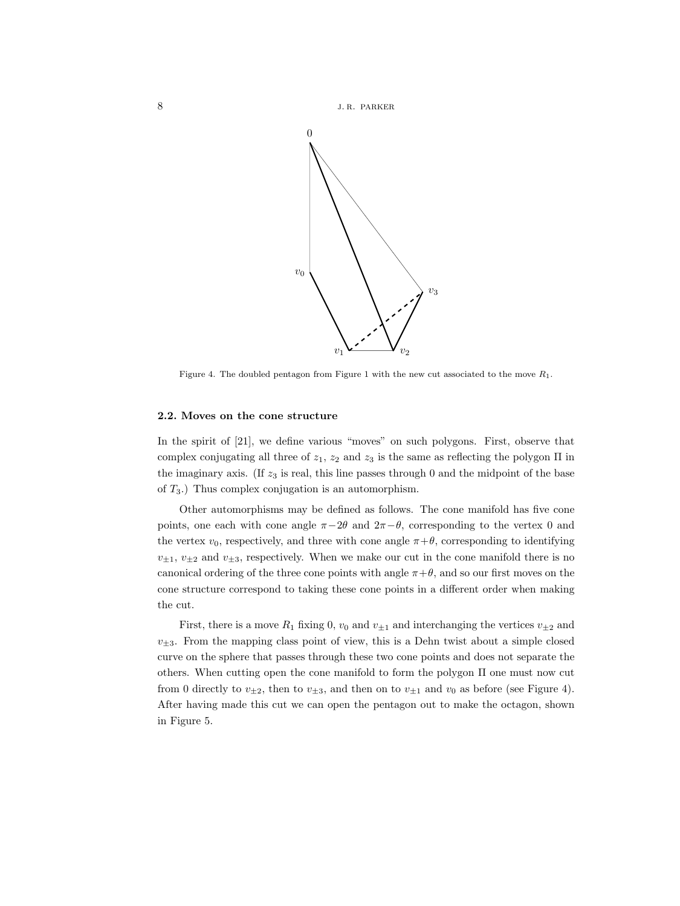

Figure 4. The doubled pentagon from Figure 1 with the new cut associated to the move  $R_1$ .

#### **2.2. Moves on the cone structure**

In the spirit of [21], we define various "moves" on such polygons. First, observe that complex conjugating all three of  $z_1$ ,  $z_2$  and  $z_3$  is the same as reflecting the polygon  $\Pi$  in the imaginary axis. (If  $z_3$  is real, this line passes through 0 and the midpoint of the base of  $T_3$ .) Thus complex conjugation is an automorphism.

Other automorphisms may be defined as follows. The cone manifold has five cone points, one each with cone angle  $\pi-2\theta$  and  $2\pi-\theta$ , corresponding to the vertex 0 and the vertex  $v_0$ , respectively, and three with cone angle  $\pi + \theta$ , corresponding to identifying  $v_{\pm1}, v_{\pm2}$  and  $v_{\pm3}$ , respectively. When we make our cut in the cone manifold there is no canonical ordering of the three cone points with angle  $\pi + \theta$ , and so our first moves on the cone structure correspond to taking these cone points in a different order when making the cut.

First, there is a move  $R_1$  fixing 0,  $v_0$  and  $v_{\pm 1}$  and interchanging the vertices  $v_{\pm 2}$  and  $v_{\pm 3}$ . From the mapping class point of view, this is a Dehn twist about a simple closed curve on the sphere that passes through these two cone points and does not separate the others. When cutting open the cone manifold to form the polygon Π one must now cut from 0 directly to  $v_{\pm 2}$ , then to  $v_{\pm 3}$ , and then on to  $v_{\pm 1}$  and  $v_0$  as before (see Figure 4). After having made this cut we can open the pentagon out to make the octagon, shown in Figure 5.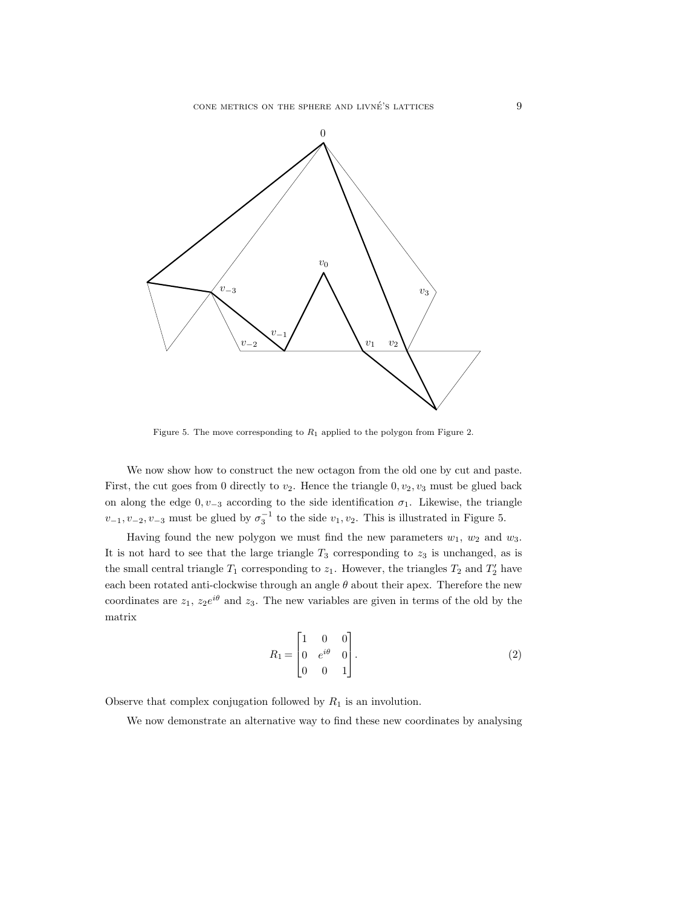

Figure 5. The move corresponding to  $R_1$  applied to the polygon from Figure 2.

We now show how to construct the new octagon from the old one by cut and paste. First, the cut goes from 0 directly to  $v_2$ . Hence the triangle 0,  $v_2$ ,  $v_3$  must be glued back on along the edge  $0, v_{-3}$  according to the side identification  $\sigma_1$ . Likewise, the triangle  $v_{-1}, v_{-2}, v_{-3}$  must be glued by  $\sigma_3^{-1}$  to the side  $v_1, v_2$ . This is illustrated in Figure 5.

Having found the new polygon we must find the new parameters  $w_1, w_2$  and  $w_3$ . It is not hard to see that the large triangle  $T_3$  corresponding to  $z_3$  is unchanged, as is the small central triangle  $T_1$  corresponding to  $z_1$ . However, the triangles  $T_2$  and  $T_2'$  have each been rotated anti-clockwise through an angle  $\theta$  about their apex. Therefore the new coordinates are  $z_1$ ,  $z_2e^{i\theta}$  and  $z_3$ . The new variables are given in terms of the old by the matrix

$$
R_1 = \begin{bmatrix} 1 & 0 & 0 \\ 0 & e^{i\theta} & 0 \\ 0 & 0 & 1 \end{bmatrix}.
$$
 (2)

Observe that complex conjugation followed by  $R_1$  is an involution.

We now demonstrate an alternative way to find these new coordinates by analysing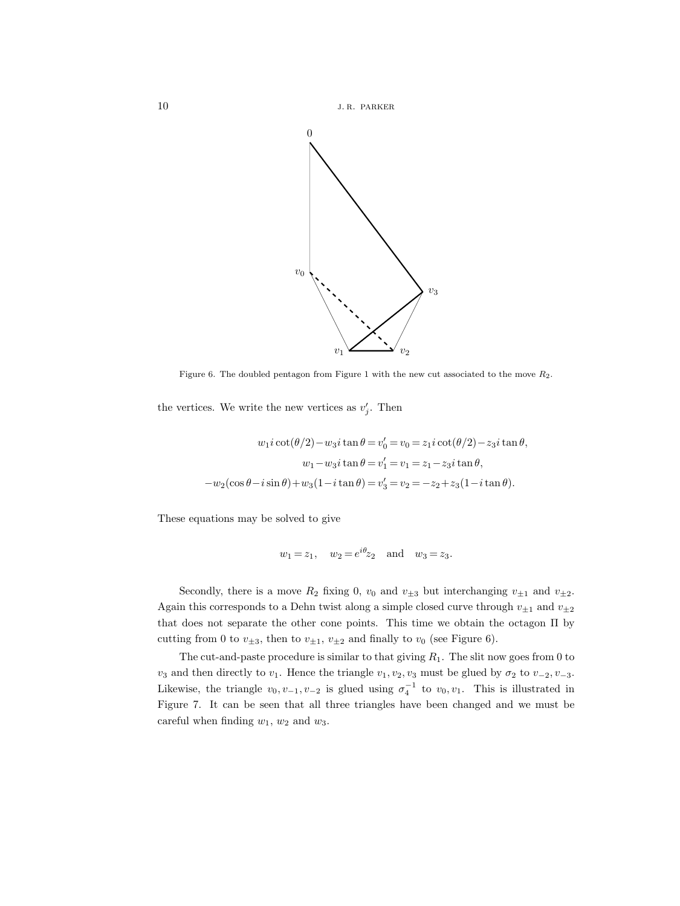



Figure 6. The doubled pentagon from Figure 1 with the new cut associated to the move  $R_2$ .

the vertices. We write the new vertices as  $v'_i$ . Then

$$
w_1 i \cot(\theta/2) - w_3 i \tan \theta = v'_0 = v_0 = z_1 i \cot(\theta/2) - z_3 i \tan \theta,
$$
  

$$
w_1 - w_3 i \tan \theta = v'_1 = v_1 = z_1 - z_3 i \tan \theta,
$$
  

$$
-w_2 (\cos \theta - i \sin \theta) + w_3 (1 - i \tan \theta) = v'_3 = v_2 = -z_2 + z_3 (1 - i \tan \theta).
$$

These equations may be solved to give

$$
w_1 = z_1, \quad w_2 = e^{i\theta} z_2 \quad \text{and} \quad w_3 = z_3.
$$

Secondly, there is a move  $R_2$  fixing 0,  $v_0$  and  $v_{\pm 3}$  but interchanging  $v_{\pm 1}$  and  $v_{\pm 2}$ . Again this corresponds to a Dehn twist along a simple closed curve through  $v_{\pm 1}$  and  $v_{\pm 2}$ that does not separate the other cone points. This time we obtain the octagon Π by cutting from 0 to  $v_{\pm 3}$ , then to  $v_{\pm 1}$ ,  $v_{\pm 2}$  and finally to  $v_0$  (see Figure 6).

The cut-and-paste procedure is similar to that giving  $R_1$ . The slit now goes from 0 to  $v_3$  and then directly to  $v_1$ . Hence the triangle  $v_1, v_2, v_3$  must be glued by  $\sigma_2$  to  $v_{-2}, v_{-3}$ . Likewise, the triangle  $v_0, v_{-1}, v_{-2}$  is glued using  $\sigma_4^{-1}$  to  $v_0, v_1$ . This is illustrated in Figure 7. It can be seen that all three triangles have been changed and we must be careful when finding  $w_1$ ,  $w_2$  and  $w_3$ .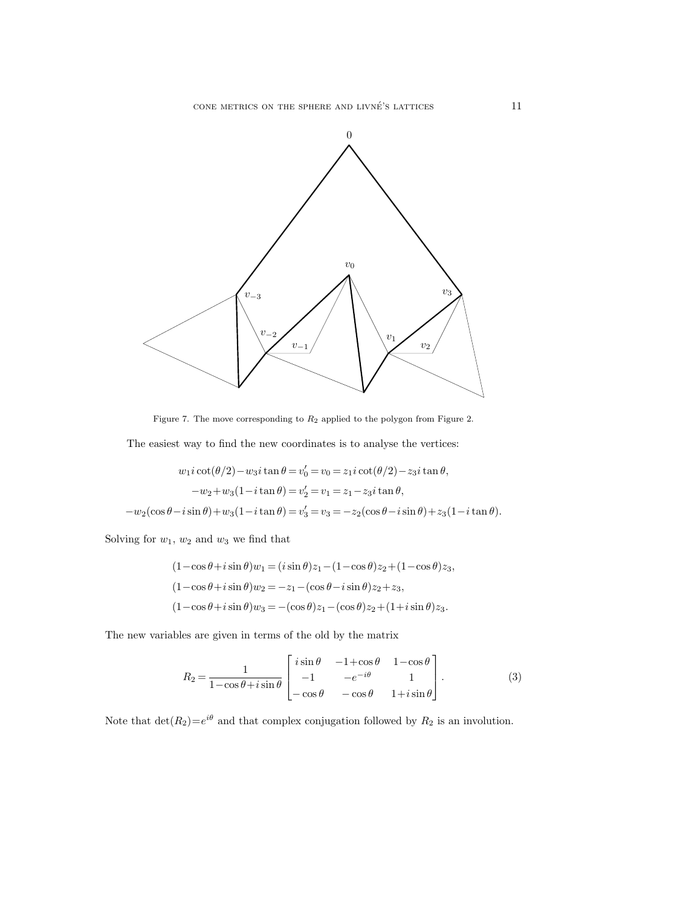

Figure 7. The move corresponding to  $R_2$  applied to the polygon from Figure 2.

The easiest way to find the new coordinates is to analyse the vertices:

$$
w_1 i \cot(\theta/2) - w_3 i \tan \theta = v'_0 = v_0 = z_1 i \cot(\theta/2) - z_3 i \tan \theta,
$$
  
\n
$$
-w_2 + w_3 (1 - i \tan \theta) = v'_2 = v_1 = z_1 - z_3 i \tan \theta,
$$
  
\n
$$
-w_2 (\cos \theta - i \sin \theta) + w_3 (1 - i \tan \theta) = v'_3 = v_3 = -z_2 (\cos \theta - i \sin \theta) + z_3 (1 - i \tan \theta).
$$

Solving for  $w_1, w_2$  and  $w_3$  we find that

$$
(1 - \cos \theta + i \sin \theta)w_1 = (i \sin \theta)z_1 - (1 - \cos \theta)z_2 + (1 - \cos \theta)z_3,
$$
  
\n
$$
(1 - \cos \theta + i \sin \theta)w_2 = -z_1 - (\cos \theta - i \sin \theta)z_2 + z_3,
$$
  
\n
$$
(1 - \cos \theta + i \sin \theta)w_3 = -(\cos \theta)z_1 - (\cos \theta)z_2 + (1 + i \sin \theta)z_3.
$$

The new variables are given in terms of the old by the matrix

$$
R_2 = \frac{1}{1 - \cos\theta + i\sin\theta} \begin{bmatrix} i\sin\theta & -1 + \cos\theta & 1 - \cos\theta \\ -1 & -e^{-i\theta} & 1 \\ -\cos\theta & -\cos\theta & 1 + i\sin\theta \end{bmatrix}.
$$
 (3)

Note that  $\det(R_2)=e^{i\theta}$  and that complex conjugation followed by  $R_2$  is an involution.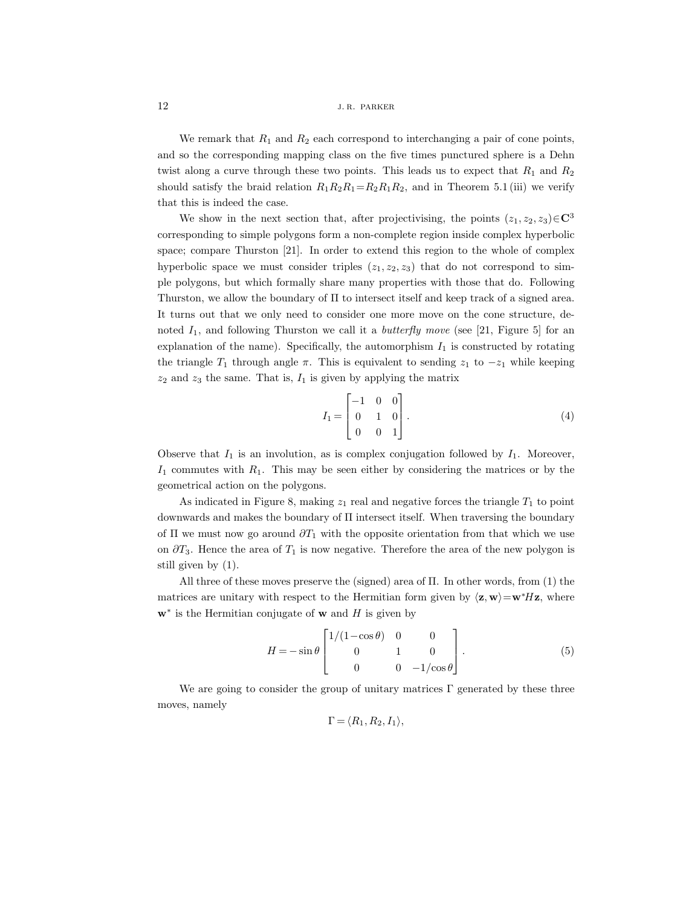We remark that  $R_1$  and  $R_2$  each correspond to interchanging a pair of cone points, and so the corresponding mapping class on the five times punctured sphere is a Dehn twist along a curve through these two points. This leads us to expect that  $R_1$  and  $R_2$ should satisfy the braid relation  $R_1R_2R_1=R_2R_1R_2$ , and in Theorem 5.1 (iii) we verify that this is indeed the case.

We show in the next section that, after projectivising, the points  $(z_1, z_2, z_3) \in \mathbb{C}^3$ corresponding to simple polygons form a non-complete region inside complex hyperbolic space; compare Thurston [21]. In order to extend this region to the whole of complex hyperbolic space we must consider triples  $(z_1, z_2, z_3)$  that do not correspond to simple polygons, but which formally share many properties with those that do. Following Thurston, we allow the boundary of Π to intersect itself and keep track of a signed area. It turns out that we only need to consider one more move on the cone structure, denoted  $I_1$ , and following Thurston we call it a *butterfly move* (see [21, Figure 5] for an explanation of the name). Specifically, the automorphism  $I_1$  is constructed by rotating the triangle  $T_1$  through angle  $\pi$ . This is equivalent to sending  $z_1$  to  $-z_1$  while keeping  $z_2$  and  $z_3$  the same. That is,  $I_1$  is given by applying the matrix

$$
I_1 = \begin{bmatrix} -1 & 0 & 0 \\ 0 & 1 & 0 \\ 0 & 0 & 1 \end{bmatrix} . \tag{4}
$$

Observe that  $I_1$  is an involution, as is complex conjugation followed by  $I_1$ . Moreover,  $I_1$  commutes with  $R_1$ . This may be seen either by considering the matrices or by the geometrical action on the polygons.

As indicated in Figure 8, making  $z_1$  real and negative forces the triangle  $T_1$  to point downwards and makes the boundary of Π intersect itself. When traversing the boundary of  $\Pi$  we must now go around  $\partial T_1$  with the opposite orientation from that which we use on  $\partial T_3$ . Hence the area of  $T_1$  is now negative. Therefore the area of the new polygon is still given by (1).

All three of these moves preserve the (signed) area of  $\Pi$ . In other words, from (1) the matrices are unitary with respect to the Hermitian form given by  $\langle \mathbf{z}, \mathbf{w} \rangle = \mathbf{w}^* H \mathbf{z}$ , where **w**<sup>∗</sup> is the Hermitian conjugate of **w** and H is given by

$$
H = -\sin\theta \begin{bmatrix} 1/(1-\cos\theta) & 0 & 0 \\ 0 & 1 & 0 \\ 0 & 0 & -1/\cos\theta \end{bmatrix}.
$$
 (5)

We are going to consider the group of unitary matrices  $\Gamma$  generated by these three moves, namely

$$
\Gamma = \langle R_1, R_2, I_1 \rangle,
$$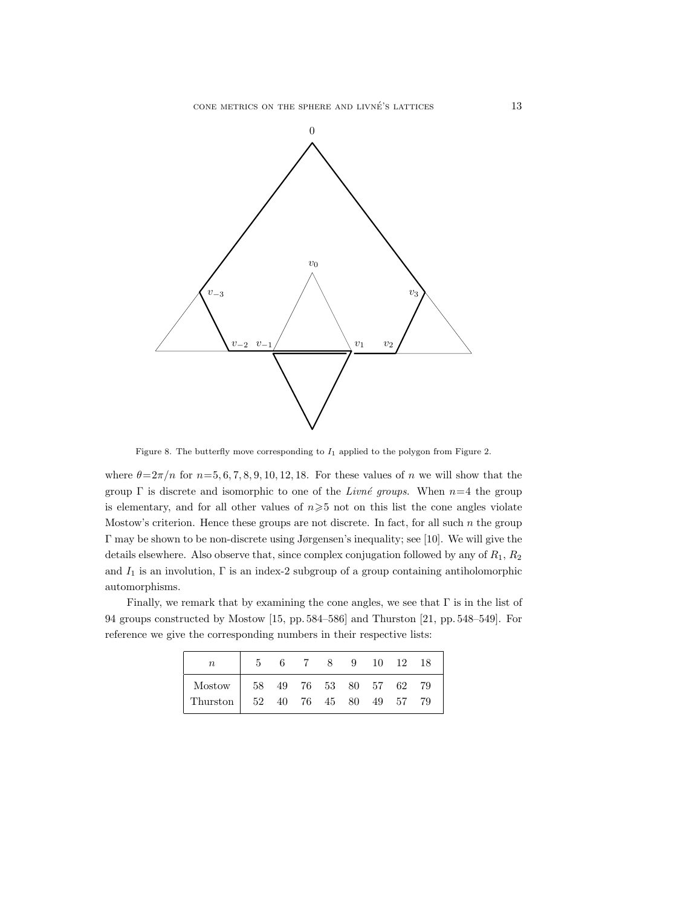

Figure 8. The butterfly move corresponding to  $I_1$  applied to the polygon from Figure 2.

where  $\theta = 2\pi/n$  for  $n=5, 6, 7, 8, 9, 10, 12, 18$ . For these values of n we will show that the group  $\Gamma$  is discrete and isomorphic to one of the *Livné groups*. When  $n=4$  the group is elementary, and for all other values of  $n\geqslant 5$  not on this list the cone angles violate Mostow's criterion. Hence these groups are not discrete. In fact, for all such  $n$  the group Γ may be shown to be non-discrete using Jørgensen's inequality; see [10]. We will give the details elsewhere. Also observe that, since complex conjugation followed by any of  $R_1$ ,  $R_2$ and  $I_1$  is an involution,  $\Gamma$  is an index-2 subgroup of a group containing antiholomorphic automorphisms.

Finally, we remark that by examining the cone angles, we see that  $\Gamma$  is in the list of 94 groups constructed by Mostow [15, pp. 584–586] and Thurston [21, pp. 548–549]. For reference we give the corresponding numbers in their respective lists:

| $\it{n}$                           | -5                                                                              | 6 |  | 8 9 10 12 18 |  |  |
|------------------------------------|---------------------------------------------------------------------------------|---|--|--------------|--|--|
| Mostow                             | $\begin{array}{ ccc } \hline 58 & 49 & 76 & 53 & 80 & 57 & 62 & 79 \end{array}$ |   |  |              |  |  |
| Thurston   52 40 76 45 80 49 57 79 |                                                                                 |   |  |              |  |  |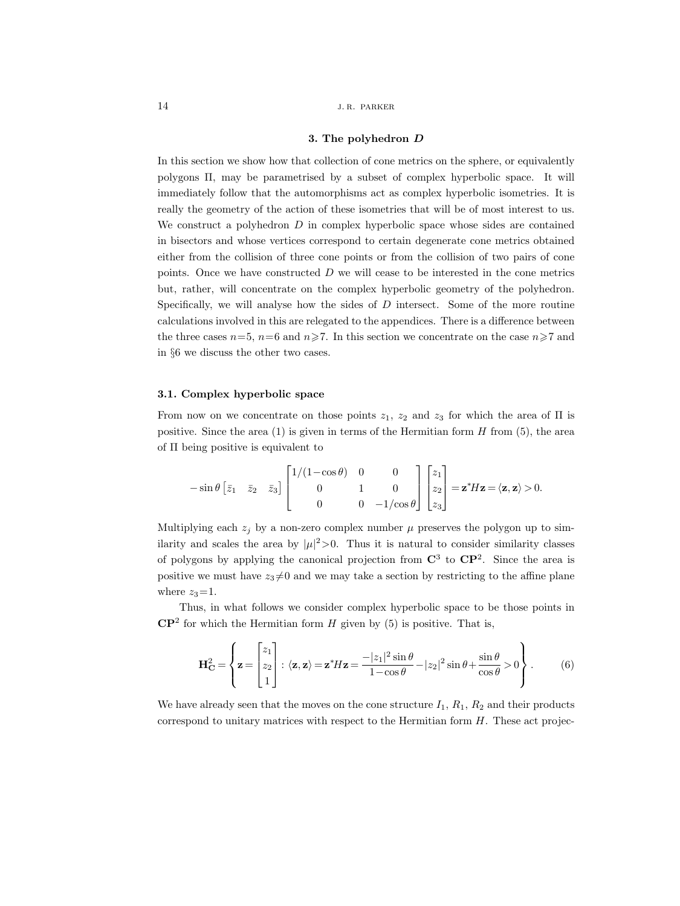#### **3. The polyhedron** *D*

In this section we show how that collection of cone metrics on the sphere, or equivalently polygons Π, may be parametrised by a subset of complex hyperbolic space. It will immediately follow that the automorphisms act as complex hyperbolic isometries. It is really the geometry of the action of these isometries that will be of most interest to us. We construct a polyhedron  $D$  in complex hyperbolic space whose sides are contained in bisectors and whose vertices correspond to certain degenerate cone metrics obtained either from the collision of three cone points or from the collision of two pairs of cone points. Once we have constructed  $D$  we will cease to be interested in the cone metrics but, rather, will concentrate on the complex hyperbolic geometry of the polyhedron. Specifically, we will analyse how the sides of  $D$  intersect. Some of the more routine calculations involved in this are relegated to the appendices. There is a difference between the three cases  $n=5$ ,  $n=6$  and  $n\geq 7$ . In this section we concentrate on the case  $n\geq 7$  and in §6 we discuss the other two cases.

#### **3.1. Complex hyperbolic space**

From now on we concentrate on those points  $z_1$ ,  $z_2$  and  $z_3$  for which the area of  $\Pi$  is positive. Since the area  $(1)$  is given in terms of the Hermitian form H from  $(5)$ , the area of Π being positive is equivalent to

$$
-\sin\theta \begin{bmatrix} \bar{z}_1 & \bar{z}_2 & \bar{z}_3 \end{bmatrix} \begin{bmatrix} 1/(1-\cos\theta) & 0 & 0 \\ 0 & 1 & 0 \\ 0 & 0 & -1/\cos\theta \end{bmatrix} \begin{bmatrix} z_1 \\ z_2 \\ z_3 \end{bmatrix} = \mathbf{z}^* H \mathbf{z} = \langle \mathbf{z}, \mathbf{z} \rangle > 0.
$$

Multiplying each  $z_i$  by a non-zero complex number  $\mu$  preserves the polygon up to similarity and scales the area by  $|\mu|^2 > 0$ . Thus it is natural to consider similarity classes of polygons by applying the canonical projection from **C**<sup>3</sup> to **CP**<sup>2</sup>. Since the area is positive we must have  $z_3 \neq 0$  and we may take a section by restricting to the affine plane where  $z_3=1$ .

Thus, in what follows we consider complex hyperbolic space to be those points in  $\mathbb{CP}^2$  for which the Hermitian form H given by (5) is positive. That is,

$$
\mathbf{H}_{\mathbf{C}}^2 = \left\{ \mathbf{z} = \begin{bmatrix} z_1 \\ z_2 \\ 1 \end{bmatrix} : \langle \mathbf{z}, \mathbf{z} \rangle = \mathbf{z}^* H \mathbf{z} = \frac{-|z_1|^2 \sin \theta}{1 - \cos \theta} - |z_2|^2 \sin \theta + \frac{\sin \theta}{\cos \theta} > 0 \right\}.
$$
 (6)

We have already seen that the moves on the cone structure  $I_1$ ,  $R_1$ ,  $R_2$  and their products correspond to unitary matrices with respect to the Hermitian form  $H$ . These act projec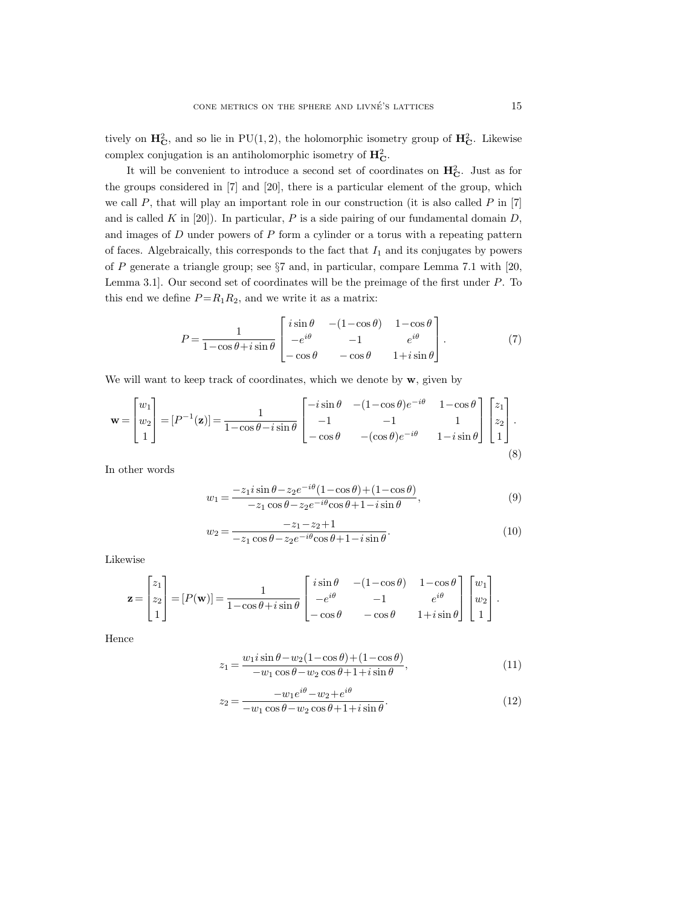tively on  $\mathbf{H}_{\mathbf{C}}^2$ , and so lie in PU(1,2), the holomorphic isometry group of  $\mathbf{H}_{\mathbf{C}}^2$ . Likewise complex conjugation is an antiholomorphic isometry of  $\mathbf{H}_{\mathbf{C}}^2$ .

It will be convenient to introduce a second set of coordinates on  $\mathbf{H}_{\mathbf{C}}^2$ . Just as for the groups considered in [7] and [20], there is a particular element of the group, which we call  $P$ , that will play an important role in our construction (it is also called  $P$  in [7] and is called K in [20]). In particular, P is a side pairing of our fundamental domain  $D$ , and images of D under powers of P form a cylinder or a torus with a repeating pattern of faces. Algebraically, this corresponds to the fact that  $I_1$  and its conjugates by powers of P generate a triangle group; see  $\S7$  and, in particular, compare Lemma 7.1 with [20, Lemma 3.1]. Our second set of coordinates will be the preimage of the first under P. To this end we define  $P = R_1 R_2$ , and we write it as a matrix:

$$
P = \frac{1}{1 - \cos\theta + i\sin\theta} \begin{bmatrix} i\sin\theta & -(1 - \cos\theta) & 1 - \cos\theta \\ -e^{i\theta} & -1 & e^{i\theta} \\ -\cos\theta & -\cos\theta & 1 + i\sin\theta \end{bmatrix}.
$$
 (7)

We will want to keep track of coordinates, which we denote by **w**, given by

$$
\mathbf{w} = \begin{bmatrix} w_1 \\ w_2 \\ 1 \end{bmatrix} = [P^{-1}(\mathbf{z})] = \frac{1}{1 - \cos \theta - i \sin \theta} \begin{bmatrix} -i \sin \theta & -(1 - \cos \theta)e^{-i\theta} & 1 - \cos \theta \\ -1 & -1 & 1 \\ -\cos \theta & -(\cos \theta)e^{-i\theta} & 1 - i \sin \theta \end{bmatrix} \begin{bmatrix} z_1 \\ z_2 \\ 1 \end{bmatrix}.
$$
\n(8)

In other words

$$
w_1 = \frac{-z_1 i \sin \theta - z_2 e^{-i\theta} (1 - \cos \theta) + (1 - \cos \theta)}{-z_1 \cos \theta - z_2 e^{-i\theta} \cos \theta + 1 - i \sin \theta},
$$
\n
$$
(9)
$$

$$
w_2 = \frac{-z_1 - z_2 + 1}{-z_1 \cos \theta - z_2 e^{-i\theta} \cos \theta + 1 - i \sin \theta}.
$$
\n(10)

Likewise

$$
\mathbf{z} = \begin{bmatrix} z_1 \\ z_2 \\ 1 \end{bmatrix} = [P(\mathbf{w})] = \frac{1}{1 - \cos \theta + i \sin \theta} \begin{bmatrix} i \sin \theta & -(1 - \cos \theta) & 1 - \cos \theta \\ -e^{i\theta} & -1 & e^{i\theta} \\ -\cos \theta & -\cos \theta & 1 + i \sin \theta \end{bmatrix} \begin{bmatrix} w_1 \\ w_2 \\ 1 \end{bmatrix}.
$$

Hence

$$
z_1 = \frac{w_1 i \sin \theta - w_2 (1 - \cos \theta) + (1 - \cos \theta)}{-w_1 \cos \theta - w_2 \cos \theta + 1 + i \sin \theta},
$$
\n(11)

$$
z_2 = \frac{-w_1 e^{i\theta} - w_2 + e^{i\theta}}{-w_1 \cos \theta - w_2 \cos \theta + 1 + i \sin \theta}.
$$
\n
$$
(12)
$$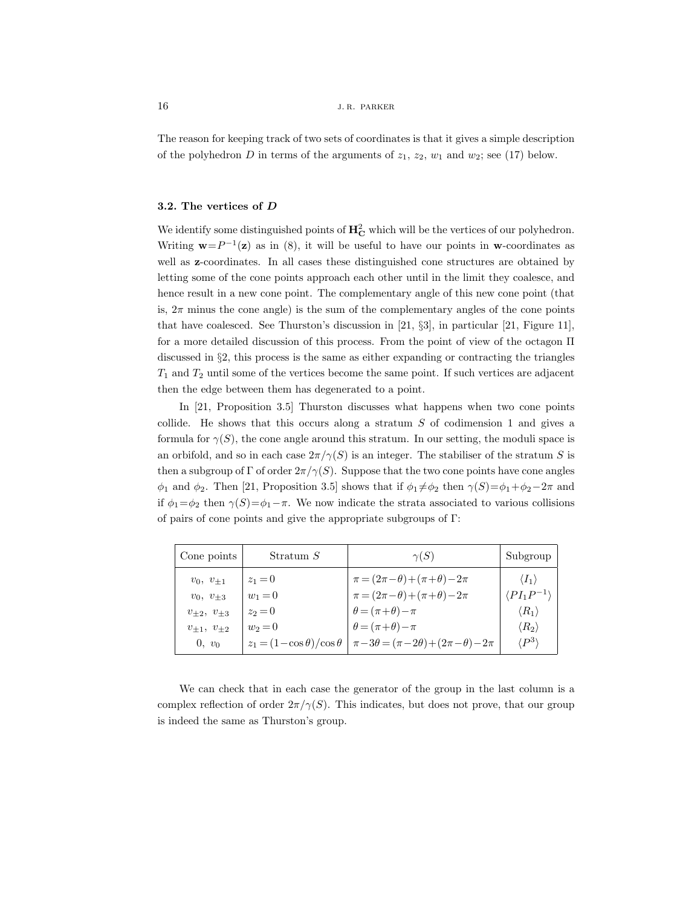The reason for keeping track of two sets of coordinates is that it gives a simple description of the polyhedron D in terms of the arguments of  $z_1, z_2, w_1$  and  $w_2$ ; see (17) below.

## **3.2. The vertices of** *D*

We identify some distinguished points of  $\mathbf{H}_{\mathbf{C}}^2$  which will be the vertices of our polyhedron. Writing  $\mathbf{w}=P^{-1}(\mathbf{z})$  as in (8), it will be useful to have our points in  $\mathbf{w}$ -coordinates as well as **z**-coordinates. In all cases these distinguished cone structures are obtained by letting some of the cone points approach each other until in the limit they coalesce, and hence result in a new cone point. The complementary angle of this new cone point (that is,  $2\pi$  minus the cone angle) is the sum of the complementary angles of the cone points that have coalesced. See Thurston's discussion in [21, §3], in particular [21, Figure 11], for a more detailed discussion of this process. From the point of view of the octagon Π discussed in §2, this process is the same as either expanding or contracting the triangles  $T_1$  and  $T_2$  until some of the vertices become the same point. If such vertices are adjacent then the edge between them has degenerated to a point.

In [21, Proposition 3.5] Thurston discusses what happens when two cone points collide. He shows that this occurs along a stratum  $S$  of codimension 1 and gives a formula for  $\gamma(S)$ , the cone angle around this stratum. In our setting, the moduli space is an orbifold, and so in each case  $2\pi/\gamma(S)$  is an integer. The stabiliser of the stratum S is then a subgroup of  $\Gamma$  of order  $2\pi/\gamma(S)$ . Suppose that the two cone points have cone angles  $\phi_1$  and  $\phi_2$ . Then [21, Proposition 3.5] shows that if  $\phi_1 \neq \phi_2$  then  $\gamma(S) = \phi_1 + \phi_2 - 2\pi$  and if  $\phi_1 = \phi_2$  then  $\gamma(S) = \phi_1 - \pi$ . We now indicate the strata associated to various collisions of pairs of cone points and give the appropriate subgroups of Γ:

| Cone points            | Stratum S                             | $\gamma(S)$                                                | Subgroup                    |
|------------------------|---------------------------------------|------------------------------------------------------------|-----------------------------|
| $v_0, v_{+1}$          | $z_1 = 0$                             | $\pi = (2\pi - \theta) + (\pi + \theta) - 2\pi$            | $\langle I_1 \rangle$       |
| $v_0, v_{+3}$          | $w_1 = 0$                             | $\pi = (2\pi - \theta) + (\pi + \theta) - 2\pi$            | $\langle PI_1P^{-1}\rangle$ |
| $v_{+2}, v_{+3}$       | $z_2 = 0$                             | $\theta = (\pi + \theta) - \pi$                            | $\langle R_1\rangle$        |
| $v_{\pm 1}, v_{\pm 2}$ | $w_2 = 0$                             | $\theta = (\pi + \theta) - \pi$                            | $\langle R_2 \rangle$       |
| $0, v_0$               | $z_1 = (1 - \cos \theta)/\cos \theta$ | $\pi - 3\theta = (\pi - 2\theta) + (2\pi - \theta) - 2\pi$ | $'P^3\rangle$               |

We can check that in each case the generator of the group in the last column is a complex reflection of order  $2\pi/\gamma(S)$ . This indicates, but does not prove, that our group is indeed the same as Thurston's group.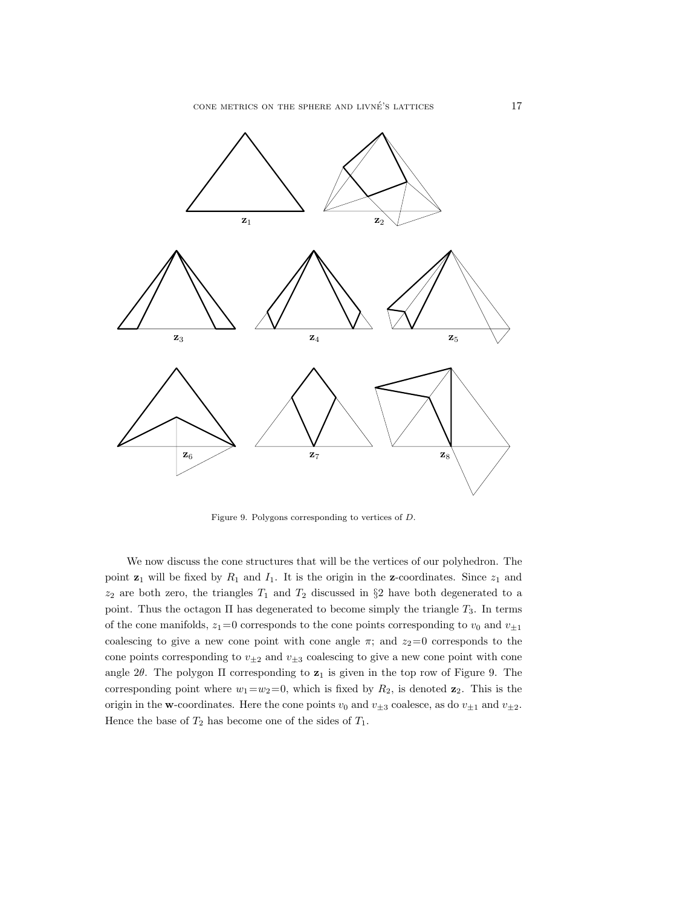

Figure 9. Polygons corresponding to vertices of D.

We now discuss the cone structures that will be the vertices of our polyhedron. The point  $z_1$  will be fixed by  $R_1$  and  $I_1$ . It is the origin in the z-coordinates. Since  $z_1$  and  $z_2$  are both zero, the triangles  $T_1$  and  $T_2$  discussed in §2 have both degenerated to a point. Thus the octagon  $\Pi$  has degenerated to become simply the triangle  $T_3$ . In terms of the cone manifolds,  $z_1=0$  corresponds to the cone points corresponding to  $v_0$  and  $v_{\pm 1}$ coalescing to give a new cone point with cone angle  $\pi$ ; and  $z_2=0$  corresponds to the cone points corresponding to  $v_{\pm 2}$  and  $v_{\pm 3}$  coalescing to give a new cone point with cone angle  $2\theta$ . The polygon  $\Pi$  corresponding to  $z_1$  is given in the top row of Figure 9. The corresponding point where  $w_1=w_2=0$ , which is fixed by  $R_2$ , is denoted  $\mathbf{z}_2$ . This is the origin in the **w**-coordinates. Here the cone points  $v_0$  and  $v_{\pm 3}$  coalesce, as do  $v_{\pm 1}$  and  $v_{\pm 2}$ . Hence the base of  $T_2$  has become one of the sides of  $T_1$ .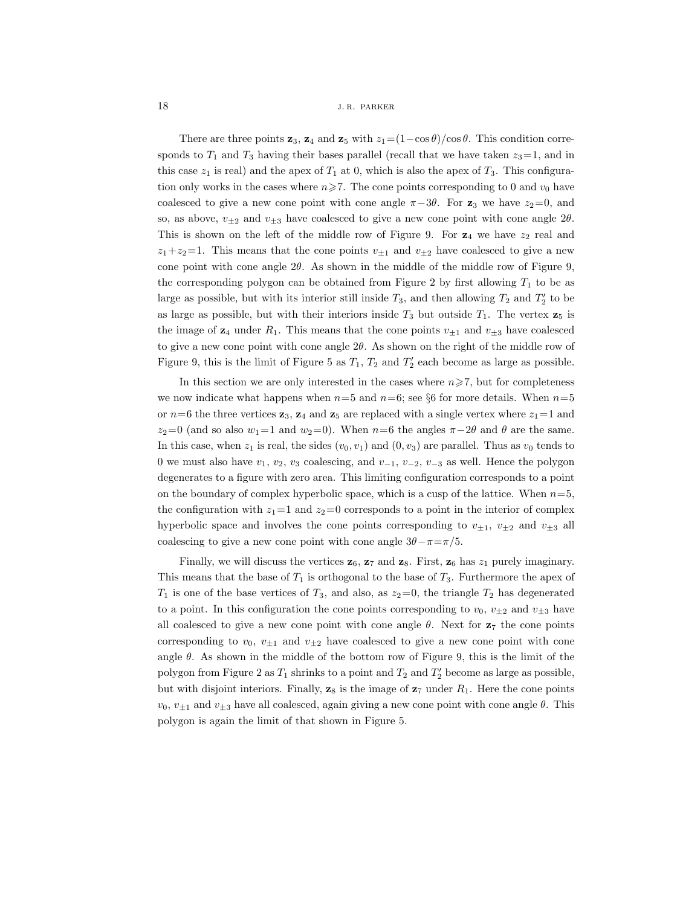There are three points  $\mathbf{z}_3$ ,  $\mathbf{z}_4$  and  $\mathbf{z}_5$  with  $z_1=(1-\cos\theta)/\cos\theta$ . This condition corresponds to  $T_1$  and  $T_3$  having their bases parallel (recall that we have taken  $z_3=1$ , and in this case  $z_1$  is real) and the apex of  $T_1$  at 0, which is also the apex of  $T_3$ . This configuration only works in the cases where  $n\geq 7$ . The cone points corresponding to 0 and  $v_0$  have coalesced to give a new cone point with cone angle  $\pi-3\theta$ . For **z**<sub>3</sub> we have  $z_2=0$ , and so, as above,  $v_{\pm 2}$  and  $v_{\pm 3}$  have coalesced to give a new cone point with cone angle 2 $\theta$ . This is shown on the left of the middle row of Figure 9. For  $z_4$  we have  $z_2$  real and  $z_1+z_2=1$ . This means that the cone points  $v_{\pm 1}$  and  $v_{\pm 2}$  have coalesced to give a new cone point with cone angle  $2\theta$ . As shown in the middle of the middle row of Figure 9, the corresponding polygon can be obtained from Figure 2 by first allowing  $T_1$  to be as large as possible, but with its interior still inside  $T_3$ , and then allowing  $T_2$  and  $T_2'$  to be as large as possible, but with their interiors inside  $T_3$  but outside  $T_1$ . The vertex  $\mathbf{z}_5$  is the image of  $z_4$  under  $R_1$ . This means that the cone points  $v_{\pm 1}$  and  $v_{\pm 3}$  have coalesced to give a new cone point with cone angle  $2\theta$ . As shown on the right of the middle row of Figure 9, this is the limit of Figure 5 as  $T_1$ ,  $T_2$  and  $T_2'$  each become as large as possible.

In this section we are only interested in the cases where  $n \ge 7$ , but for completeness we now indicate what happens when  $n=5$  and  $n=6$ ; see §6 for more details. When  $n=5$ or  $n=6$  the three vertices  $\mathbf{z}_3$ ,  $\mathbf{z}_4$  and  $\mathbf{z}_5$  are replaced with a single vertex where  $z_1=1$  and  $z_2=0$  (and so also  $w_1=1$  and  $w_2=0$ ). When  $n=6$  the angles  $\pi-2\theta$  and  $\theta$  are the same. In this case, when  $z_1$  is real, the sides  $(v_0, v_1)$  and  $(0, v_3)$  are parallel. Thus as  $v_0$  tends to 0 we must also have  $v_1, v_2, v_3$  coalescing, and  $v_{-1}, v_{-2}, v_{-3}$  as well. Hence the polygon degenerates to a figure with zero area. This limiting configuration corresponds to a point on the boundary of complex hyperbolic space, which is a cusp of the lattice. When  $n=5$ , the configuration with  $z_1=1$  and  $z_2=0$  corresponds to a point in the interior of complex hyperbolic space and involves the cone points corresponding to  $v_{\pm 1}$ ,  $v_{\pm 2}$  and  $v_{\pm 3}$  all coalescing to give a new cone point with cone angle  $3\theta - \pi = \pi/5$ .

Finally, we will discuss the vertices  $z_6$ ,  $z_7$  and  $z_8$ . First,  $z_6$  has  $z_1$  purely imaginary. This means that the base of  $T_1$  is orthogonal to the base of  $T_3$ . Furthermore the apex of  $T_1$  is one of the base vertices of  $T_3$ , and also, as  $z_2=0$ , the triangle  $T_2$  has degenerated to a point. In this configuration the cone points corresponding to  $v_0$ ,  $v_{\pm 2}$  and  $v_{\pm 3}$  have all coalesced to give a new cone point with cone angle  $\theta$ . Next for  $z_7$  the cone points corresponding to  $v_0$ ,  $v_{\pm 1}$  and  $v_{\pm 2}$  have coalesced to give a new cone point with cone angle  $\theta$ . As shown in the middle of the bottom row of Figure 9, this is the limit of the polygon from Figure 2 as  $T_1$  shrinks to a point and  $T_2$  and  $T_2'$  become as large as possible, but with disjoint interiors. Finally,  $z_8$  is the image of  $z_7$  under  $R_1$ . Here the cone points  $v_0, v_{\pm 1}$  and  $v_{\pm 3}$  have all coalesced, again giving a new cone point with cone angle  $\theta$ . This polygon is again the limit of that shown in Figure 5.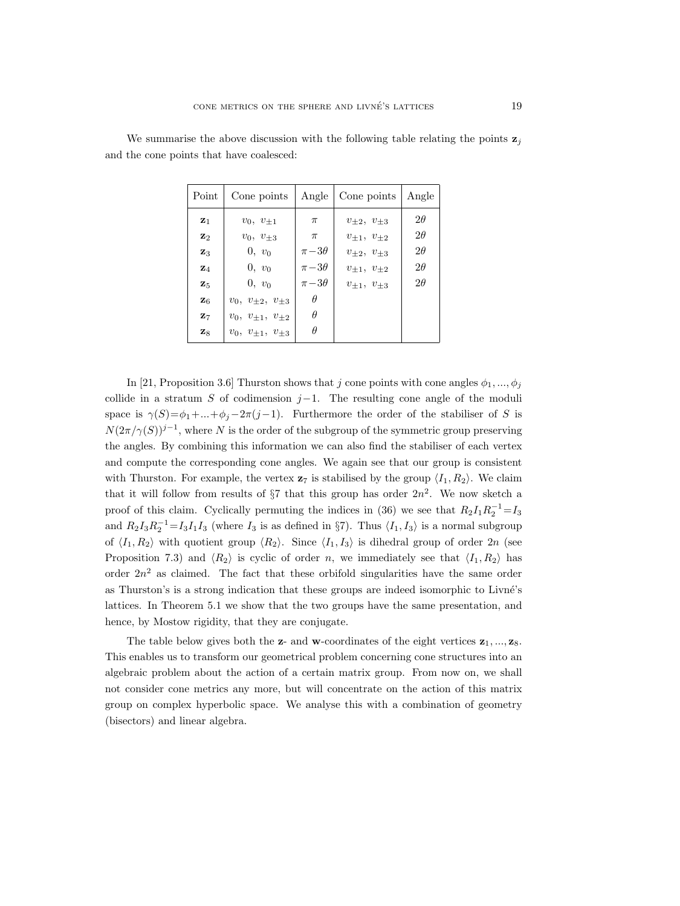| Point                                                                | Cone points                                               | Angle                                                | Cone points                                                                                    | Angle                                            |
|----------------------------------------------------------------------|-----------------------------------------------------------|------------------------------------------------------|------------------------------------------------------------------------------------------------|--------------------------------------------------|
| $\mathbf{z}_1$<br>$\mathbf{z}_2$<br>$\mathbf{z}_3$<br>$\mathbf{z}_4$ | $v_0, v_{+1}$<br>$v_0, v_{\pm 3}$<br>$0, v_0$<br>$0, v_0$ | $\pi$<br>$\pi$<br>$\pi - 3\theta$<br>$\pi - 3\theta$ | $v_{\pm 2}, v_{\pm 3}$<br>$v_{+1}, v_{+2}$<br>$v_{\pm 2}, v_{\pm 3}$<br>$v_{\pm 1}, v_{\pm 2}$ | $2\theta$<br>$2\theta$<br>$2\theta$<br>$2\theta$ |
| $\mathbf{z}_5$                                                       | $0, v_0$                                                  | $\pi - 3\theta$                                      | $v_{\pm 1}, v_{\pm 3}$                                                                         | $2\theta$                                        |
| $\mathbf{z}_6$                                                       | $v_0, v_{\pm 2}, v_{\pm 3}$                               | $\theta$                                             |                                                                                                |                                                  |
| $\mathbf{z}_7$                                                       | $v_0, v_{\pm 1}, v_{\pm 2}$                               | $\theta$                                             |                                                                                                |                                                  |
| $\mathbf{z}_8$                                                       | $v_0, v_{\pm 1}, v_{\pm 3}$                               | $\theta$                                             |                                                                                                |                                                  |

We summarise the above discussion with the following table relating the points  $z_j$ and the cone points that have coalesced:

In [21, Proposition 3.6] Thurston shows that j cone points with cone angles  $\phi_1, ..., \phi_j$ collide in a stratum S of codimension  $j-1$ . The resulting cone angle of the moduli space is  $\gamma(S) = \phi_1 + ... + \phi_j - 2\pi(j-1)$ . Furthermore the order of the stabiliser of S is  $N(2\pi/\gamma(S))^{j-1}$ , where N is the order of the subgroup of the symmetric group preserving the angles. By combining this information we can also find the stabiliser of each vertex and compute the corresponding cone angles. We again see that our group is consistent with Thurston. For example, the vertex  $z_7$  is stabilised by the group  $\langle I_1, R_2 \rangle$ . We claim that it will follow from results of  $\S7$  that this group has order  $2n^2$ . We now sketch a proof of this claim. Cyclically permuting the indices in (36) we see that  $R_2I_1R_2^{-1} = I_3$ and  $R_2I_3R_2^{-1} = I_3I_1I_3$  (where  $I_3$  is as defined in §7). Thus  $\langle I_1, I_3 \rangle$  is a normal subgroup of  $\langle I_1, R_2 \rangle$  with quotient group  $\langle R_2 \rangle$ . Since  $\langle I_1, I_3 \rangle$  is dihedral group of order  $2n$  (see Proposition 7.3) and  $\langle R_2 \rangle$  is cyclic of order n, we immediately see that  $\langle I_1, R_2 \rangle$  has order  $2n^2$  as claimed. The fact that these orbifold singularities have the same order as Thurston's is a strong indication that these groups are indeed isomorphic to Livné's lattices. In Theorem 5.1 we show that the two groups have the same presentation, and hence, by Mostow rigidity, that they are conjugate.

The table below gives both the  $z$ - and **w**-coordinates of the eight vertices  $z_1, ..., z_8$ . This enables us to transform our geometrical problem concerning cone structures into an algebraic problem about the action of a certain matrix group. From now on, we shall not consider cone metrics any more, but will concentrate on the action of this matrix group on complex hyperbolic space. We analyse this with a combination of geometry (bisectors) and linear algebra.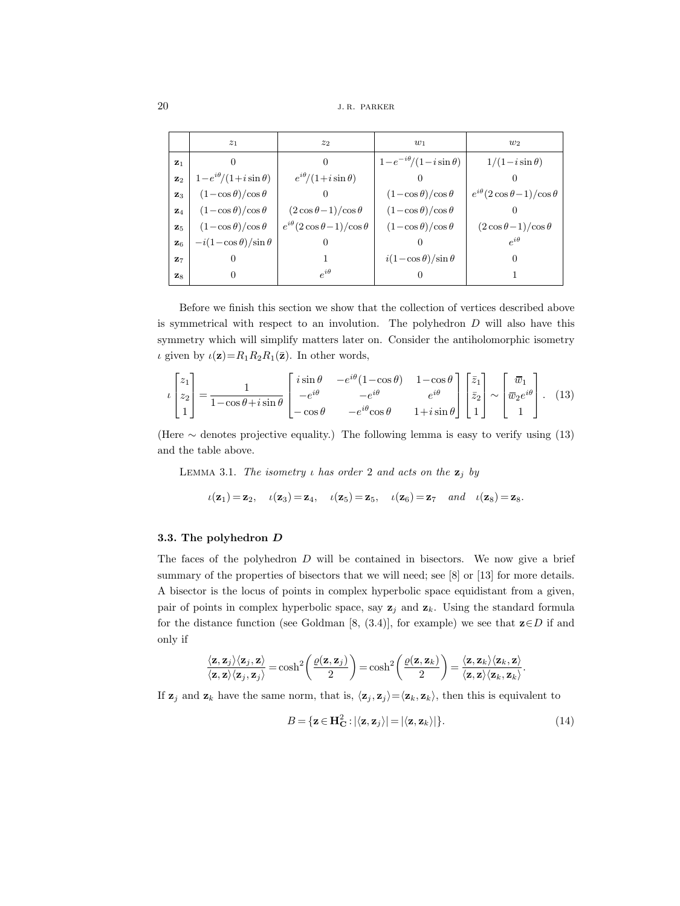$20$  j. r. parker

|                | z <sub>1</sub>                  | z <sub>2</sub>                          | $w_1$                            | $w_2$                                   |
|----------------|---------------------------------|-----------------------------------------|----------------------------------|-----------------------------------------|
| $Z_1$          |                                 | $\theta$                                | $1-e^{-i\theta}/(1-i\sin\theta)$ | $1/(1-i\sin\theta)$                     |
| $\mathbf{z}_2$ | $1-e^{i\theta}/(1+i\sin\theta)$ | $e^{i\theta}/(1+i\sin\theta)$           |                                  |                                         |
| $\mathbf{z}_3$ | $(1-\cos\theta)/\cos\theta$     |                                         | $(1-\cos\theta)/\cos\theta$      | $e^{i\theta}(2\cos\theta-1)/\cos\theta$ |
| $\mathbf{z}_4$ | $(1-\cos\theta)/\cos\theta$     | $(2 \cos \theta - 1)/\cos \theta$       | $(1-\cos\theta)/\cos\theta$      |                                         |
| $\mathbf{z}_5$ | $(1-\cos\theta)/\cos\theta$     | $e^{i\theta}(2\cos\theta-1)/\cos\theta$ | $(1-\cos\theta)/\cos\theta$      | $(2\cos\theta-1)/\cos\theta$            |
| $\mathbf{z}_6$ | $-i(1-\cos\theta)/\sin\theta$   | $\overline{0}$                          |                                  | $e^{i\theta}$                           |
| $Z_7$          | $\theta$                        |                                         | $i(1-\cos\theta)/\sin\theta$     | $\theta$                                |
| $\mathbf{z}_8$ | 0                               | $e^{i\theta}$                           | $\cup$                           |                                         |

Before we finish this section we show that the collection of vertices described above is symmetrical with respect to an involution. The polyhedron  $D$  will also have this symmetry which will simplify matters later on. Consider the antiholomorphic isometry *ι* given by  $\iota(\mathbf{z})=R_1R_2R_1(\bar{\mathbf{z}})$ . In other words,

$$
\iota \begin{bmatrix} z_1 \\ z_2 \\ 1 \end{bmatrix} = \frac{1}{1 - \cos \theta + i \sin \theta} \begin{bmatrix} i \sin \theta & -e^{i\theta} (1 - \cos \theta) & 1 - \cos \theta \\ -e^{i\theta} & -e^{i\theta} & e^{i\theta} \\ -\cos \theta & -e^{i\theta} \cos \theta & 1 + i \sin \theta \end{bmatrix} \begin{bmatrix} \bar{z}_1 \\ \bar{z}_2 \\ 1 \end{bmatrix} \sim \begin{bmatrix} \bar{w}_1 \\ \bar{w}_2 e^{i\theta} \\ 1 \end{bmatrix} . \tag{13}
$$

(Here  $\sim$  denotes projective equality.) The following lemma is easy to verify using (13) and the table above.

LEMMA 3.1. *The isometry*  $\iota$  *has order* 2 *and acts on the*  $\mathbf{z}_i$  *by* 

$$
\iota(\mathbf{z}_1) = \mathbf{z}_2, \quad \iota(\mathbf{z}_3) = \mathbf{z}_4, \quad \iota(\mathbf{z}_5) = \mathbf{z}_5, \quad \iota(\mathbf{z}_6) = \mathbf{z}_7 \quad and \quad \iota(\mathbf{z}_8) = \mathbf{z}_8.
$$

#### **3.3. The polyhedron** *D*

The faces of the polyhedron  $D$  will be contained in bisectors. We now give a brief summary of the properties of bisectors that we will need; see [8] or [13] for more details. A bisector is the locus of points in complex hyperbolic space equidistant from a given, pair of points in complex hyperbolic space, say  $z_j$  and  $z_k$ . Using the standard formula for the distance function (see Goldman [8, (3.4)], for example) we see that **z**∈D if and only if

$$
\frac{\langle \mathbf{z}, \mathbf{z}_j \rangle \langle \mathbf{z}_j, \mathbf{z} \rangle}{\langle \mathbf{z}, \mathbf{z} \rangle \langle \mathbf{z}_j, \mathbf{z}_j \rangle} = \cosh^2 \left( \frac{\varrho(\mathbf{z}, \mathbf{z}_j)}{2} \right) = \cosh^2 \left( \frac{\varrho(\mathbf{z}, \mathbf{z}_k)}{2} \right) = \frac{\langle \mathbf{z}, \mathbf{z}_k \rangle \langle \mathbf{z}_k, \mathbf{z} \rangle}{\langle \mathbf{z}, \mathbf{z} \rangle \langle \mathbf{z}_k, \mathbf{z}_k \rangle}.
$$

If  $z_j$  and  $z_k$  have the same norm, that is,  $\langle z_j, z_j \rangle = \langle z_k, z_k \rangle$ , then this is equivalent to

$$
B = {\mathbf{z} \in \mathbf{H}_{\mathbf{C}}^2 : |\langle \mathbf{z}, \mathbf{z}_j \rangle| = |\langle \mathbf{z}, \mathbf{z}_k \rangle|}.
$$
 (14)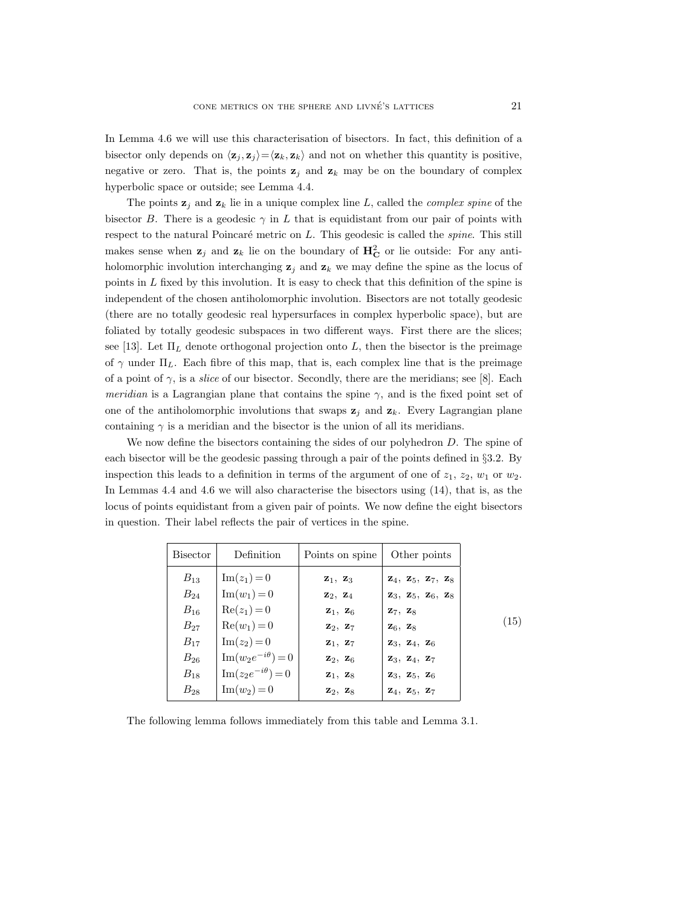In Lemma 4.6 we will use this characterisation of bisectors. In fact, this definition of a bisector only depends on  $\langle \mathbf{z}_j, \mathbf{z}_j \rangle = \langle \mathbf{z}_k, \mathbf{z}_k \rangle$  and not on whether this quantity is positive, negative or zero. That is, the points  $z_j$  and  $z_k$  may be on the boundary of complex hyperbolic space or outside; see Lemma 4.4.

The points  $z_j$  and  $z_k$  lie in a unique complex line L, called the *complex spine* of the bisector B. There is a geodesic  $\gamma$  in L that is equidistant from our pair of points with respect to the natural Poincaré metric on L. This geodesic is called the *spine*. This still makes sense when  $z_j$  and  $z_k$  lie on the boundary of  $H_C^2$  or lie outside: For any antiholomorphic involution interchanging  $z_j$  and  $z_k$  we may define the spine as the locus of points in  $L$  fixed by this involution. It is easy to check that this definition of the spine is independent of the chosen antiholomorphic involution. Bisectors are not totally geodesic (there are no totally geodesic real hypersurfaces in complex hyperbolic space), but are foliated by totally geodesic subspaces in two different ways. First there are the slices; see [13]. Let  $\Pi_L$  denote orthogonal projection onto L, then the bisector is the preimage of  $\gamma$  under  $\Pi_L$ . Each fibre of this map, that is, each complex line that is the preimage of a point of  $\gamma$ , is a *slice* of our bisector. Secondly, there are the meridians; see [8]. Each *meridian* is a Lagrangian plane that contains the spine  $\gamma$ , and is the fixed point set of one of the antiholomorphic involutions that swaps  $z_j$  and  $z_k$ . Every Lagrangian plane containing  $\gamma$  is a meridian and the bisector is the union of all its meridians.

We now define the bisectors containing the sides of our polyhedron D. The spine of each bisector will be the geodesic passing through a pair of the points defined in §3.2. By inspection this leads to a definition in terms of the argument of one of  $z_1$ ,  $z_2$ ,  $w_1$  or  $w_2$ . In Lemmas 4.4 and 4.6 we will also characterise the bisectors using (14), that is, as the locus of points equidistant from a given pair of points. We now define the eight bisectors in question. Their label reflects the pair of vertices in the spine.

| Bisector | Definition                       | Points on spine                 | Other points                                                      |
|----------|----------------------------------|---------------------------------|-------------------------------------------------------------------|
| $B_{13}$ | $\text{Im}(z_1) = 0$             | $\mathbf{z}_1, \mathbf{z}_3$    | $\mathbf{Z}_4$ , $\mathbf{Z}_5$ , $\mathbf{Z}_7$ , $\mathbf{Z}_8$ |
| $B_{24}$ | $\text{Im}(w_1) = 0$             | $\mathbf{z}_2, \mathbf{z}_4$    | $\mathbf{z}_3, \mathbf{z}_5, \mathbf{z}_6, \mathbf{z}_8$          |
| $B_{16}$ | $Re(z_1)=0$                      | $\mathbf{z}_1, \mathbf{z}_6$    | $\mathbf{z}_7, \mathbf{z}_8$                                      |
| $B_{27}$ | $Re(w_1)=0$                      | $\mathbf{z}_2$ , $\mathbf{z}_7$ | $\mathbf{z}_6$ , $\mathbf{z}_8$                                   |
| $B_{17}$ | $\text{Im}(z_2) = 0$             | $\mathbf{z}_1, \mathbf{z}_7$    | $\mathbf{z}_3, \mathbf{z}_4, \mathbf{z}_6$                        |
| $B_{26}$ | $\mathrm{Im}(w_2e^{-i\theta})=0$ | $\mathbf{z}_2$ , $\mathbf{z}_6$ | $\mathbf{z}_3, \mathbf{z}_4, \mathbf{z}_7$                        |
| $B_{18}$ | $\mathrm{Im}(z_2e^{-i\theta})=0$ | $\mathbf{z}_1, \mathbf{z}_8$    | $\mathbf{z}_3, \mathbf{z}_5, \mathbf{z}_6$                        |
| $B_{28}$ | $\text{Im}(w_2) = 0$             | $\mathbf{z}_2$ , $\mathbf{z}_8$ | $\mathbf{z}_4, \mathbf{z}_5, \mathbf{z}_7$                        |

The following lemma follows immediately from this table and Lemma 3.1.

(15)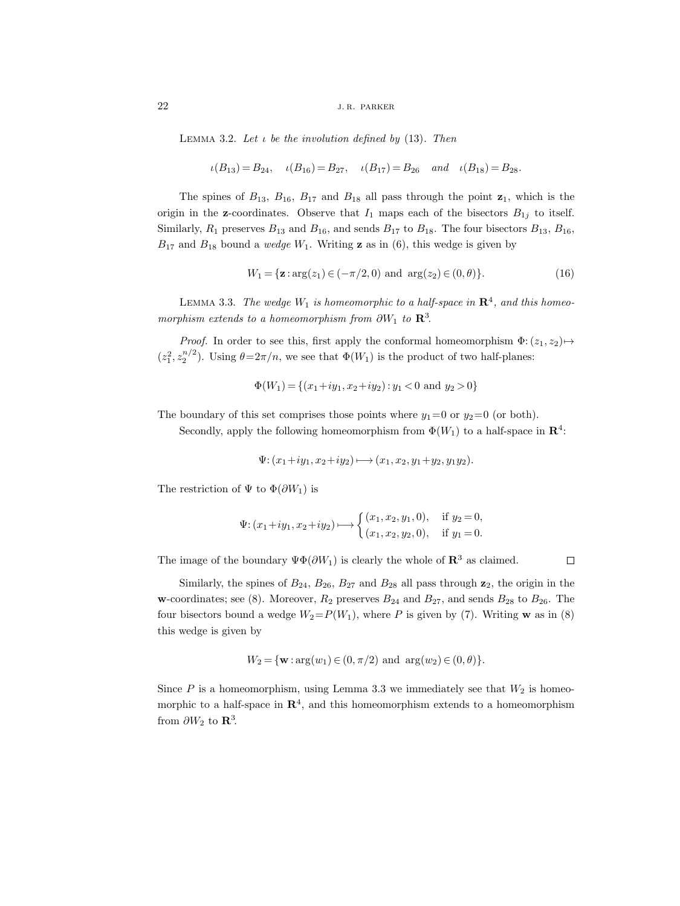Lemma 3.2. *Let* ι *be the involution defined by* (13)*. Then*

$$
\iota(B_{13}) = B_{24}, \quad \iota(B_{16}) = B_{27}, \quad \iota(B_{17}) = B_{26} \quad and \quad \iota(B_{18}) = B_{28}.
$$

The spines of  $B_{13}$ ,  $B_{16}$ ,  $B_{17}$  and  $B_{18}$  all pass through the point  $\mathbf{z}_1$ , which is the origin in the **z**-coordinates. Observe that  $I_1$  maps each of the bisectors  $B_{1j}$  to itself. Similarly,  $R_1$  preserves  $B_{13}$  and  $B_{16}$ , and sends  $B_{17}$  to  $B_{18}$ . The four bisectors  $B_{13}$ ,  $B_{16}$ ,  $B_{17}$  and  $B_{18}$  bound a *wedge*  $W_1$ . Writing **z** as in (6), this wedge is given by

$$
W_1 = \{ \mathbf{z} : \arg(z_1) \in (-\pi/2, 0) \text{ and } \arg(z_2) \in (0, \theta) \}. \tag{16}
$$

LEMMA 3.3. *The wedge*  $W_1$  *is homeomorphic to a half-space in*  $\mathbb{R}^4$ *, and this homeomorphism extends to a homeomorphism from*  $\partial W_1$  *to*  $\mathbb{R}^3$ .

*Proof.* In order to see this, first apply the conformal homeomorphism  $\Phi$ :  $(z_1, z_2) \mapsto$  $(z_1^2, z_2^{n/2})$ . Using  $\theta = 2\pi/n$ , we see that  $\Phi(W_1)$  is the product of two half-planes:

$$
\Phi(W_1) = \{(x_1 + iy_1, x_2 + iy_2) : y_1 < 0 \text{ and } y_2 > 0\}
$$

The boundary of this set comprises those points where  $y_1=0$  or  $y_2=0$  (or both).

Secondly, apply the following homeomorphism from  $\Phi(W_1)$  to a half-space in  $\mathbb{R}^4$ :

$$
\Psi \colon (x_1+iy_1, x_2+iy_2) \longmapsto (x_1, x_2, y_1+y_2, y_1y_2).
$$

The restriction of  $\Psi$  to  $\Phi(\partial W_1)$  is

$$
\Psi: (x_1+iy_1, x_2+iy_2) \longmapsto \begin{cases} (x_1, x_2, y_1, 0), & \text{if } y_2 = 0, \\ (x_1, x_2, y_2, 0), & \text{if } y_1 = 0. \end{cases}
$$

The image of the boundary  $\Psi \Phi(\partial W_1)$  is clearly the whole of  $\mathbb{R}^3$  as claimed.

Similarly, the spines of  $B_{24}$ ,  $B_{26}$ ,  $B_{27}$  and  $B_{28}$  all pass through  $\mathbf{z}_2$ , the origin in the **w**-coordinates; see (8). Moreover,  $R_2$  preserves  $B_{24}$  and  $B_{27}$ , and sends  $B_{28}$  to  $B_{26}$ . The four bisectors bound a wedge  $W_2 = P(W_1)$ , where P is given by (7). Writing **w** as in (8) this wedge is given by

 $\Box$ 

$$
W_2=\{{\bf w}: \arg(w_1)\in (0,\pi/2)\ \hbox{and}\ \arg(w_2)\in (0,\theta)\}.
$$

Since  $P$  is a homeomorphism, using Lemma 3.3 we immediately see that  $W_2$  is homeomorphic to a half-space in  $\mathbb{R}^4$ , and this homeomorphism extends to a homeomorphism from  $\partial W_2$  to **R**<sup>3</sup>.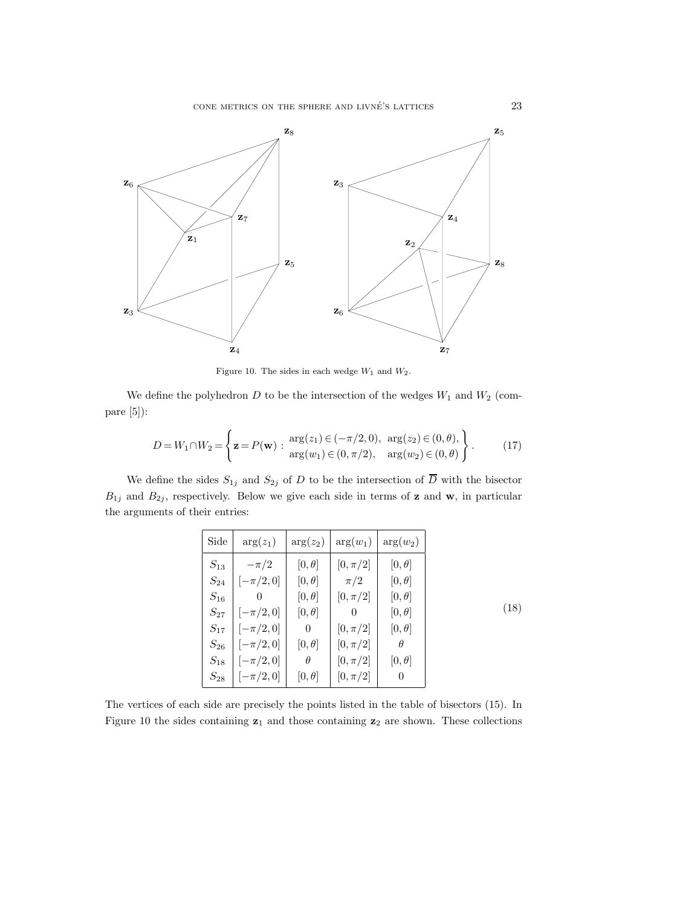

Figure 10. The sides in each wedge  $W_1$  and  $W_2$ .

We define the polyhedron  $D$  to be the intersection of the wedges  $W_1$  and  $W_2$  (compare [5]):

$$
D = W_1 \cap W_2 = \left\{ \mathbf{z} = P(\mathbf{w}) : \begin{array}{c} \arg(z_1) \in (-\pi/2, 0), \arg(z_2) \in (0, \theta), \\ \arg(w_1) \in (0, \pi/2), \arg(w_2) \in (0, \theta) \end{array} \right\}.
$$
 (17)

We define the sides  $S_{1j}$  and  $S_{2j}$  of D to be the intersection of  $\overline{D}$  with the bisector  $B_{1j}$  and  $B_{2j}$ , respectively. Below we give each side in terms of **z** and **w**, in particular the arguments of their entries:

| Side     | $arg(z_1)$   | $arg(z_2)$     | $arg(w_1)$   | $arg(w_2)$   |
|----------|--------------|----------------|--------------|--------------|
| $S_{13}$ | $-\pi/2$     | $[0,\theta]$   | $[0, \pi/2]$ | $[0,\theta]$ |
| $S_{24}$ | $[-\pi/2,0]$ | $[0,\theta]$   | $\pi/2$      | $[0,\theta]$ |
| $S_{16}$ | $\theta$     | $[0,\theta]$   | $[0, \pi/2]$ | $[0,\theta]$ |
| $S_{27}$ | $[-\pi/2,0]$ | $[0,\theta]$   | $\theta$     | $[0,\theta]$ |
| $S_{17}$ | $[-\pi/2,0]$ | $\overline{0}$ | $[0, \pi/2]$ | $[0,\theta]$ |
| $S_{26}$ | $[-\pi/2,0]$ | $[0,\theta]$   | $[0, \pi/2]$ | $\theta$     |
| $S_{18}$ | $[-\pi/2,0]$ | $\theta$       | $[0, \pi/2]$ | $[0,\theta]$ |
| $S_{28}$ | $[-\pi/2,0]$ | $[0,\theta]$   | $[0, \pi/2]$ | $\theta$     |

The vertices of each side are precisely the points listed in the table of bisectors (15). In Figure 10 the sides containing **z**<sup>1</sup> and those containing **z**<sup>2</sup> are shown. These collections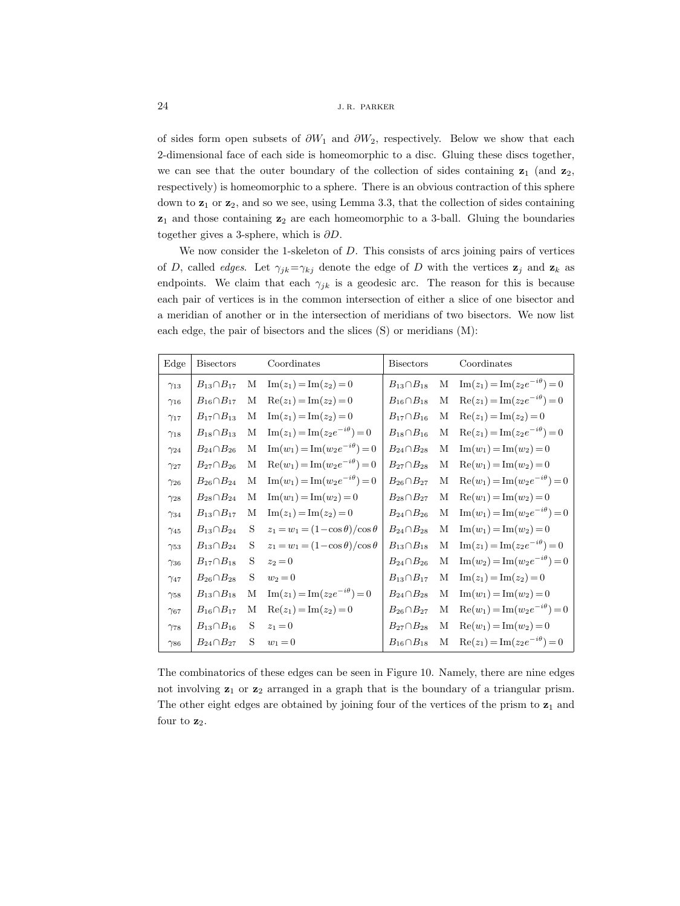of sides form open subsets of  $\partial W_1$  and  $\partial W_2$ , respectively. Below we show that each 2-dimensional face of each side is homeomorphic to a disc. Gluing these discs together, we can see that the outer boundary of the collection of sides containing  $z_1$  (and  $z_2$ , respectively) is homeomorphic to a sphere. There is an obvious contraction of this sphere down to **z**<sup>1</sup> or **z**2, and so we see, using Lemma 3.3, that the collection of sides containing **z**<sup>1</sup> and those containing **z**<sup>2</sup> are each homeomorphic to a 3-ball. Gluing the boundaries together gives a 3-sphere, which is ∂D.

We now consider the 1-skeleton of D. This consists of arcs joining pairs of vertices of D, called *edges*. Let  $\gamma_{jk} = \gamma_{kj}$  denote the edge of D with the vertices  $z_j$  and  $z_k$  as endpoints. We claim that each  $\gamma_{jk}$  is a geodesic arc. The reason for this is because each pair of vertices is in the common intersection of either a slice of one bisector and a meridian of another or in the intersection of meridians of two bisectors. We now list each edge, the pair of bisectors and the slices (S) or meridians (M):

| Edge          | <b>Bisectors</b>     |   | Coordinates                                        | <b>Bisectors</b>     |   | Coordinates                                        |
|---------------|----------------------|---|----------------------------------------------------|----------------------|---|----------------------------------------------------|
| $\gamma_{13}$ | $B_{13} \cap B_{17}$ | М | $\text{Im}(z_1) = \text{Im}(z_2) = 0$              | $B_{13} \cap B_{18}$ | М | $\text{Im}(z_1) = \text{Im}(z_2 e^{-i\theta}) = 0$ |
| $\gamma_{16}$ | $B_{16}\cap B_{17}$  | М | $\text{Re}(z_1) = \text{Im}(z_2) = 0$              | $B_{16}\cap B_{18}$  | М | $\text{Re}(z_1) = \text{Im}(z_2 e^{-i\theta}) = 0$ |
| $\gamma_{17}$ | $B_{17}\cap B_{13}$  | М | $\text{Im}(z_1) = \text{Im}(z_2) = 0$              | $B_{17}\cap B_{16}$  | М | $Re(z_1) = Im(z_2) = 0$                            |
| $\gamma_{18}$ | $B_{18} \cap B_{13}$ | М | $\text{Im}(z_1) = \text{Im}(z_2 e^{-i\theta}) = 0$ | $B_{18}\cap B_{16}$  | М | $\text{Re}(z_1) = \text{Im}(z_2 e^{-i\theta}) = 0$ |
| $\gamma_{24}$ | $B_{24} \cap B_{26}$ | М | $\text{Im}(w_1) = \text{Im}(w_2 e^{-i\theta}) = 0$ | $B_{24} \cap B_{28}$ | М | $\text{Im}(w_1) = \text{Im}(w_2) = 0$              |
| $\gamma_{27}$ | $B_{27} \cap B_{26}$ | М | $\text{Re}(w_1) = \text{Im}(w_2 e^{-i\theta}) = 0$ | $B_{27} \cap B_{28}$ | М | $\text{Re}(w_1) = \text{Im}(w_2) = 0$              |
| $\gamma_{26}$ | $B_{26} \cap B_{24}$ | М | $\text{Im}(w_1) = \text{Im}(w_2 e^{-i\theta}) = 0$ | $B_{26} \cap B_{27}$ | М | $\text{Re}(w_1) = \text{Im}(w_2 e^{-i\theta}) = 0$ |
| $\gamma_{28}$ | $B_{28} \cap B_{24}$ | М | $\text{Im}(w_1) = \text{Im}(w_2) = 0$              | $B_{28} \cap B_{27}$ | М | $\text{Re}(w_1) = \text{Im}(w_2) = 0$              |
| $\gamma_{34}$ | $B_{13}\cap B_{17}$  | М | $\text{Im}(z_1) = \text{Im}(z_2) = 0$              | $B_{24} \cap B_{26}$ | М | $\text{Im}(w_1) = \text{Im}(w_2 e^{-i\theta}) = 0$ |
| $\gamma_{45}$ | $B_{13} \cap B_{24}$ | S | $z_1 = w_1 = (1 - \cos \theta)/\cos \theta$        | $B_{24} \cap B_{28}$ | М | $\text{Im}(w_1) = \text{Im}(w_2) = 0$              |
| $\gamma_{53}$ | $B_{13} \cap B_{24}$ | S | $z_1 = w_1 = (1 - \cos \theta)/\cos \theta$        | $B_{13} \cap B_{18}$ | М | $\text{Im}(z_1) = \text{Im}(z_2 e^{-i\theta}) = 0$ |
| $\gamma_{36}$ | $B_{17} \cap B_{18}$ | S | $z_2=0$                                            | $B_{24} \cap B_{26}$ | М | $\text{Im}(w_2) = \text{Im}(w_2 e^{-i\theta}) = 0$ |
| $\gamma_{47}$ | $B_{26} \cap B_{28}$ | S | $w_2 = 0$                                          | $B_{13} \cap B_{17}$ | М | $\text{Im}(z_1) = \text{Im}(z_2) = 0$              |
| $\gamma_{58}$ | $B_{13} \cap B_{18}$ | М | $\text{Im}(z_1) = \text{Im}(z_2 e^{-i\theta}) = 0$ | $B_{24} \cap B_{28}$ | М | $\text{Im}(w_1) = \text{Im}(w_2) = 0$              |
| $\gamma_{67}$ | $B_{16} \cap B_{17}$ | М | $\text{Re}(z_1) = \text{Im}(z_2) = 0$              | $B_{26} \cap B_{27}$ | М | $\text{Re}(w_1) = \text{Im}(w_2 e^{-i\theta}) = 0$ |
| $\gamma_{78}$ | $B_{13} \cap B_{16}$ | S | $z_1 = 0$                                          | $B_{27} \cap B_{28}$ | М | $\text{Re}(w_1) = \text{Im}(w_2) = 0$              |
| $\gamma_{86}$ | $B_{24} \cap B_{27}$ | S | $w_1 = 0$                                          | $B_{16}\cap B_{18}$  | М | $\text{Re}(z_1) = \text{Im}(z_2 e^{-i\theta}) = 0$ |

The combinatorics of these edges can be seen in Figure 10. Namely, there are nine edges not involving **z**<sup>1</sup> or **z**<sup>2</sup> arranged in a graph that is the boundary of a triangular prism. The other eight edges are obtained by joining four of the vertices of the prism to **z**<sup>1</sup> and four to  $z_2$ .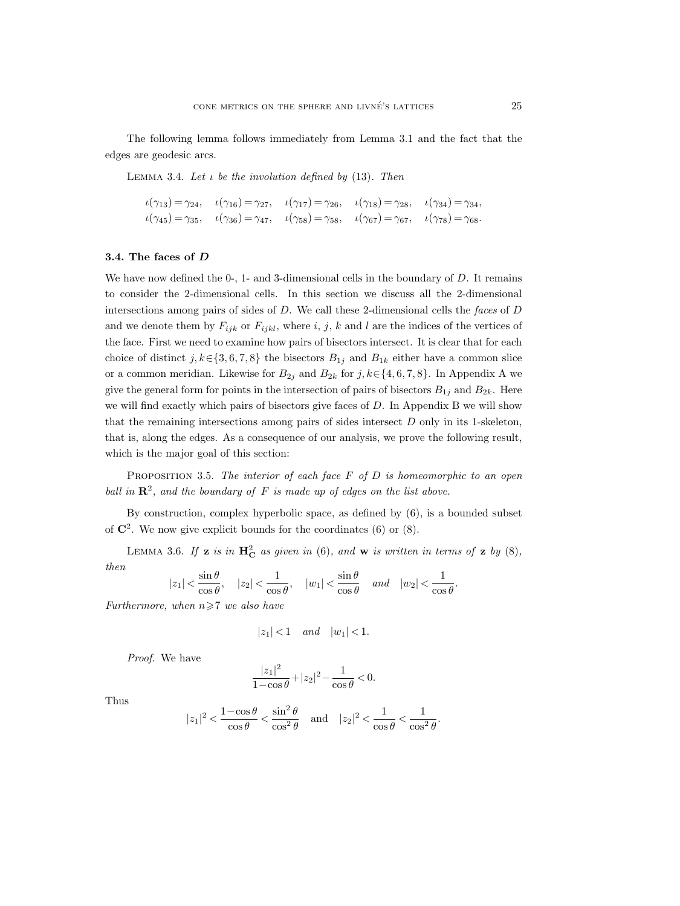The following lemma follows immediately from Lemma 3.1 and the fact that the edges are geodesic arcs.

Lemma 3.4. *Let* ι *be the involution defined by* (13)*. Then*

$$
\begin{aligned}\n\iota(\gamma_{13}) &= \gamma_{24}, & \iota(\gamma_{16}) &= \gamma_{27}, & \iota(\gamma_{17}) &= \gamma_{26}, & \iota(\gamma_{18}) &= \gamma_{28}, & \iota(\gamma_{34}) &= \gamma_{34}, \\
\iota(\gamma_{45}) &= \gamma_{35}, & \iota(\gamma_{36}) &= \gamma_{47}, & \iota(\gamma_{58}) &= \gamma_{58}, & \iota(\gamma_{67}) &= \gamma_{67}, & \iota(\gamma_{78}) &= \gamma_{68}.\n\end{aligned}
$$

## **3.4. The faces of** *D*

We have now defined the  $0-$ , 1- and 3-dimensional cells in the boundary of D. It remains to consider the 2-dimensional cells. In this section we discuss all the 2-dimensional intersections among pairs of sides of D. We call these 2-dimensional cells the *faces* of D and we denote them by  $F_{ijk}$  or  $F_{ijkl}$ , where i, j, k and l are the indices of the vertices of the face. First we need to examine how pairs of bisectors intersect. It is clear that for each choice of distinct j,  $k \in \{3, 6, 7, 8\}$  the bisectors  $B_{1j}$  and  $B_{1k}$  either have a common slice or a common meridian. Likewise for  $B_{2j}$  and  $B_{2k}$  for  $j, k \in \{4, 6, 7, 8\}$ . In Appendix A we give the general form for points in the intersection of pairs of bisectors  $B_{1j}$  and  $B_{2k}$ . Here we will find exactly which pairs of bisectors give faces of D. In Appendix B we will show that the remaining intersections among pairs of sides intersect D only in its 1-skeleton, that is, along the edges. As a consequence of our analysis, we prove the following result, which is the major goal of this section:

Proposition 3.5. *The interior of each face* F *of* D *is homeomorphic to an open ball in*  $\mathbb{R}^2$ *, and the boundary of*  $F$  *is made up of edges on the list above.* 

By construction, complex hyperbolic space, as defined by (6), is a bounded subset of  $\mathbb{C}^2$ . We now give explicit bounds for the coordinates (6) or (8).

LEMMA 3.6. If **z** *is in*  $\mathbf{H}_{\mathbf{C}}^2$  *as given in* (6)*, and* **w** *is written in terms of* **z** *by* (8)*, then*  $\ddot{\cdot}$  $\ddot{\phantom{1}}$ 

$$
|z_1| < \frac{\sin \theta}{\cos \theta}
$$
,  $|z_2| < \frac{1}{\cos \theta}$ ,  $|w_1| < \frac{\sin \theta}{\cos \theta}$  and  $|w_2| < \frac{1}{\cos \theta}$ .

*Furthermore, when*  $n \geq 7$  *we also have* 

$$
|z_1|<1 \quad \textit{and} \quad |w_1|<1.
$$

*Proof.* We have

$$
\frac{|z_1|^2}{1-\cos\theta} + |z_2|^2 - \frac{1}{\cos\theta} < 0.
$$

Thus

$$
|z_1|^2 < \frac{1-\cos \theta}{\cos \theta} < \frac{\sin^2 \theta}{\cos^2 \theta} \quad \text{and} \quad |z_2|^2 < \frac{1}{\cos \theta} < \frac{1}{\cos^2 \theta}.
$$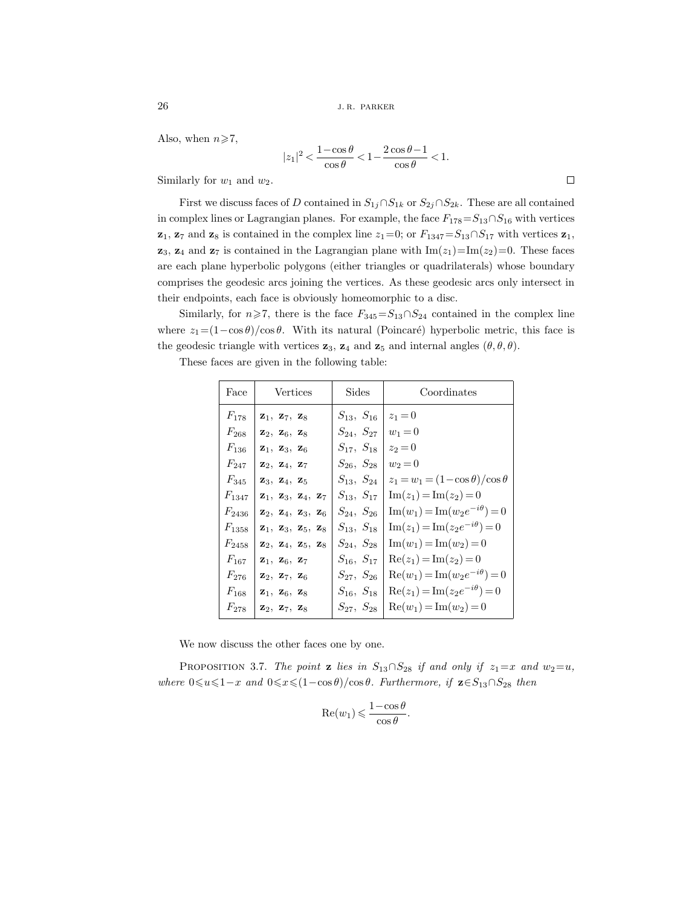Also, when  $n \ge 7$ ,

$$
|z_1|^2<\frac{1-\cos\theta}{\cos\theta}<1-\frac{2\cos\theta-1}{\cos\theta}<1.
$$

Similarly for  $w_1$  and  $w_2$ .

First we discuss faces of D contained in  $S_{1j} \cap S_{1k}$  or  $S_{2j} \cap S_{2k}$ . These are all contained in complex lines or Lagrangian planes. For example, the face  $F_{178} = S_{13} \cap S_{16}$  with vertices **z**<sub>1</sub>, **z**<sub>7</sub> and **z**<sub>8</sub> is contained in the complex line  $z_1=0$ ; or  $F_{1347}=S_{13}\cap S_{17}$  with vertices **z**<sub>1</sub>, **z**<sub>3</sub>, **z**<sub>4</sub> and **z**<sub>7</sub> is contained in the Lagrangian plane with  $\text{Im}(z_1) = \text{Im}(z_2) = 0$ . These faces are each plane hyperbolic polygons (either triangles or quadrilaterals) whose boundary comprises the geodesic arcs joining the vertices. As these geodesic arcs only intersect in their endpoints, each face is obviously homeomorphic to a disc.

Similarly, for  $n\geq 7$ , there is the face  $F_{345}=S_{13}\cap S_{24}$  contained in the complex line where  $z_1=(1-\cos\theta)/\cos\theta$ . With its natural (Poincaré) hyperbolic metric, this face is the geodesic triangle with vertices  $z_3$ ,  $z_4$  and  $z_5$  and internal angles  $(\theta, \theta, \theta)$ .

These faces are given in the following table:

| Face       | Vertices                                                 | Sides            | Coordinates                                        |
|------------|----------------------------------------------------------|------------------|----------------------------------------------------|
| $F_{178}$  | $\mathbf{z}_1, \mathbf{z}_7, \mathbf{z}_8$               | $S_{13}, S_{16}$ | $z_1 = 0$                                          |
| $F_{268}$  | $\mathbf{z}_2, \mathbf{z}_6, \mathbf{z}_8$               | $S_{24}, S_{27}$ | $w_1 = 0$                                          |
| $F_{136}$  | $\mathbf{z}_1, \mathbf{z}_3, \mathbf{z}_6$               | $S_{17}, S_{18}$ | $z_2=0$                                            |
| $F_{247}$  | $\mathbf{z}_2, \mathbf{z}_4, \mathbf{z}_7$               | $S_{26}, S_{28}$ | $w_2 = 0$                                          |
| $F_{345}$  | $\mathbf{z}_3, \mathbf{z}_4, \mathbf{z}_5$               | $S_{13}, S_{24}$ | $z_1 = w_1 = (1 - \cos \theta)/\cos \theta$        |
| $F_{1347}$ | $\mathbf{z}_1, \mathbf{z}_3, \mathbf{z}_4, \mathbf{z}_7$ | $S_{13}, S_{17}$ | $\text{Im}(z_1) = \text{Im}(z_2) = 0$              |
| $F_{2436}$ | $\mathbf{z}_2, \mathbf{z}_4, \mathbf{z}_3, \mathbf{z}_6$ | $S_{24}, S_{26}$ | $\text{Im}(w_1) = \text{Im}(w_2 e^{-i\theta}) = 0$ |
| $F_{1358}$ | $\mathbf{z}_1, \mathbf{z}_3, \mathbf{z}_5, \mathbf{z}_8$ | $S_{13}, S_{18}$ | $\text{Im}(z_1) = \text{Im}(z_2 e^{-i\theta}) = 0$ |
| $F_{2458}$ | $\mathbf{z}_2, \mathbf{z}_4, \mathbf{z}_5, \mathbf{z}_8$ | $S_{24}, S_{28}$ | $\text{Im}(w_1) = \text{Im}(w_2) = 0$              |
| $F_{167}$  | $z_1, z_6, z_7$                                          | $S_{16}, S_{17}$ | $\text{Re}(z_1) = \text{Im}(z_2) = 0$              |
| $F_{276}$  | $\mathbf{z}_2, \mathbf{z}_7, \mathbf{z}_6$               | $S_{27}, S_{26}$ | $\text{Re}(w_1) = \text{Im}(w_2 e^{-i\theta}) = 0$ |
| $F_{168}$  | $\mathbf{z}_1, \ \mathbf{z}_6, \ \mathbf{z}_8$           | $S_{16}, S_{18}$ | $\text{Re}(z_1) = \text{Im}(z_2 e^{-i\theta}) = 0$ |
| $F_{278}$  | $\mathbf{z}_2, \mathbf{z}_7, \mathbf{z}_8$               | $S_{27}, S_{28}$ | $\text{Re}(w_1) = \text{Im}(w_2) = 0$              |

We now discuss the other faces one by one.

PROPOSITION 3.7. *The point* **z** *lies in*  $S_{13} \cap S_{28}$  *if and only if*  $z_1 = x$  *and*  $w_2 = u$ *,*  $where \ 0 \le x \le (1 - \cos \theta)/\cos \theta$ . Furthermore, if **z**∈S<sub>13</sub>∩S<sub>28</sub> then

$$
\operatorname{Re}(w_1) \leqslant \frac{1 - \cos \theta}{\cos \theta}.
$$

 $\Box$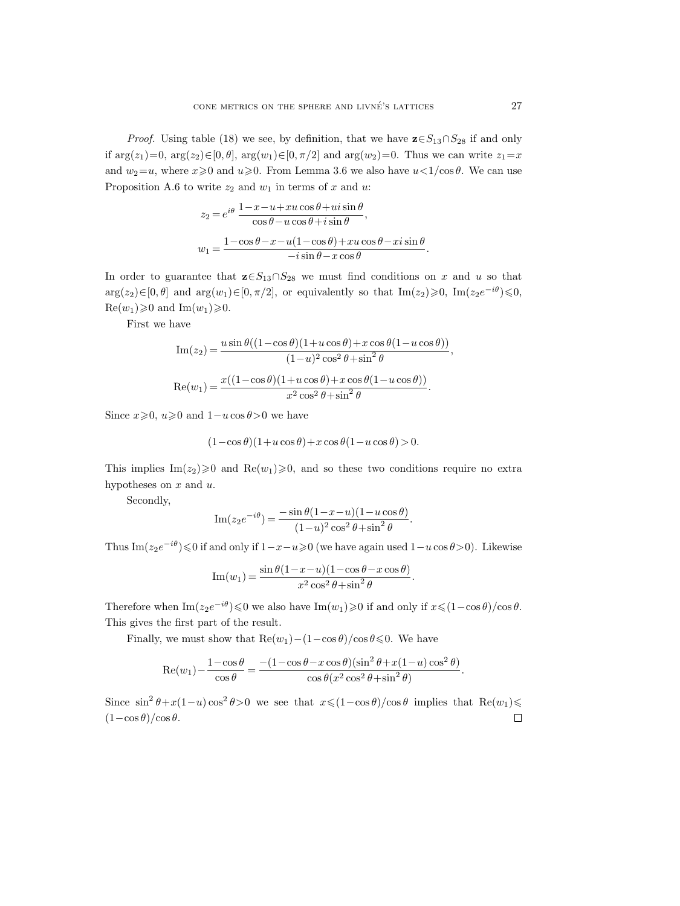*Proof.* Using table (18) we see, by definition, that we have  $\mathbf{z} \in S_{13} \cap S_{28}$  if and only if  $\arg(z_1)=0$ ,  $\arg(z_2)\in[0, \theta]$ ,  $\arg(w_1)\in[0, \pi/2]$  and  $\arg(w_2)=0$ . Thus we can write  $z_1=x$ and  $w_2=u$ , where  $x\geq0$  and  $u\geq0$ . From Lemma 3.6 we also have  $u<1/\cos\theta$ . We can use Proposition A.6 to write  $z_2$  and  $w_1$  in terms of x and u:

$$
\begin{split} z_2&=e^{i\theta}\,\frac{1-x-u+xu\cos\theta+ui\sin\theta}{\cos\theta-u\cos\theta+i\sin\theta},\\ w_1&=\frac{1-\cos\theta-x-u(1-\cos\theta)+xu\cos\theta-xi\sin\theta}{-i\sin\theta-x\cos\theta}. \end{split}
$$

In order to guarantee that  $\mathbf{z} \in S_{13} \cap S_{28}$  we must find conditions on x and u so that  $arg(z_2) \in [0, \theta]$  and  $arg(w_1) \in [0, \pi/2]$ , or equivalently so that  $Im(z_2) \ge 0$ ,  $Im(z_2e^{-i\theta}) \le 0$ ,  $\text{Re}(w_1)\geqslant 0$  and  $\text{Im}(w_1)\geqslant 0$ .

First we have

$$
\begin{aligned} \mathrm{Im}(z_2)&=\frac{u\sin\theta((1-\cos\theta)(1+u\cos\theta)+x\cos\theta(1-u\cos\theta))}{(1-u)^2\cos^2\theta+\sin^2\theta},\\ \mathrm{Re}(w_1)&=\frac{x((1-\cos\theta)(1+u\cos\theta)+x\cos\theta(1-u\cos\theta))}{x^2\cos^2\theta+\sin^2\theta}. \end{aligned}
$$

Since  $x\ge0$ ,  $u\ge0$  and  $1-u\cos\theta>0$  we have

$$
(1-\cos\theta)(1+u\cos\theta)+x\cos\theta(1-u\cos\theta)>0.
$$

This implies  $\text{Im}(z_2)\geq0$  and  $\text{Re}(w_1)\geq0$ , and so these two conditions require no extra hypotheses on  $x$  and  $u$ .

Secondly,

$$
\operatorname{Im}(z_2 e^{-i\theta}) = \frac{-\sin\theta(1-x-u)(1-u\cos\theta)}{(1-u)^2\cos^2\theta + \sin^2\theta}.
$$

Thus Im $(z_2e^{-i\theta}) \le 0$  if and only if  $1-x-u\ge 0$  (we have again used  $1-u\cos\theta > 0$ ). Likewise

$$
\operatorname{Im}(w_1) = \frac{\sin \theta (1 - x - u)(1 - \cos \theta - x \cos \theta)}{x^2 \cos^2 \theta + \sin^2 \theta}.
$$

Therefore when  $\text{Im}(z_2e^{-i\theta}) \leq 0$  we also have  $\text{Im}(w_1) \geq 0$  if and only if  $x \leq (1-\cos\theta)/\cos\theta$ . This gives the first part of the result.

Finally, we must show that  $\text{Re}(w_1) - (1 - \cos \theta)/\cos \theta \leq 0$ . We have

$$
\operatorname{Re}(w_1) - \frac{1 - \cos \theta}{\cos \theta} = \frac{-(1 - \cos \theta - x \cos \theta)(\sin^2 \theta + x(1 - u)\cos^2 \theta)}{\cos \theta (x^2 \cos^2 \theta + \sin^2 \theta)}.
$$

Since  $\sin^2 \theta + x(1-u)\cos^2 \theta > 0$  we see that  $x \leq (1-\cos \theta)/\cos \theta$  implies that  $\text{Re}(w_1) \leq$  $(1-\cos\theta)/\cos\theta$ .  $\Box$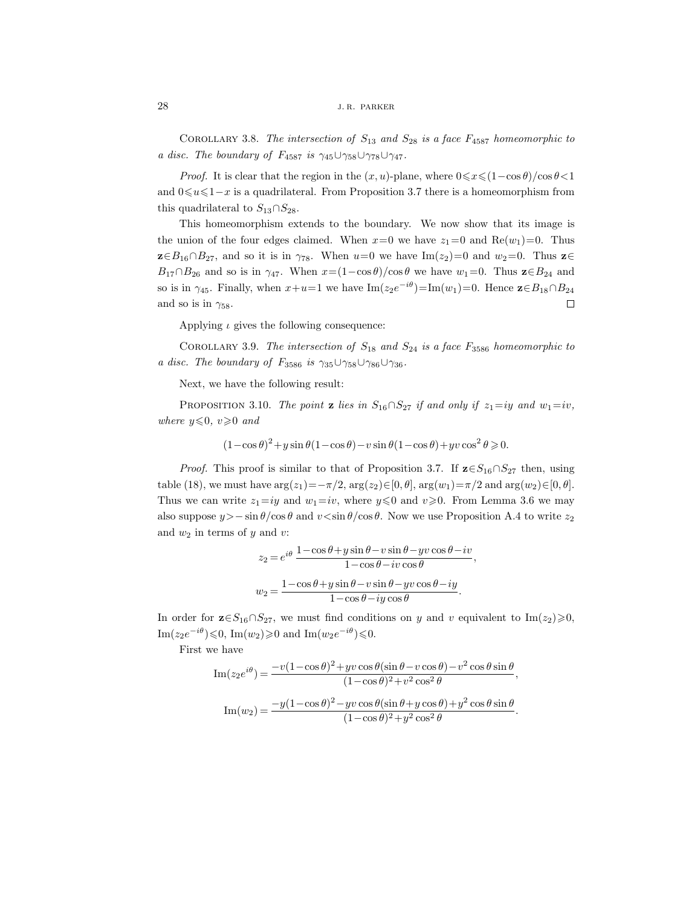COROLLARY 3.8. *The intersection of*  $S_{13}$  *and*  $S_{28}$  *is a face*  $F_{4587}$  *homeomorphic to a disc. The boundary of F<sub>4587</sub> is*  $\gamma_{45}\cup\gamma_{58}\cup\gamma_{78}\cup\gamma_{47}$ .

*Proof.* It is clear that the region in the  $(x, u)$ -plane, where  $0 \le x \le (1 - \cos \theta)/\cos \theta < 1$ and  $0 \leq u \leq 1-x$  is a quadrilateral. From Proposition 3.7 there is a homeomorphism from this quadrilateral to  $S_{13} \cap S_{28}$ .

This homeomorphism extends to the boundary. We now show that its image is the union of the four edges claimed. When  $x=0$  we have  $z_1=0$  and  $Re(w_1)=0$ . Thus  $\mathbf{z} \in B_{16} \cap B_{27}$ , and so it is in  $\gamma_{78}$ . When  $u=0$  we have Im( $z_2$ )=0 and  $w_2=0$ . Thus  $\mathbf{z} \in B_{16} \cap B_{27}$ .  $B_{17} \cap B_{26}$  and so is in  $\gamma_{47}$ . When  $x=(1-\cos\theta)/\cos\theta$  we have  $w_1=0$ . Thus  $\mathbf{z}\in B_{24}$  and so is in  $\gamma_{45}$ . Finally, when  $x+u=1$  we have Im $(z_2e^{-i\theta})=Im(w_1)=0$ . Hence  $\mathbf{z}\in B_{18}\cap B_{24}$ and so is in  $\gamma_{58}$ .  $\Box$ 

Applying  $\iota$  gives the following consequence:

COROLLARY 3.9. *The intersection of*  $S_{18}$  *and*  $S_{24}$  *is a face*  $F_{3586}$  *homeomorphic to a disc. The boundary of F*<sub>3586</sub> *is*  $\gamma_{35}\cup\gamma_{58}\cup\gamma_{86}\cup\gamma_{36}$ .

Next, we have the following result:

PROPOSITION 3.10. *The point* **z** *lies in*  $S_{16} \cap S_{27}$  *if and only if*  $z_1 = iy$  *and*  $w_1 = iv$ *,*  $where \ y \leqslant 0, \ v \geqslant 0 \ and$ 

$$
(1 - \cos \theta)^2 + y \sin \theta (1 - \cos \theta) - v \sin \theta (1 - \cos \theta) + yv \cos^2 \theta \ge 0.
$$

*Proof.* This proof is similar to that of Proposition 3.7. If  $\mathbf{z} \in S_{16} \cap S_{27}$  then, using table (18), we must have  $\arg(z_1)=-\pi/2$ ,  $\arg(z_2) \in [0, \theta]$ ,  $\arg(w_1)=\pi/2$  and  $\arg(w_2) \in [0, \theta]$ . Thus we can write  $z_1 = iy$  and  $w_1 = iv$ , where  $y \le 0$  and  $v \ge 0$ . From Lemma 3.6 we may also suppose  $y > -\sin \theta / \cos \theta$  and  $v < \sin \theta / \cos \theta$ . Now we use Proposition A.4 to write  $z_2$ and  $w_2$  in terms of  $y$  and  $v$ :

$$
z_2 = e^{i\theta} \frac{1 - \cos \theta + y \sin \theta - v \sin \theta - yv \cos \theta - iv}{1 - \cos \theta - iv \cos \theta},
$$

$$
w_2 = \frac{1 - \cos \theta + y \sin \theta - v \sin \theta - yv \cos \theta - iy}{1 - \cos \theta - iy \cos \theta}.
$$

In order for  $\mathbf{z} \in S_{16} \cap S_{27}$ , we must find conditions on y and v equivalent to Im(z<sub>2</sub>) $\geqslant$ 0, Im( $z_2e^{-i\theta}$ ) ≤0, Im( $w_2$ ) ≥0 and Im( $w_2e^{-i\theta}$ ) ≤0.

First we have

$$
\mathrm{Im}(z_2 e^{i\theta}) = \frac{-v(1-\cos\theta)^2 + yv\cos\theta(\sin\theta - v\cos\theta) - v^2\cos\theta\sin\theta}{(1-\cos\theta)^2 + v^2\cos^2\theta},
$$

$$
\mathrm{Im}(w_2) = \frac{-y(1-\cos\theta)^2 - yv\cos\theta(\sin\theta + y\cos\theta) + y^2\cos\theta\sin\theta}{(1-\cos\theta)^2 + y^2\cos^2\theta}.
$$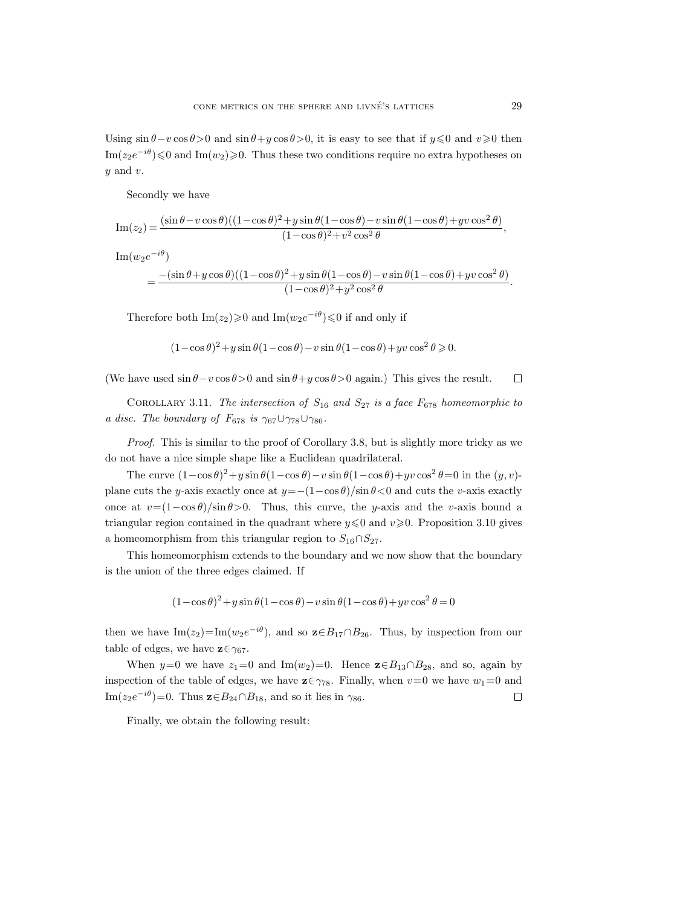Using  $\sin \theta - v \cos \theta > 0$  and  $\sin \theta + y \cos \theta > 0$ , it is easy to see that if  $y \le 0$  and  $v \ge 0$  then Im $(z_2e^{-i\theta}) \leq 0$  and Im $(w_2) \geq 0$ . Thus these two conditions require no extra hypotheses on  $y$  and  $v$ .

Secondly we have

$$
\operatorname{Im}(z_2) = \frac{(\sin \theta - v \cos \theta)((1 - \cos \theta)^2 + y \sin \theta (1 - \cos \theta) - v \sin \theta (1 - \cos \theta) + yv \cos^2 \theta)}{(1 - \cos \theta)^2 + v^2 \cos^2 \theta},
$$

Im( $w_2e^{-i\theta}$ )

$$
=\frac{-(\sin\theta+y\cos\theta)((1-\cos\theta)^2+y\sin\theta(1-\cos\theta)-v\sin\theta(1-\cos\theta)+yv\cos^2\theta)}{(1-\cos\theta)^2+y^2\cos^2\theta}.
$$

Therefore both  $\text{Im}(z_2) \ge 0$  and  $\text{Im}(w_2e^{-i\theta}) \le 0$  if and only if

$$
(1 - \cos \theta)^2 + y \sin \theta (1 - \cos \theta) - v \sin \theta (1 - \cos \theta) + yv \cos^2 \theta \ge 0.
$$

(We have used  $\sin \theta - v \cos \theta > 0$  and  $\sin \theta + y \cos \theta > 0$  again.) This gives the result.  $\Box$ 

COROLLARY 3.11. *The intersection of*  $S_{16}$  *and*  $S_{27}$  *is a face*  $F_{678}$  *homeomorphic to a disc. The boundary of*  $F_{678}$  *is*  $\gamma_{67} \cup \gamma_{78} \cup \gamma_{86}$ *.* 

*Proof.* This is similar to the proof of Corollary 3.8, but is slightly more tricky as we do not have a nice simple shape like a Euclidean quadrilateral.

The curve  $(1-\cos\theta)^2+y\sin\theta(1-\cos\theta)-v\sin\theta(1-\cos\theta)+yv\cos^2\theta=0$  in the  $(y, v)$ plane cuts the y-axis exactly once at  $y=-(1-\cos\theta)/\sin\theta<0$  and cuts the v-axis exactly once at  $v=(1-\cos\theta)/\sin\theta>0$ . Thus, this curve, the y-axis and the v-axis bound a triangular region contained in the quadrant where  $y \le 0$  and  $v \ge 0$ . Proposition 3.10 gives a homeomorphism from this triangular region to  $S_{16} \cap S_{27}$ .

This homeomorphism extends to the boundary and we now show that the boundary is the union of the three edges claimed. If

$$
(1-\cos\theta)^2 + y\sin\theta(1-\cos\theta) - v\sin\theta(1-\cos\theta) + yv\cos^2\theta = 0
$$

then we have Im( $z_2$ )=Im( $w_2e^{-i\theta}$ ), and so  $\mathbf{z} \in B_{17} \cap B_{26}$ . Thus, by inspection from our table of edges, we have  $\mathbf{z} \in \gamma_{67}$ .

When y=0 we have  $z_1=0$  and Im(w<sub>2</sub>)=0. Hence  $\mathbf{z} \in B_{13} \cap B_{28}$ , and so, again by inspection of the table of edges, we have  $\mathbf{z} \in \gamma_{78}$ . Finally, when  $v=0$  we have  $w_1=0$  and Im( $z_2e^{-i\theta}$ )=0. Thus  $\mathbf{z} \in B_{24} \cap B_{18}$ , and so it lies in  $\gamma_{86}$ .  $\Box$ 

Finally, we obtain the following result: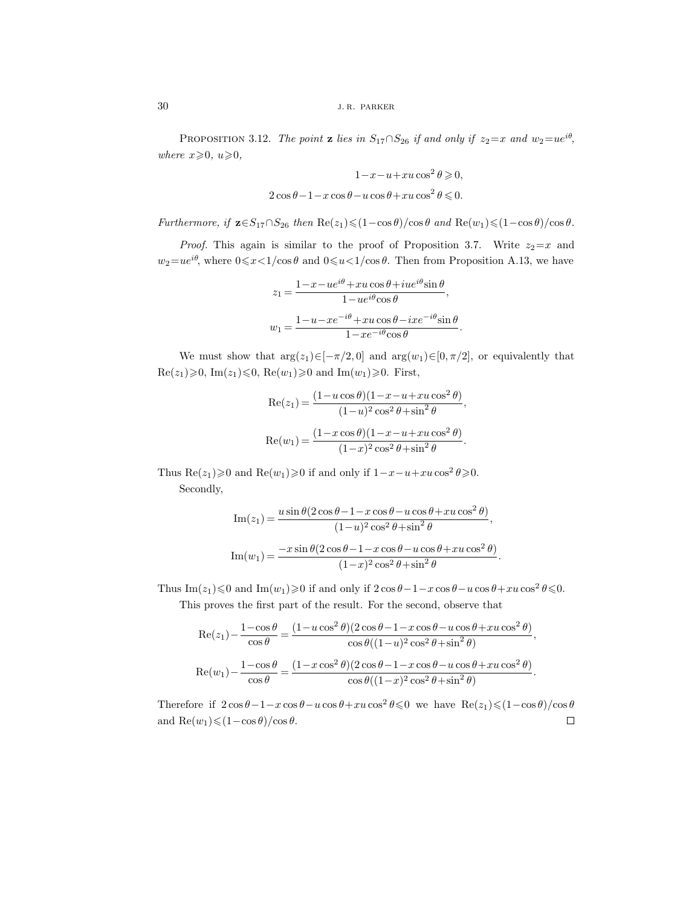PROPOSITION 3.12. *The point* **z** *lies in*  $S_{17} \cap S_{26}$  *if and only if*  $z_2 = x$  *and*  $w_2 = ue^{i\theta}$ *, where*  $x \ge 0$ *, u* $\ge 0$ *,* 

$$
1 - x - u + xu \cos^2 \theta \ge 0,
$$
  

$$
2 \cos \theta - 1 - x \cos \theta - u \cos \theta + xu \cos^2 \theta \le 0.
$$

*Furthermore, if*  $\mathbf{z} \in S_{17} \cap S_{26}$  *then*  $\text{Re}(z_1) \leq (1 - \cos \theta)/\cos \theta$  *and*  $\text{Re}(w_1) \leq (1 - \cos \theta)/\cos \theta$ .

*Proof.* This again is similar to the proof of Proposition 3.7. Write  $z_2=x$  and  $w_2 = ue^{i\theta}$ , where  $0 \le x < 1/\cos \theta$  and  $0 \le u < 1/\cos \theta$ . Then from Proposition A.13, we have

$$
z_1 = \frac{1 - x - ue^{i\theta} + xu\cos\theta + iue^{i\theta}\sin\theta}{1 - ue^{i\theta}\cos\theta},
$$

$$
w_1 = \frac{1 - u - xe^{-i\theta} + xu\cos\theta - ixe^{-i\theta}\sin\theta}{1 - xe^{-i\theta}\cos\theta}.
$$

We must show that  $\arg(z_1) \in [-\pi/2, 0]$  and  $\arg(w_1) \in [0, \pi/2]$ , or equivalently that  $\text{Re}(z_1) \geqslant 0$ ,  $\text{Im}(z_1) \leqslant 0$ ,  $\text{Re}(w_1) \geqslant 0$  and  $\text{Im}(w_1) \geqslant 0$ . First,

$$
\operatorname{Re}(z_1) = \frac{(1 - u\cos\theta)(1 - x - u + xu\cos^2\theta)}{(1 - u)^2 \cos^2\theta + \sin^2\theta},
$$

$$
\operatorname{Re}(w_1) = \frac{(1 - x\cos\theta)(1 - x - u + xu\cos^2\theta)}{(1 - x)^2 \cos^2\theta + \sin^2\theta}.
$$

Thus  $\text{Re}(z_1) \ge 0$  and  $\text{Re}(w_1) \ge 0$  if and only if  $1-x-u+xu\cos^2\theta \ge 0$ . Secondly,

$$
\operatorname{Im}(z_1) = \frac{u \sin \theta (2 \cos \theta - 1 - x \cos \theta - u \cos \theta + xu \cos^2 \theta)}{(1 - u)^2 \cos^2 \theta + \sin^2 \theta},
$$

$$
\operatorname{Im}(w_1) = \frac{-x \sin \theta (2 \cos \theta - 1 - x \cos \theta - u \cos \theta + xu \cos^2 \theta)}{(1 - x)^2 \cos^2 \theta + \sin^2 \theta}.
$$

Thus Im( $z_1$ )  $\leq$  0 and Im( $w_1$ ) $\geq$  0 if and only if  $2 \cos \theta - 1 - x \cos \theta - u \cos \theta + xu \cos^2 \theta \leq 0$ . This proves the first part of the result. For the second, observe that

$$
\operatorname{Re}(z_1) - \frac{1 - \cos\theta}{\cos\theta} = \frac{(1 - u\cos^2\theta)(2\cos\theta - 1 - x\cos\theta - u\cos\theta + xu\cos^2\theta)}{\cos\theta((1 - u)^2\cos^2\theta + \sin^2\theta)},
$$
  

$$
\operatorname{Re}(w_1) - \frac{1 - \cos\theta}{\cos\theta} = \frac{(1 - x\cos^2\theta)(2\cos\theta - 1 - x\cos\theta - u\cos\theta + xu\cos^2\theta)}{\cos\theta((1 - x)^2\cos^2\theta + \sin^2\theta)}.
$$

Therefore if  $2 \cos \theta - 1 - x \cos \theta - u \cos \theta + xu \cos^2 \theta \le 0$  we have  $\text{Re}(z_1) \le (1 - \cos \theta)/\cos \theta$ and  $\text{Re}(w_1) \leq (1 - \cos \theta) / \cos \theta$ .  $\Box$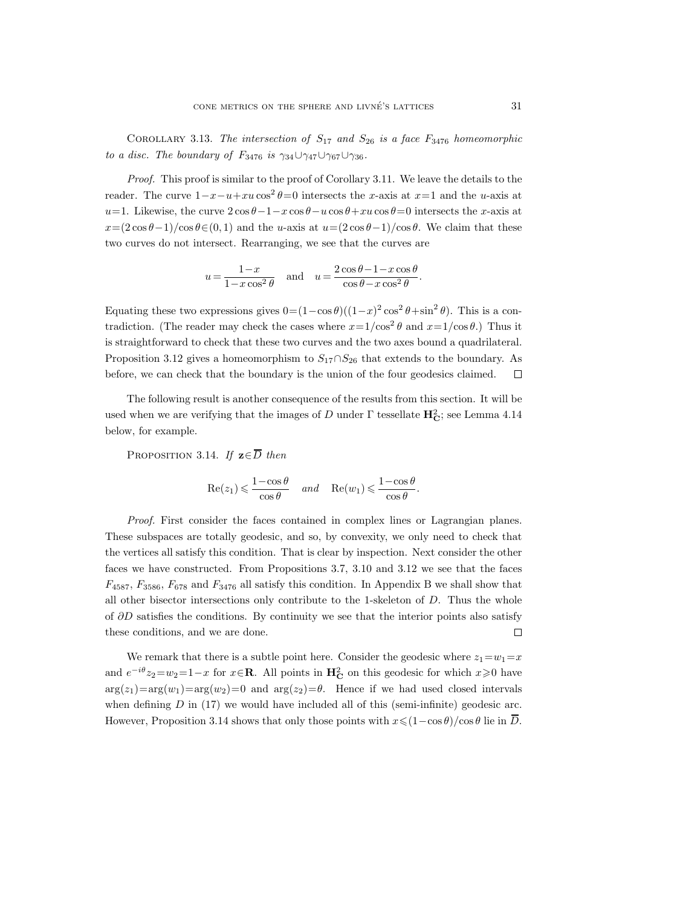COROLLARY 3.13. *The intersection of*  $S_{17}$  *and*  $S_{26}$  *is a face*  $F_{3476}$  *homeomorphic to a disc. The boundary of F*<sub>3476</sub> *is*  $\gamma_{34}\cup\gamma_{47}\cup\gamma_{67}\cup\gamma_{36}$ *.* 

*Proof.* This proof is similar to the proof of Corollary 3.11. We leave the details to the reader. The curve  $1-x-u+xe\cos^2\theta=0$  intersects the x-axis at  $x=1$  and the u-axis at u=1. Likewise, the curve  $2 \cos \theta - 1 - x \cos \theta - u \cos \theta + xu \cos \theta = 0$  intersects the x-axis at  $x=(2\cos\theta-1)/\cos\theta\in(0,1)$  and the u-axis at  $u=(2\cos\theta-1)/\cos\theta$ . We claim that these two curves do not intersect. Rearranging, we see that the curves are

$$
u = \frac{1-x}{1-x\cos^2\theta}
$$
 and  $u = \frac{2\cos\theta - 1 - x\cos\theta}{\cos\theta - x\cos^2\theta}$ .

Equating these two expressions gives  $0=(1-\cos\theta)((1-x)^2\cos^2\theta+\sin^2\theta)$ . This is a contradiction. (The reader may check the cases where  $x=1/\cos^2\theta$  and  $x=1/\cos\theta$ .) Thus it is straightforward to check that these two curves and the two axes bound a quadrilateral. Proposition 3.12 gives a homeomorphism to  $S_{17} \cap S_{26}$  that extends to the boundary. As before, we can check that the boundary is the union of the four geodesics claimed.  $\Box$ 

The following result is another consequence of the results from this section. It will be used when we are verifying that the images of D under  $\Gamma$  tessellate  $\mathbf{H}_{\mathbf{C}}^2$ ; see Lemma 4.14 below, for example.

PROPOSITION 3.14. *If*  $z \in \overline{D}$  *then* 

$$
\mathrm{Re}(z_1) \leqslant \frac{1-\cos{\theta}}{\cos{\theta}} \quad \text{and} \quad \mathrm{Re}(w_1) \leqslant \frac{1-\cos{\theta}}{\cos{\theta}}.
$$

*Proof.* First consider the faces contained in complex lines or Lagrangian planes. These subspaces are totally geodesic, and so, by convexity, we only need to check that the vertices all satisfy this condition. That is clear by inspection. Next consider the other faces we have constructed. From Propositions 3.7, 3.10 and 3.12 we see that the faces  $F_{4587}$ ,  $F_{3586}$ ,  $F_{678}$  and  $F_{3476}$  all satisfy this condition. In Appendix B we shall show that all other bisector intersections only contribute to the 1-skeleton of  $D$ . Thus the whole of  $\partial D$  satisfies the conditions. By continuity we see that the interior points also satisfy these conditions, and we are done.  $\Box$ 

We remark that there is a subtle point here. Consider the geodesic where  $z_1 = w_1 = x$ and  $e^{-i\theta}z_2 = w_2 = 1-x$  for  $x \in \mathbb{R}$ . All points in  $\mathbb{H}_{\mathbb{C}}^2$  on this geodesic for which  $x \geq 0$  have  $arg(z_1)=arg(w_1)=arg(w_2)=0$  and  $arg(z_2)=\theta$ . Hence if we had used closed intervals when defining  $D$  in (17) we would have included all of this (semi-infinite) geodesic arc. However, Proposition 3.14 shows that only those points with  $x \leq (1-\cos\theta)/\cos\theta$  lie in  $\overline{D}$ .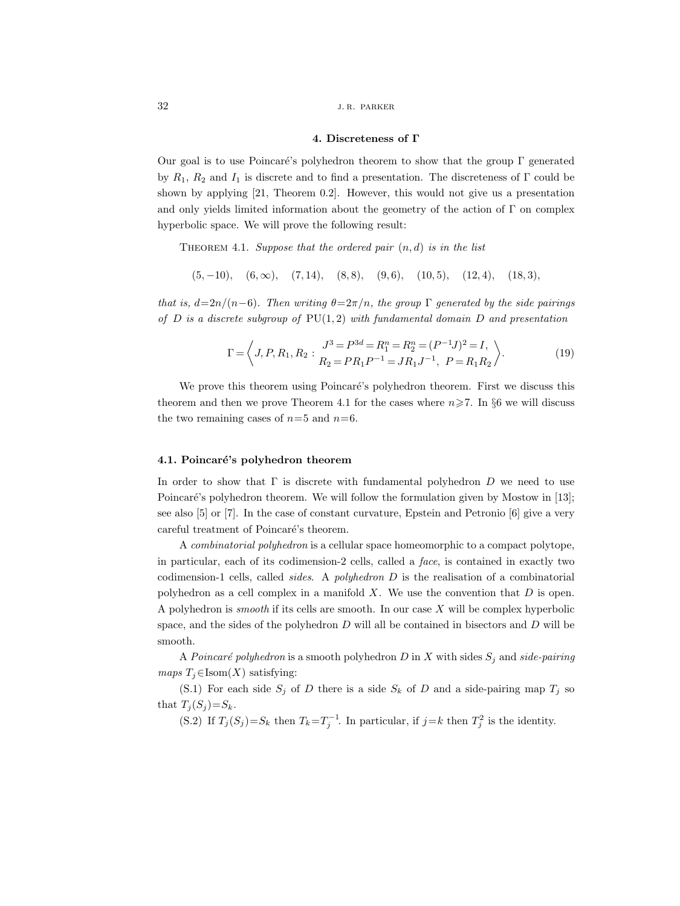#### **4. Discreteness of Γ**

Our goal is to use Poincaré's polyhedron theorem to show that the group  $\Gamma$  generated by  $R_1$ ,  $R_2$  and  $I_1$  is discrete and to find a presentation. The discreteness of Γ could be shown by applying [21, Theorem 0.2]. However, this would not give us a presentation and only yields limited information about the geometry of the action of  $\Gamma$  on complex hyperbolic space. We will prove the following result:

Theorem 4.1. *Suppose that the ordered pair* (n, d) *is in the list*

 $(5, -10), (6, \infty), (7, 14), (8, 8), (9, 6), (10, 5), (12, 4), (18, 3),$ 

*that is,*  $d=2n/(n-6)$ *. Then writing*  $\theta=2\pi/n$ *, the group* Γ *generated by the side pairings of* D *is a discrete subgroup of* PU(1, 2) *with fundamental domain* D *and presentation*

$$
\Gamma = \left\langle J, P, R_1, R_2 : \begin{array}{c} J^3 = P^{3d} = R_1^n = R_2^n = (P^{-1}J)^2 = I, \\ R_2 = P R_1 P^{-1} = J R_1 J^{-1}, \ P = R_1 R_2 \end{array} \right\rangle. \tag{19}
$$

We prove this theorem using Poincaré's polyhedron theorem. First we discuss this theorem and then we prove Theorem 4.1 for the cases where  $n\geq 7$ . In §6 we will discuss the two remaining cases of  $n=5$  and  $n=6$ .

#### 4.1. Poincaré's polyhedron theorem

In order to show that  $\Gamma$  is discrete with fundamental polyhedron D we need to use Poincaré's polyhedron theorem. We will follow the formulation given by Mostow in [13]; see also [5] or [7]. In the case of constant curvature, Epstein and Petronio [6] give a very careful treatment of Poincaré's theorem.

A *combinatorial polyhedron* is a cellular space homeomorphic to a compact polytope, in particular, each of its codimension-2 cells, called a *face*, is contained in exactly two codimension-1 cells, called *sides*. A *polyhedron* D is the realisation of a combinatorial polyhedron as a cell complex in a manifold  $X$ . We use the convention that  $D$  is open. A polyhedron is *smooth* if its cells are smooth. In our case X will be complex hyperbolic space, and the sides of the polyhedron  $D$  will all be contained in bisectors and  $D$  will be smooth.

A *Poincaré polyhedron* is a smooth polyhedron D in X with sides  $S_i$  and *side-pairing maps*  $T_i \in \text{Isom}(X)$  satisfying:

(S.1) For each side  $S_i$  of D there is a side  $S_k$  of D and a side-pairing map  $T_i$  so that  $T_j(S_j)=S_k$ .

(S.2) If  $T_j(S_j) = S_k$  then  $T_k = T_j^{-1}$ . In particular, if  $j = k$  then  $T_j^2$  is the identity.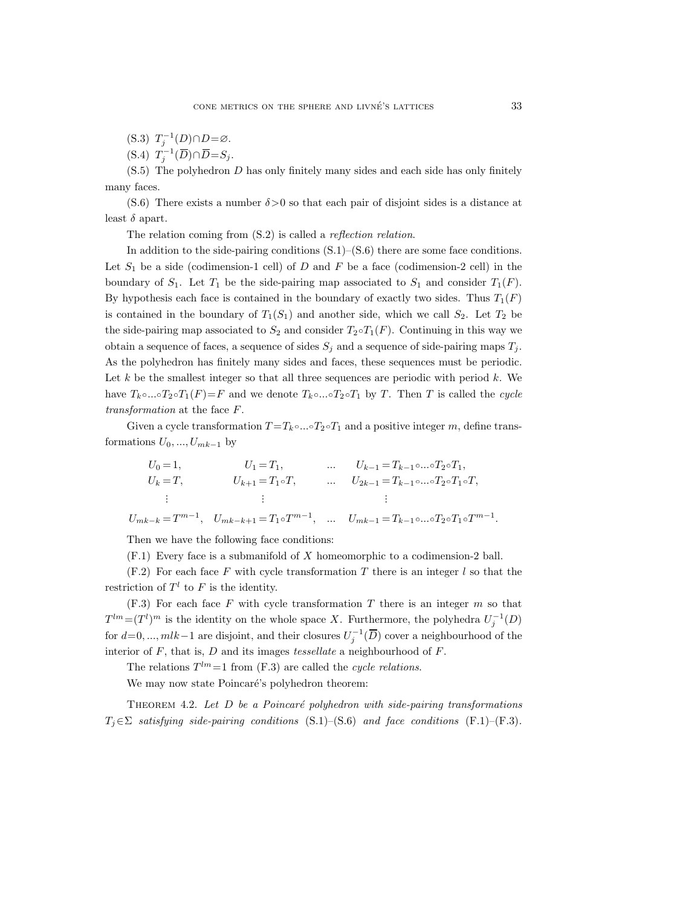(S.3)  $T_j^{-1}(D) \cap D = \emptyset$ .

(S.4)  $T_j^{-1}(\overline{D}) \cap \overline{D} = S_j$ .

(S.5) The polyhedron D has only finitely many sides and each side has only finitely many faces.

(S.6) There exists a number  $\delta > 0$  so that each pair of disjoint sides is a distance at least  $\delta$  apart.

The relation coming from (S.2) is called a *reflection relation*.

In addition to the side-pairing conditions  $(S.1)$ – $(S.6)$  there are some face conditions. Let  $S_1$  be a side (codimension-1 cell) of D and F be a face (codimension-2 cell) in the boundary of  $S_1$ . Let  $T_1$  be the side-pairing map associated to  $S_1$  and consider  $T_1(F)$ . By hypothesis each face is contained in the boundary of exactly two sides. Thus  $T_1(F)$ is contained in the boundary of  $T_1(S_1)$  and another side, which we call  $S_2$ . Let  $T_2$  be the side-pairing map associated to  $S_2$  and consider  $T_2 \circ T_1(F)$ . Continuing in this way we obtain a sequence of faces, a sequence of sides  $S_i$  and a sequence of side-pairing maps  $T_i$ . As the polyhedron has finitely many sides and faces, these sequences must be periodic. Let  $k$  be the smallest integer so that all three sequences are periodic with period  $k$ . We have  $T_k \circ ... \circ T_2 \circ T_1(F) = F$  and we denote  $T_k \circ ... \circ T_2 \circ T_1$  by T. Then T is called the *cycle transformation* at the face F.

Given a cycle transformation  $T = T_k \circ ... \circ T_2 \circ T_1$  and a positive integer m, define transformations  $U_0, ..., U_{mk-1}$  by

$$
U_0 = 1, \t U_1 = T_1, \t ... \t U_{k-1} = T_{k-1} \circ ... \circ T_2 \circ T_1,
$$
  
\n
$$
U_k = T, \t U_{k+1} = T_1 \circ T, \t ... \t U_{2k-1} = T_{k-1} \circ ... \circ T_2 \circ T_1 \circ T,
$$
  
\n
$$
\vdots \t \vdots \t \vdots
$$
  
\n
$$
U_{mk-k} = T^{m-1}, \t U_{mk-k+1} = T_1 \circ T^{m-1}, \t ... \t U_{mk-1} = T_{k-1} \circ ... \circ T_2 \circ T_1 \circ T^{m-1}.
$$

Then we have the following face conditions:

(F.1) Every face is a submanifold of X homeomorphic to a codimension-2 ball.

 $(F.2)$  For each face F with cycle transformation T there is an integer l so that the restriction of  $T^l$  to F is the identity.

 $(F.3)$  For each face F with cycle transformation T there is an integer m so that  $T^{lm} = (T^l)^m$  is the identity on the whole space X. Furthermore, the polyhedra  $U_i^{-1}(D)$ for  $d=0, ..., mlk-1$  are disjoint, and their closures  $U_j^{-1}(\overline{D})$  cover a neighbourhood of the interior of F, that is, D and its images *tessellate* a neighbourhood of F.

The relations  $T^{lm}=1$  from (F.3) are called the *cycle relations*.

We may now state Poincaré's polyhedron theorem:

THEOREM 4.2. Let D be a Poincaré polyhedron with side-pairing transformations  $T_i \in \Sigma$  *satisfying side-pairing conditions* (S.1)–(S.6) *and face conditions* (F.1)–(F.3)*.*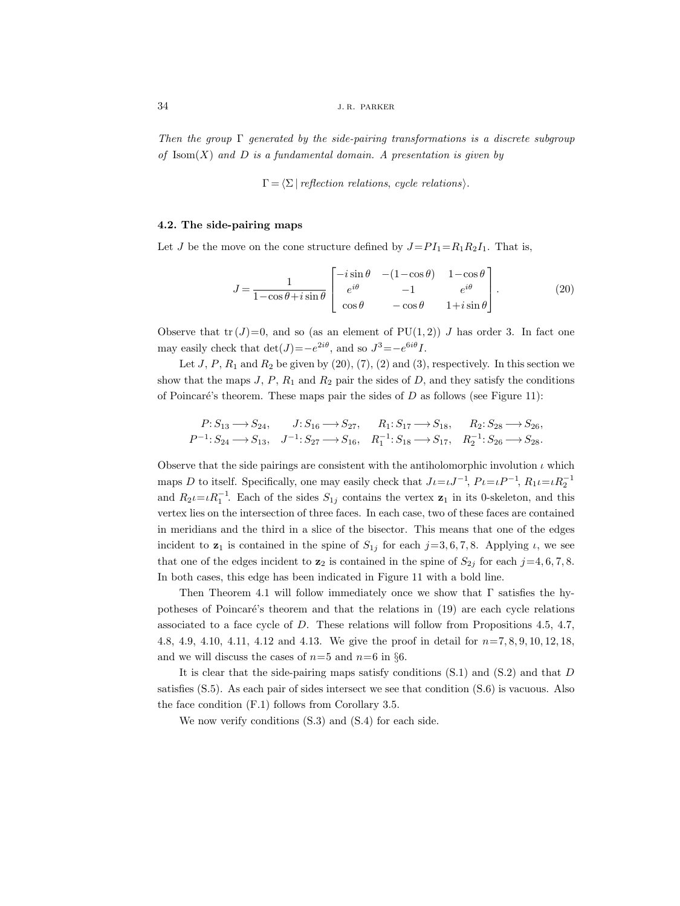*Then the group* Γ *generated by the side-pairing transformations is a discrete subgroup of* Isom(X) *and* D *is a fundamental domain. A presentation is given by*

 $\Gamma = \langle \Sigma \mid reflection \; relations, \; cycle \; relations \rangle.$ 

#### **4.2. The side-pairing maps**

Let J be the move on the cone structure defined by  $J=PI_1=R_1R_2I_1$ . That is,

$$
J = \frac{1}{1 - \cos\theta + i\sin\theta} \begin{bmatrix} -i\sin\theta & -(1 - \cos\theta) & 1 - \cos\theta \\ e^{i\theta} & -1 & e^{i\theta} \\ \cos\theta & -\cos\theta & 1 + i\sin\theta \end{bmatrix} . \tag{20}
$$

Observe that  $tr(J)=0$ , and so (as an element of  $PU(1, 2)$ ) J has order 3. In fact one may easily check that  $\det(J)=-e^{2i\theta}$ , and so  $J^3=-e^{6i\theta}I$ .

Let  $J, P, R_1$  and  $R_2$  be given by  $(20), (7), (2)$  and  $(3),$  respectively. In this section we show that the maps  $J, P, R_1$  and  $R_2$  pair the sides of  $D$ , and they satisfy the conditions of Poincaré's theorem. These maps pair the sides of  $D$  as follows (see Figure 11):

$$
\begin{aligned} P: S_{13} &\longrightarrow S_{24}, & J: S_{16} &\longrightarrow S_{27}, & R_1: S_{17} &\longrightarrow S_{18}, & R_2: S_{28} &\longrightarrow S_{26}, \\ P^{-1}: S_{24} &\longrightarrow S_{13}, & J^{-1}: S_{27} &\longrightarrow S_{16}, & R_1^{-1}: S_{18} &\longrightarrow S_{17}, & R_2^{-1}: S_{26} &\longrightarrow S_{28}. \end{aligned}
$$

Observe that the side pairings are consistent with the antiholomorphic involution  $\iota$  which maps D to itself. Specifically, one may easily check that  $J\iota = \iota J^{-1}$ ,  $P\iota = \iota P^{-1}$ ,  $R_1\iota = \iota R_2^{-1}$ and  $R_2\iota=\iota R_1^{-1}$ . Each of the sides  $S_{1j}$  contains the vertex  $\mathbf{z}_1$  in its 0-skeleton, and this vertex lies on the intersection of three faces. In each case, two of these faces are contained in meridians and the third in a slice of the bisector. This means that one of the edges incident to **z**<sub>1</sub> is contained in the spine of  $S_{1j}$  for each  $j=3, 6, 7, 8$ . Applying  $\iota$ , we see that one of the edges incident to  $\mathbf{z}_2$  is contained in the spine of  $S_{2j}$  for each  $j=4, 6, 7, 8$ . In both cases, this edge has been indicated in Figure 11 with a bold line.

Then Theorem 4.1 will follow immediately once we show that  $\Gamma$  satisfies the hypotheses of Poincaré's theorem and that the relations in  $(19)$  are each cycle relations associated to a face cycle of D. These relations will follow from Propositions 4.5, 4.7, 4.8, 4.9, 4.10, 4.11, 4.12 and 4.13. We give the proof in detail for  $n=7, 8, 9, 10, 12, 18$ , and we will discuss the cases of  $n=5$  and  $n=6$  in §6.

It is clear that the side-pairing maps satisfy conditions  $(S.1)$  and  $(S.2)$  and that D satisfies (S.5). As each pair of sides intersect we see that condition (S.6) is vacuous. Also the face condition (F.1) follows from Corollary 3.5.

We now verify conditions (S.3) and (S.4) for each side.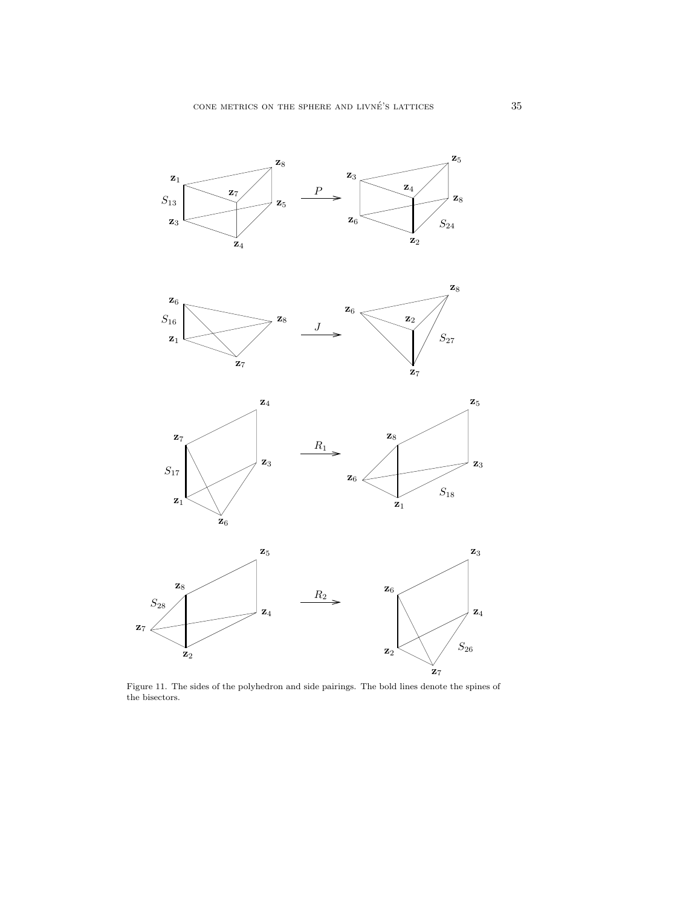



**z**1

**z**1

Figure 11. The sides of the polyhedron and side pairings. The bold lines denote the spines of the bisectors.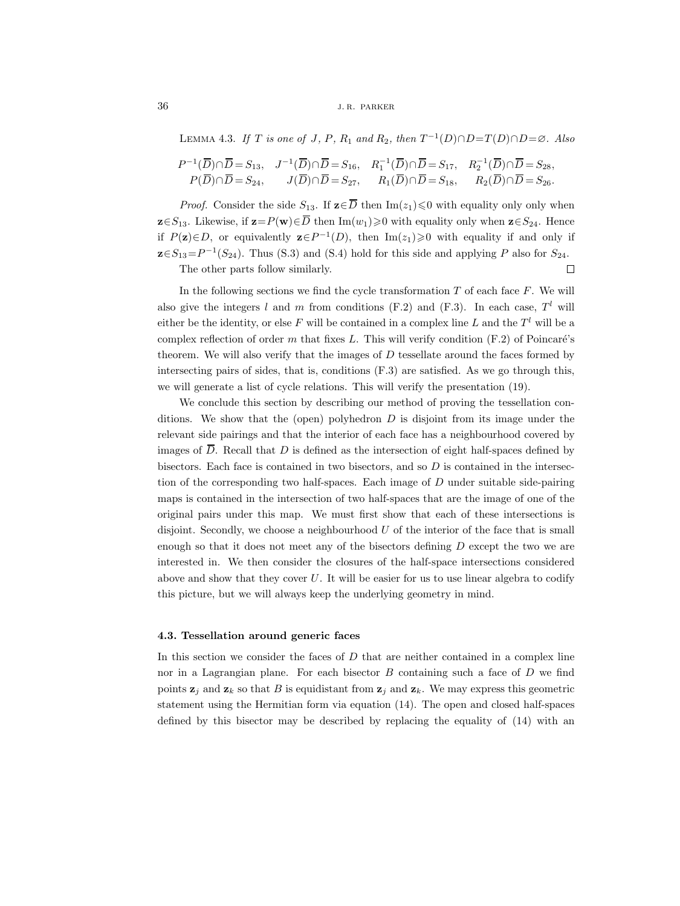LEMMA 4.3. *If*  $T$  *is one of*  $J$ *,*  $P$ *,*  $R_1$  *and*  $R_2$ *, then*  $T^{-1}(D) \cap D = T(D) \cap D = \emptyset$ *. Also* 

$$
P^{-1}(\overline{D}) \cap \overline{D} = S_{13}, \quad J^{-1}(\overline{D}) \cap \overline{D} = S_{16}, \quad R_1^{-1}(\overline{D}) \cap \overline{D} = S_{17}, \quad R_2^{-1}(\overline{D}) \cap \overline{D} = S_{28},
$$
  

$$
P(\overline{D}) \cap \overline{D} = S_{24}, \quad J(\overline{D}) \cap \overline{D} = S_{27}, \quad R_1(\overline{D}) \cap \overline{D} = S_{18}, \quad R_2(\overline{D}) \cap \overline{D} = S_{26}.
$$

*Proof.* Consider the side  $S_{13}$ . If  $\mathbf{z} \in \overline{D}$  then  $\text{Im}(z_1) \leq 0$  with equality only only when **z**∈S<sub>13</sub>. Likewise, if **z**=P(**w**)∈ $\overline{D}$  then Im( $w_1$ )≥0 with equality only when **z**∈S<sub>24</sub>. Hence if  $P(z) \in D$ , or equivalently  $z \in P^{-1}(D)$ , then Im(z<sub>1</sub>)≥0 with equality if and only if  $\mathbf{z} \in S_{13} = P^{-1}(S_{24})$ . Thus (S.3) and (S.4) hold for this side and applying P also for  $S_{24}$ .  $\Box$ 

The other parts follow similarly.

In the following sections we find the cycle transformation  $T$  of each face  $F$ . We will also give the integers l and m from conditions (F.2) and (F.3). In each case,  $T<sup>l</sup>$  will either be the identity, or else F will be contained in a complex line L and the  $T<sup>l</sup>$  will be a complex reflection of order m that fixes L. This will verify condition  $(F.2)$  of Poincaré's theorem. We will also verify that the images of  $D$  tessellate around the faces formed by intersecting pairs of sides, that is, conditions (F.3) are satisfied. As we go through this, we will generate a list of cycle relations. This will verify the presentation (19).

We conclude this section by describing our method of proving the tessellation conditions. We show that the (open) polyhedron  $D$  is disjoint from its image under the relevant side pairings and that the interior of each face has a neighbourhood covered by images of  $\overline{D}$ . Recall that D is defined as the intersection of eight half-spaces defined by bisectors. Each face is contained in two bisectors, and so  $D$  is contained in the intersection of the corresponding two half-spaces. Each image of  $D$  under suitable side-pairing maps is contained in the intersection of two half-spaces that are the image of one of the original pairs under this map. We must first show that each of these intersections is disjoint. Secondly, we choose a neighbourhood  $U$  of the interior of the face that is small enough so that it does not meet any of the bisectors defining  $D$  except the two we are interested in. We then consider the closures of the half-space intersections considered above and show that they cover  $U$ . It will be easier for us to use linear algebra to codify this picture, but we will always keep the underlying geometry in mind.

#### **4.3. Tessellation around generic faces**

In this section we consider the faces of  $D$  that are neither contained in a complex line nor in a Lagrangian plane. For each bisector  $B$  containing such a face of  $D$  we find points  $z_j$  and  $z_k$  so that B is equidistant from  $z_j$  and  $z_k$ . We may express this geometric statement using the Hermitian form via equation (14). The open and closed half-spaces defined by this bisector may be described by replacing the equality of (14) with an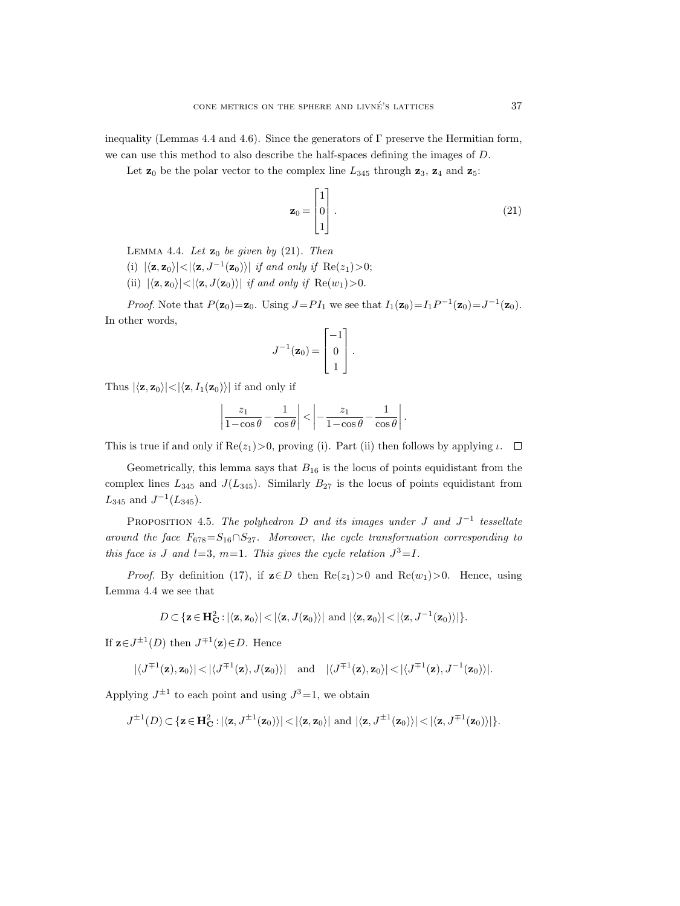inequality (Lemmas 4.4 and 4.6). Since the generators of  $\Gamma$  preserve the Hermitian form, we can use this method to also describe the half-spaces defining the images of D.

Let  $\mathbf{z}_0$  be the polar vector to the complex line  $L_{345}$  through  $\mathbf{z}_3$ ,  $\mathbf{z}_4$  and  $\mathbf{z}_5$ :

$$
\mathbf{z}_0 = \begin{bmatrix} 1 \\ 0 \\ 1 \end{bmatrix} . \tag{21}
$$

LEMMA 4.4. Let  $\mathbf{z}_0$  be given by  $(21)$ . Then

- (i)  $|\langle \mathbf{z}, \mathbf{z}_0 \rangle| < |\langle \mathbf{z}, J^{-1}(\mathbf{z}_0) \rangle|$  *if and only if*  $\text{Re}(z_1) > 0$ ;
- (ii)  $|\langle \mathbf{z}, \mathbf{z}_0 \rangle| < |\langle \mathbf{z}, J(\mathbf{z}_0) \rangle|$  *if and only if*  $\text{Re}(w_1) > 0$ .

*Proof.* Note that  $P(\mathbf{z}_0) = \mathbf{z}_0$ . Using  $J = PI_1$  we see that  $I_1(\mathbf{z}_0) = I_1P^{-1}(\mathbf{z}_0) = J^{-1}(\mathbf{z}_0)$ . In other words,

$$
J^{-1}(\mathbf{z}_0) = \begin{bmatrix} -1 \\ 0 \\ 1 \end{bmatrix}.
$$

Thus  $|\langle \mathbf{z}, \mathbf{z}_0 \rangle| < |\langle \mathbf{z}, I_1(\mathbf{z}_0) \rangle|$  if and only if

$$
\left|\frac{z_1}{1-\cos\theta} - \frac{1}{\cos\theta}\right| < \left| -\frac{z_1}{1-\cos\theta} - \frac{1}{\cos\theta} \right|.
$$

This is true if and only if  $\text{Re}(z_1) > 0$ , proving (i). Part (ii) then follows by applying  $\iota$ .  $\Box$ 

Geometrically, this lemma says that  $B_{16}$  is the locus of points equidistant from the complex lines  $L_{345}$  and  $J(L_{345})$ . Similarly  $B_{27}$  is the locus of points equidistant from  $L_{345}$  and  $J^{-1}(L_{345})$ .

Proposition 4.5. *The polyhedron* D *and its images under* J *and* J−<sup>1</sup> *tessellate around the face*  $F_{678} = S_{16} \cap S_{27}$ . Moreover, the cycle transformation corresponding to *this face is* J *and*  $l=3$ *, m*=1*. This gives the cycle relation*  $J^3=I$ *.* 

*Proof.* By definition (17), if  $\mathbf{z} \in D$  then  $\text{Re}(z_1) > 0$  and  $\text{Re}(w_1) > 0$ . Hence, using Lemma 4.4 we see that

$$
D\subset \{\mathbf{z}\in \mathbf{H}^2_{\mathbf{C}}: |\langle \mathbf{z}, \mathbf{z}_0\rangle| < |\langle \mathbf{z}, J(\mathbf{z}_0)\rangle| \text{ and } |\langle \mathbf{z}, \mathbf{z}_0\rangle| < |\langle \mathbf{z}, J^{-1}(\mathbf{z}_0)\rangle| \}.
$$

If  $\mathbf{z} \in J^{\pm 1}(D)$  then  $J^{\mp 1}(\mathbf{z}) \in D$ . Hence

$$
|\langle J^{\mp 1}(\mathbf{z}), \mathbf{z}_0 \rangle| < |\langle J^{\mp 1}(\mathbf{z}), J(\mathbf{z}_0) \rangle|
$$
 and  $|\langle J^{\mp 1}(\mathbf{z}), \mathbf{z}_0 \rangle| < |\langle J^{\mp 1}(\mathbf{z}), J^{-1}(\mathbf{z}_0) \rangle|$ .

Applying  $J^{\pm 1}$  to each point and using  $J^3=1$ , we obtain

$$
J^{\pm 1}(D) \subset \{ \mathbf{z} \in \mathbf{H}^2_{\mathbf{C}} : |\langle \mathbf{z}, J^{\pm 1}(\mathbf{z}_0) \rangle| < |\langle \mathbf{z}, \mathbf{z}_0 \rangle| \text{ and } |\langle \mathbf{z}, J^{\pm 1}(\mathbf{z}_0) \rangle| < |\langle \mathbf{z}, J^{\mp 1}(\mathbf{z}_0) \rangle| \}.
$$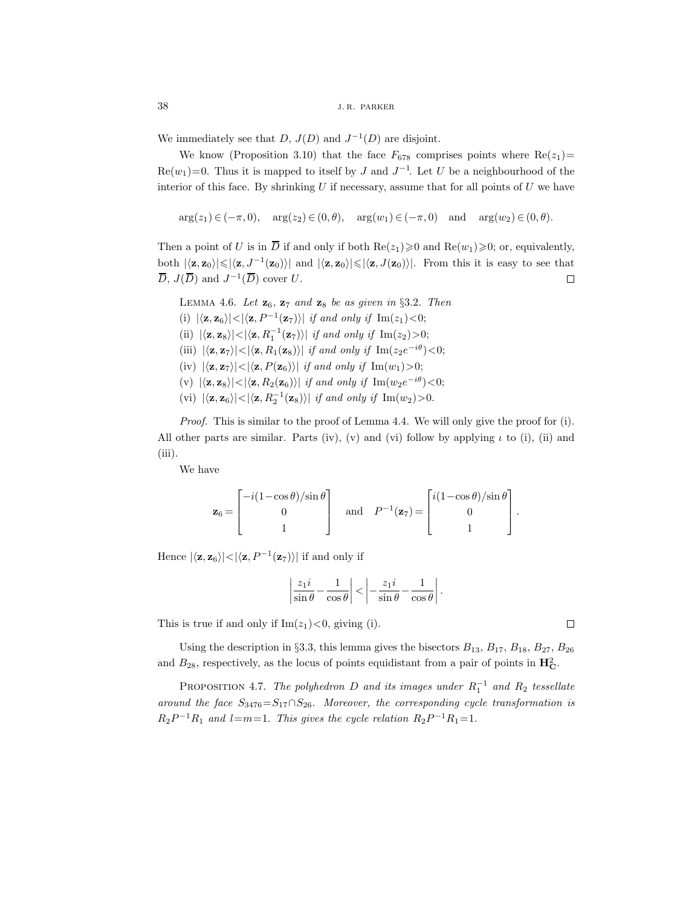We immediately see that D,  $J(D)$  and  $J^{-1}(D)$  are disjoint.

We know (Proposition 3.10) that the face  $F_{678}$  comprises points where  $\text{Re}(z_1)$ =  $\text{Re}(w_1) = 0$ . Thus it is mapped to itself by J and  $J^{-1}$ . Let U be a neighbourhood of the interior of this face. By shrinking  $U$  if necessary, assume that for all points of  $U$  we have

 $arg(z_1) \in (-\pi, 0), \quad arg(z_2) \in (0, \theta), \quad arg(w_1) \in (-\pi, 0) \quad and \quad arg(w_2) \in (0, \theta).$ 

Then a point of U is in  $\overline{D}$  if and only if both Re( $z_1\geq 0$  and Re( $w_1\geq 0$ ; or, equivalently, both  $|\langle \mathbf{z}, \mathbf{z}_0 \rangle| \leq |\langle \mathbf{z}, J^{-1}(\mathbf{z}_0) \rangle|$  and  $|\langle \mathbf{z}, \mathbf{z}_0 \rangle| \leq |\langle \mathbf{z}, J(\mathbf{z}_0) \rangle|$ . From this it is easy to see that  $\overline{D}$ ,  $J(\overline{D})$  and  $J^{-1}(\overline{D})$  cover U.  $\Box$ 

Lemma 4.6. *Let* **z**6*,* **z**<sup>7</sup> *and* **z**<sup>8</sup> *be as given in* §3.2*. Then*

(i)  $|\langle \mathbf{z}, \mathbf{z}_6 \rangle| < |\langle \mathbf{z}, P^{-1}(\mathbf{z}_7) \rangle|$  *if and only if* Im(z<sub>1</sub>)<0;

 $(iii)$   $|\langle z, z_8 \rangle| < |\langle z, R_1^{-1}(z_7) \rangle|$  *if and only if* Im(z<sub>2</sub>)>0;

- (iii)  $|\langle \mathbf{z}, \mathbf{z}_7 \rangle| < |\langle \mathbf{z}, R_1(\mathbf{z}_8) \rangle|$  *if and only if* Im( $z_2 e^{-i\theta}$ )<0;
- $(iv)$   $|\langle \mathbf{z}, \mathbf{z}_7 \rangle| < |\langle \mathbf{z}, P(\mathbf{z}_6) \rangle|$  *if and only if* Im $(w_1) > 0$ ;
- $(v) |**\langle z, z_8 \rangle**| < |**\langle z, R_2(z_6) \rangle**| if and only if Im( $w_2e^{-i\theta}$ ) < 0;$
- (vi)  $|\langle \mathbf{z}, \mathbf{z}_6 \rangle| < |\langle \mathbf{z}, R_2^{-1}(\mathbf{z}_8) \rangle|$  *if and only if* Im(*w*<sub>2</sub>)>0.

*Proof.* This is similar to the proof of Lemma 4.4. We will only give the proof for (i). All other parts are similar. Parts (iv), (v) and (vi) follow by applying  $\iota$  to (i), (ii) and (iii).

We have

$$
\mathbf{z}_6 = \begin{bmatrix} -i(1-\cos\theta)/\sin\theta \\ 0 \\ 1 \end{bmatrix} \quad \text{and} \quad P^{-1}(\mathbf{z}_7) = \begin{bmatrix} i(1-\cos\theta)/\sin\theta \\ 0 \\ 1 \end{bmatrix}.
$$

Hence  $|\langle \mathbf{z}, \mathbf{z}_6 \rangle| < |\langle \mathbf{z}, P^{-1}(\mathbf{z}_7) \rangle|$  if and only if

$$
\left|\frac{z_1i}{\sin\theta}-\frac{1}{\cos\theta}\right|<\left|-\frac{z_1i}{\sin\theta}-\frac{1}{\cos\theta}\right|.
$$

This is true if and only if  $\text{Im}(z_1) < 0$ , giving (i).

Using the description in §3.3, this lemma gives the bisectors  $B_{13}$ ,  $B_{17}$ ,  $B_{18}$ ,  $B_{27}$ ,  $B_{26}$ and  $B_{28}$ , respectively, as the locus of points equidistant from a pair of points in  $\mathbf{H}_{\mathbf{C}}^2$ .

Proposition 4.7. *The polyhedron* D *and its images under* R−<sup>1</sup> <sup>1</sup> *and* <sup>R</sup><sup>2</sup> *tessellate around the face*  $S_{3476} = S_{17} \cap S_{26}$ . *Moreover, the corresponding cycle transformation is*  $R_2P^{-1}R_1$  and l=m=1. This gives the cycle relation  $R_2P^{-1}R_1=1$ .

 $\Box$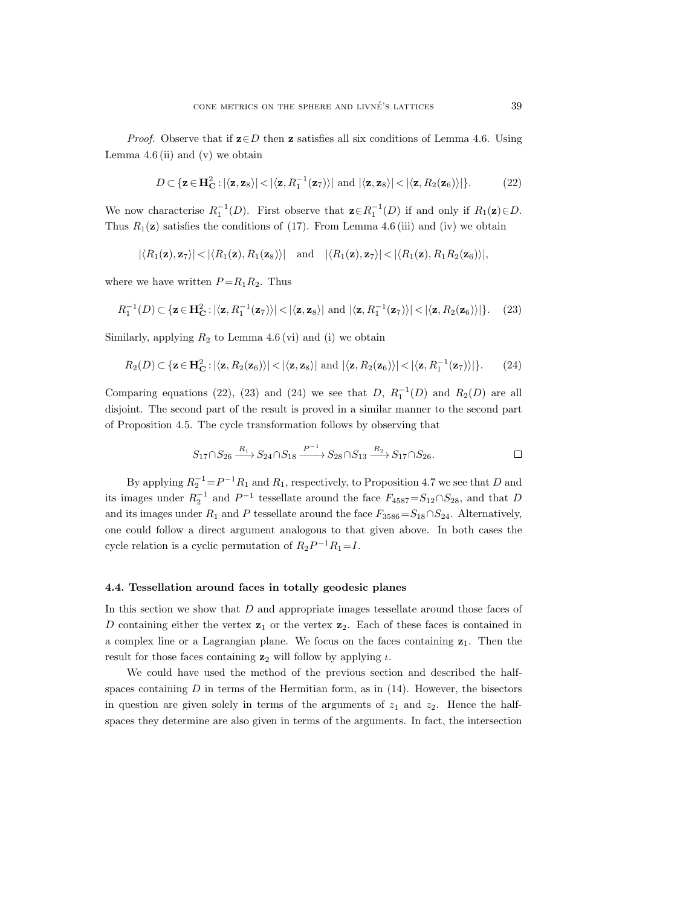*Proof.* Observe that if  $\mathbf{z} \in D$  then **z** satisfies all six conditions of Lemma 4.6. Using Lemma  $4.6$  (ii) and (v) we obtain

$$
D \subset \{ \mathbf{z} \in \mathbf{H}_{\mathbf{C}}^2 : |\langle \mathbf{z}, \mathbf{z}_8 \rangle| < |\langle \mathbf{z}, R_1^{-1}(\mathbf{z}_7) \rangle| \text{ and } |\langle \mathbf{z}, \mathbf{z}_8 \rangle| < |\langle \mathbf{z}, R_2(\mathbf{z}_6) \rangle| \}.
$$
 (22)

We now characterise  $R_1^{-1}(D)$ . First observe that  $\mathbf{z} \in R_1^{-1}(D)$  if and only if  $R_1(\mathbf{z}) \in D$ . Thus  $R_1(\mathbf{z})$  satisfies the conditions of (17). From Lemma 4.6 (iii) and (iv) we obtain

$$
|\langle R_1(\mathbf{z}), \mathbf{z}_7 \rangle| < |\langle R_1(\mathbf{z}), R_1(\mathbf{z}_8) \rangle|
$$
 and  $|\langle R_1(\mathbf{z}), \mathbf{z}_7 \rangle| < |\langle R_1(\mathbf{z}), R_1 R_2(\mathbf{z}_6) \rangle|$ ,

where we have written  $P = R_1 R_2$ . Thus

$$
R_1^{-1}(D) \subset \{ \mathbf{z} \in \mathbf{H}_{\mathbf{C}}^2 : |\langle \mathbf{z}, R_1^{-1}(\mathbf{z}_7) \rangle| < |\langle \mathbf{z}, \mathbf{z}_8 \rangle| \text{ and } |\langle \mathbf{z}, R_1^{-1}(\mathbf{z}_7) \rangle| < |\langle \mathbf{z}, R_2(\mathbf{z}_6) \rangle| \}.
$$
 (23)

Similarly, applying  $R_2$  to Lemma 4.6 (vi) and (i) we obtain

$$
R_2(D) \subset \{ \mathbf{z} \in \mathbf{H_C}^2 : |\langle \mathbf{z}, R_2(\mathbf{z}_6) \rangle| < |\langle \mathbf{z}, \mathbf{z}_8 \rangle| \text{ and } |\langle \mathbf{z}, R_2(\mathbf{z}_6) \rangle| < |\langle \mathbf{z}, R_1^{-1}(\mathbf{z}_7) \rangle| \}.
$$
 (24)

Comparing equations (22), (23) and (24) we see that D,  $R_1^{-1}(D)$  and  $R_2(D)$  are all disjoint. The second part of the result is proved in a similar manner to the second part of Proposition 4.5. The cycle transformation follows by observing that

$$
S_{17} \cap S_{26} \xrightarrow{R_1} S_{24} \cap S_{18} \xrightarrow{P^{-1}} S_{28} \cap S_{13} \xrightarrow{R_2} S_{17} \cap S_{26}.
$$

By applying  $R_2^{-1} = P^{-1}R_1$  and  $R_1$ , respectively, to Proposition 4.7 we see that D and its images under  $R_2^{-1}$  and  $P^{-1}$  tessellate around the face  $F_{4587} = S_{12} \cap S_{28}$ , and that D and its images under  $R_1$  and P tessellate around the face  $F_{3586} = S_{18} \cap S_{24}$ . Alternatively, one could follow a direct argument analogous to that given above. In both cases the cycle relation is a cyclic permutation of  $R_2P^{-1}R_1=I$ .

#### **4.4. Tessellation around faces in totally geodesic planes**

In this section we show that D and appropriate images tessellate around those faces of D containing either the vertex  $z_1$  or the vertex  $z_2$ . Each of these faces is contained in a complex line or a Lagrangian plane. We focus on the faces containing **z**1. Then the result for those faces containing  $z_2$  will follow by applying  $\iota$ .

We could have used the method of the previous section and described the halfspaces containing  $D$  in terms of the Hermitian form, as in  $(14)$ . However, the bisectors in question are given solely in terms of the arguments of  $z_1$  and  $z_2$ . Hence the halfspaces they determine are also given in terms of the arguments. In fact, the intersection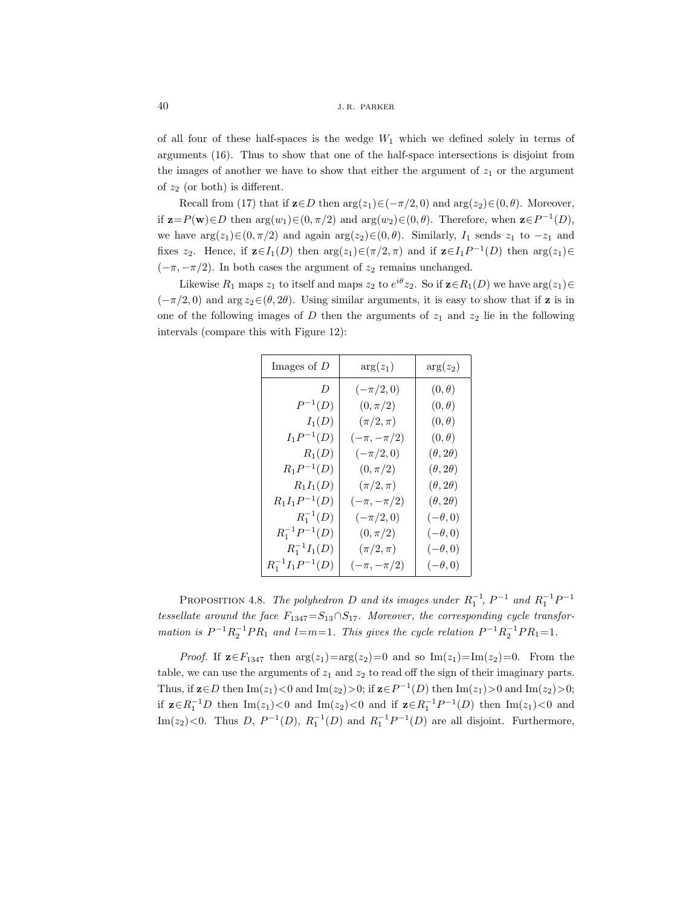of all four of these half-spaces is the wedge  $W_1$  which we defined solely in terms of arguments (16). Thus to show that one of the half-space intersections is disjoint from the images of another we have to show that either the argument of  $z<sub>1</sub>$  or the argument of  $z_2$  (or both) is different.

Recall from (17) that if  $\mathbf{z} \in D$  then  $\arg(z_1) \in (-\pi/2, 0)$  and  $\arg(z_2) \in (0, \theta)$ . Moreover, if  $\mathbf{z}=P(\mathbf{w})\in D$  then  $\arg(w_1)\in(0, \pi/2)$  and  $\arg(w_2)\in(0, \theta)$ . Therefore, when  $\mathbf{z}\in P^{-1}(D)$ , we have  $\arg(z_1) \in (0, \pi/2)$  and again  $\arg(z_2) \in (0, \theta)$ . Similarly,  $I_1$  sends  $z_1$  to  $-z_1$  and fixes  $z_2$ . Hence, if  $\mathbf{z} \in I_1(D)$  then  $\arg(z_1) \in (\pi/2, \pi)$  and if  $\mathbf{z} \in I_1P^{-1}(D)$  then  $\arg(z_1) \in$  $(-\pi, -\pi/2)$ . In both cases the argument of  $z_2$  remains unchanged.

Likewise  $R_1$  maps  $z_1$  to itself and maps  $z_2$  to  $e^{i\theta}z_2$ . So if  $\mathbf{z} \in R_1(D)$  we have  $\arg(z_1) \in$  $(-\pi/2, 0)$  and arg  $z_2 \in (\theta, 2\theta)$ . Using similar arguments, it is easy to show that if **z** is in one of the following images of D then the arguments of  $z_1$  and  $z_2$  lie in the following intervals (compare this with Figure 12):

| Images of $D$          | $arg(z_1)$       | $arg(z_2)$          |
|------------------------|------------------|---------------------|
| D                      | $(-\pi/2,0)$     | $(0,\theta)$        |
| $P^{-1}(D)$            | $(0, \pi/2)$     | $(0,\theta)$        |
| $I_1(D)$               | $(\pi/2, \pi)$   | $(0,\theta)$        |
| $I_1P^{-1}(D)$         | $(-\pi, -\pi/2)$ | $(0,\theta)$        |
| $R_1(D)$               | $(-\pi/2,0)$     | $(\theta, 2\theta)$ |
| $R_1P^{-1}(D)$         | $(0, \pi/2)$     | $(\theta, 2\theta)$ |
| $R_1I_1(D)$            | $(\pi/2,\pi)$    | $(\theta, 2\theta)$ |
| $R_1I_1P^{-1}(D)$      | $(-\pi, -\pi/2)$ | $(\theta, 2\theta)$ |
| $R_1^{-1}(D)$          | $(-\pi/2,0)$     | $(-\theta,0)$       |
| $R_1^{-1}P^{-1}(D)$    | $(0, \pi/2)$     | $(-\theta,0)$       |
| $R_1^{-1}I_1(D)$       | $(\pi/2,\pi)$    | $(-\theta,0)$       |
| $R_1^{-1}I_1P^{-1}(D)$ | $(-\pi, -\pi/2)$ | $(-\theta,0)$       |

PROPOSITION 4.8. *The polyhedron* D and its images under  $R_1^{-1}$ ,  $P^{-1}$  and  $R_1^{-1}P^{-1}$ *tessellate around the face*  $F_{1347} = S_{13} \cap S_{17}$ . Moreover, the corresponding cycle transfor*mation is*  $P^{-1}R_2^{-1}PR_1$  *and*  $l=m=1$ *. This gives the cycle relation*  $P^{-1}R_2^{-1}PR_1=1$ *.* 

*Proof.* If  $z \in F_{1347}$  then  $\arg(z_1) = \arg(z_2) = 0$  and so  $\text{Im}(z_1) = \text{Im}(z_2) = 0$ . From the table, we can use the arguments of  $z_1$  and  $z_2$  to read off the sign of their imaginary parts. Thus, if  $\mathbf{z} \in D$  then  $\text{Im}(z_1) < 0$  and  $\text{Im}(z_2) > 0$ ; if  $\mathbf{z} \in P^{-1}(D)$  then  $\text{Im}(z_1) > 0$  and  $\text{Im}(z_2) > 0$ ; if  $z ∈ R_1^{-1}D$  then Im(z<sub>1</sub>)<0 and Im(z<sub>2</sub>)<0 and if  $z ∈ R_1^{-1}P^{-1}(D)$  then Im(z<sub>1</sub>)<0 and Im(z<sub>2</sub>)<0. Thus D,  $P^{-1}(D)$ ,  $R_1^{-1}(D)$  and  $R_1^{-1}P^{-1}(D)$  are all disjoint. Furthermore,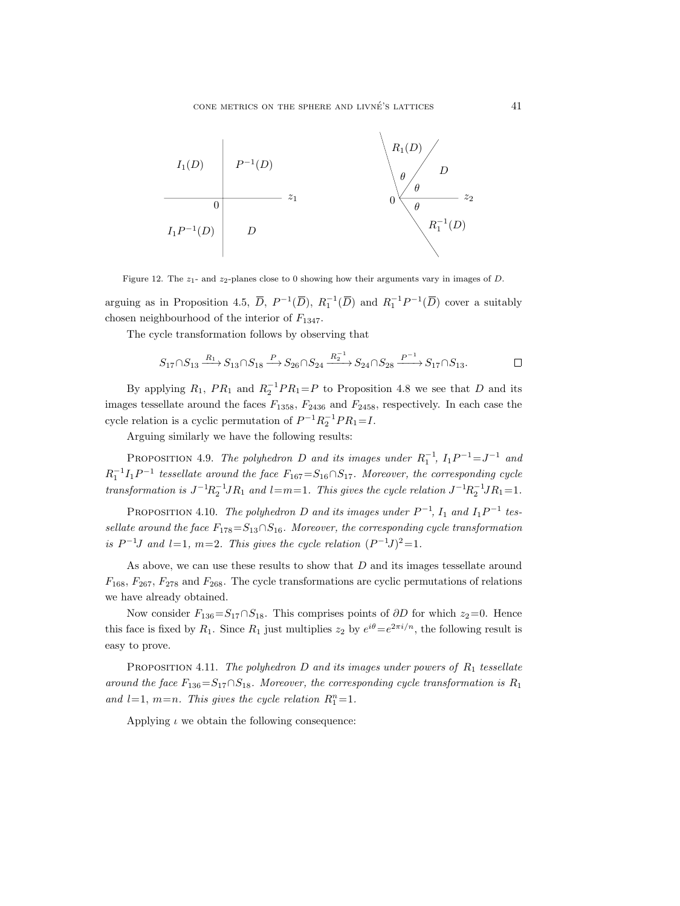

Figure 12. The  $z_1$ - and  $z_2$ -planes close to 0 showing how their arguments vary in images of D.

arguing as in Proposition 4.5,  $\overline{D}$ ,  $P^{-1}(\overline{D})$ ,  $R_1^{-1}(\overline{D})$  and  $R_1^{-1}P^{-1}(\overline{D})$  cover a suitably chosen neighbourhood of the interior of  $F_{1347}$ .

The cycle transformation follows by observing that

$$
S_{17} \cap S_{13} \xrightarrow{R_1} S_{13} \cap S_{18} \xrightarrow{P} S_{26} \cap S_{24} \xrightarrow{R_2^{-1}} S_{24} \cap S_{28} \xrightarrow{P^{-1}} S_{17} \cap S_{13}.\square
$$

By applying  $R_1$ ,  $PR_1$  and  $R_2^{-1}PR_1 = P$  to Proposition 4.8 we see that D and its images tessellate around the faces  $F_{1358}$ ,  $F_{2436}$  and  $F_{2458}$ , respectively. In each case the cycle relation is a cyclic permutation of  $P^{-1}R_2^{-1}PR_1 = I$ .

Arguing similarly we have the following results:

PROPOSITION 4.9. *The polyhedron* D and its images under  $R_1^{-1}$ ,  $I_1P^{-1} = J^{-1}$  and  $R_1^{-1}I_1P^{-1}$  tessellate around the face  $F_{167} = S_{16} \cap S_{17}$ . Moreover, the corresponding cycle *transformation is*  $J^{-1}R_2^{-1}JR_1$  *and*  $l=m=1$ *. This gives the cycle relation*  $J^{-1}R_2^{-1}JR_1=1$ *.* 

PROPOSITION 4.10. *The polyhedron* D and its images under  $P^{-1}$ ,  $I_1$  and  $I_1P^{-1}$  tes*sellate around the face*  $F_{178} = S_{13} \cap S_{16}$ *. Moreover, the corresponding cycle transformation is*  $P^{-1}J$  *and*  $l=1$ *, m*=2*. This gives the cycle relation*  $(P^{-1}J)^2=1$ *.* 

As above, we can use these results to show that D and its images tessellate around  $F_{168}$ ,  $F_{267}$ ,  $F_{278}$  and  $F_{268}$ . The cycle transformations are cyclic permutations of relations we have already obtained.

Now consider  $F_{136}=S_{17}\cap S_{18}$ . This comprises points of ∂D for which  $z_2=0$ . Hence this face is fixed by  $R_1$ . Since  $R_1$  just multiplies  $z_2$  by  $e^{i\theta} = e^{2\pi i/n}$ , the following result is easy to prove.

PROPOSITION 4.11. *The polyhedron D* and its images under powers of  $R_1$  tessellate *around the face*  $F_{136} = S_{17} \cap S_{18}$ *. Moreover, the corresponding cycle transformation is*  $R_1$ and  $l=1$ ,  $m=n$ . This gives the cycle relation  $R_1^n=1$ .

Applying  $\iota$  we obtain the following consequence: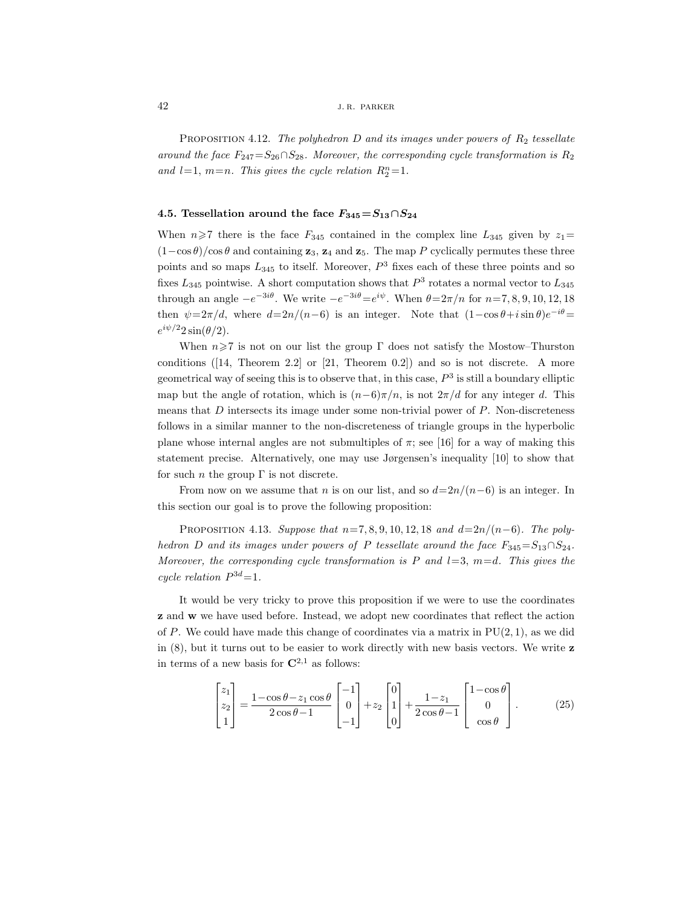PROPOSITION 4.12. *The polyhedron D* and its images under powers of  $R_2$  tessellate *around the face*  $F_{247} = S_{26} \cap S_{28}$ *. Moreover, the corresponding cycle transformation is*  $R_2$ and  $l=1$ ,  $m=n$ . This gives the cycle relation  $R_2^n=1$ .

## 4.5. Tessellation around the face  $F_{345} = S_{13} \cap S_{24}$

When  $n\geq 7$  there is the face  $F_{345}$  contained in the complex line  $L_{345}$  given by  $z_1=$  $(1-\cos\theta)/\cos\theta$  and containing **z**<sub>3</sub>, **z**<sub>4</sub> and **z**<sub>5</sub>. The map P cyclically permutes these three points and so maps  $L_{345}$  to itself. Moreover,  $P<sup>3</sup>$  fixes each of these three points and so fixes  $L_{345}$  pointwise. A short computation shows that  $P^3$  rotates a normal vector to  $L_{345}$ through an angle  $-e^{-3i\theta}$ . We write  $-e^{-3i\theta}=e^{i\psi}$ . When  $\theta=2\pi/n$  for  $n=7, 8, 9, 10, 12, 18$ then  $\psi = 2\pi/d$ , where  $d=2n/(n-6)$  is an integer. Note that  $(1-\cos\theta+i\sin\theta)e^{-i\theta} =$  $e^{i\psi/2}2\sin(\theta/2)$ .

When  $n\geq 7$  is not on our list the group Γ does not satisfy the Mostow–Thurston conditions  $([14, Theorem 2.2]$  or  $[21, Theorem 0.2]$  and so is not discrete. A more geometrical way of seeing this is to observe that, in this case,  $P<sup>3</sup>$  is still a boundary elliptic map but the angle of rotation, which is  $(n-6)\pi/n$ , is not  $2\pi/d$  for any integer d. This means that  $D$  intersects its image under some non-trivial power of  $P$ . Non-discreteness follows in a similar manner to the non-discreteness of triangle groups in the hyperbolic plane whose internal angles are not submultiples of  $\pi$ ; see [16] for a way of making this statement precise. Alternatively, one may use Jørgensen's inequality [10] to show that for such *n* the group  $\Gamma$  is not discrete.

From now on we assume that n is on our list, and so  $d=2n/(n-6)$  is an integer. In this section our goal is to prove the following proposition:

PROPOSITION 4.13. *Suppose that*  $n=7, 8, 9, 10, 12, 18$  *and*  $d=2n/(n-6)$ *. The polyhedron* D and its images under powers of P *tessellate around the face*  $F_{345} = S_{13} \cap S_{24}$ *. Moreover, the corresponding cycle transformation is*  $P$  *and*  $l=3$ ,  $m=d$ . This gives the *cycle relation*  $P^{3d} = 1$ .

It would be very tricky to prove this proposition if we were to use the coordinates **z** and **w** we have used before. Instead, we adopt new coordinates that reflect the action of P. We could have made this change of coordinates via a matrix in  $PU(2, 1)$ , as we did in (8), but it turns out to be easier to work directly with new basis vectors. We write **z** in terms of a new basis for  $\mathbb{C}^{2,1}$  as follows:

$$
\begin{bmatrix} z_1 \\ z_2 \\ 1 \end{bmatrix} = \frac{1 - \cos \theta - z_1 \cos \theta}{2 \cos \theta - 1} \begin{bmatrix} -1 \\ 0 \\ -1 \end{bmatrix} + z_2 \begin{bmatrix} 0 \\ 1 \\ 0 \end{bmatrix} + \frac{1 - z_1}{2 \cos \theta - 1} \begin{bmatrix} 1 - \cos \theta \\ 0 \\ \cos \theta \end{bmatrix}.
$$
 (25)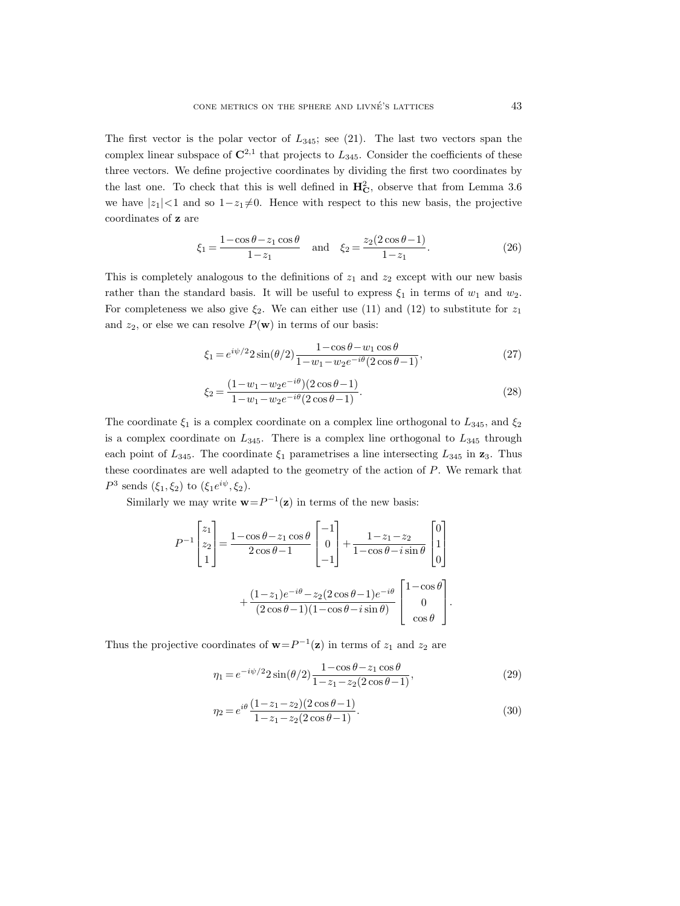The first vector is the polar vector of  $L_{345}$ ; see (21). The last two vectors span the complex linear subspace of  $\mathbb{C}^{2,1}$  that projects to  $L_{345}$ . Consider the coefficients of these three vectors. We define projective coordinates by dividing the first two coordinates by the last one. To check that this is well defined in  $H_C^2$ , observe that from Lemma 3.6 we have  $|z_1|$ <1 and so  $1-z_1\neq0$ . Hence with respect to this new basis, the projective coordinates of **z** are

$$
\xi_1 = \frac{1 - \cos \theta - z_1 \cos \theta}{1 - z_1} \quad \text{and} \quad \xi_2 = \frac{z_2 (2 \cos \theta - 1)}{1 - z_1}.
$$
 (26)

This is completely analogous to the definitions of  $z_1$  and  $z_2$  except with our new basis rather than the standard basis. It will be useful to express  $\xi_1$  in terms of  $w_1$  and  $w_2$ . For completeness we also give  $\xi_2$ . We can either use (11) and (12) to substitute for  $z_1$ and  $z_2$ , or else we can resolve  $P(\mathbf{w})$  in terms of our basis:

$$
\xi_1 = e^{i\psi/2} 2\sin(\theta/2) \frac{1 - \cos\theta - w_1\cos\theta}{1 - w_1 - w_2 e^{-i\theta} (2\cos\theta - 1)},
$$
\n(27)

$$
\xi_2 = \frac{(1 - w_1 - w_2 e^{-i\theta})(2\cos\theta - 1)}{1 - w_1 - w_2 e^{-i\theta}(2\cos\theta - 1)}.\tag{28}
$$

The coordinate  $\xi_1$  is a complex coordinate on a complex line orthogonal to  $L_{345}$ , and  $\xi_2$ is a complex coordinate on  $L_{345}$ . There is a complex line orthogonal to  $L_{345}$  through each point of  $L_{345}$ . The coordinate  $\xi_1$  parametrises a line intersecting  $L_{345}$  in  $\mathbf{z}_3$ . Thus these coordinates are well adapted to the geometry of the action of P. We remark that  $P^3$  sends  $(\xi_1, \xi_2)$  to  $(\xi_1 e^{i\psi}, \xi_2)$ .

Similarly we may write  $\mathbf{w}=P^{-1}(\mathbf{z})$  in terms of the new basis:

$$
P^{-1} \begin{bmatrix} z_1 \\ z_2 \\ 1 \end{bmatrix} = \frac{1 - \cos \theta - z_1 \cos \theta}{2 \cos \theta - 1} \begin{bmatrix} -1 \\ 0 \\ -1 \end{bmatrix} + \frac{1 - z_1 - z_2}{1 - \cos \theta - i \sin \theta} \begin{bmatrix} 0 \\ 1 \\ 0 \end{bmatrix} + \frac{(1 - z_1)e^{-i\theta} - z_2(2 \cos \theta - 1)e^{-i\theta}}{(2 \cos \theta - 1)(1 - \cos \theta - i \sin \theta)} \begin{bmatrix} 1 - \cos \theta \\ 0 \\ \cos \theta \end{bmatrix}.
$$

Thus the projective coordinates of  $\mathbf{w}=P^{-1}(\mathbf{z})$  in terms of  $z_1$  and  $z_2$  are

$$
\eta_1 = e^{-i\psi/2} 2\sin(\theta/2) \frac{1 - \cos\theta - z_1\cos\theta}{1 - z_1 - z_2(2\cos\theta - 1)},
$$
\n(29)

$$
\eta_2 = e^{i\theta} \frac{(1 - z_1 - z_2)(2\cos\theta - 1)}{1 - z_1 - z_2(2\cos\theta - 1)}.
$$
\n(30)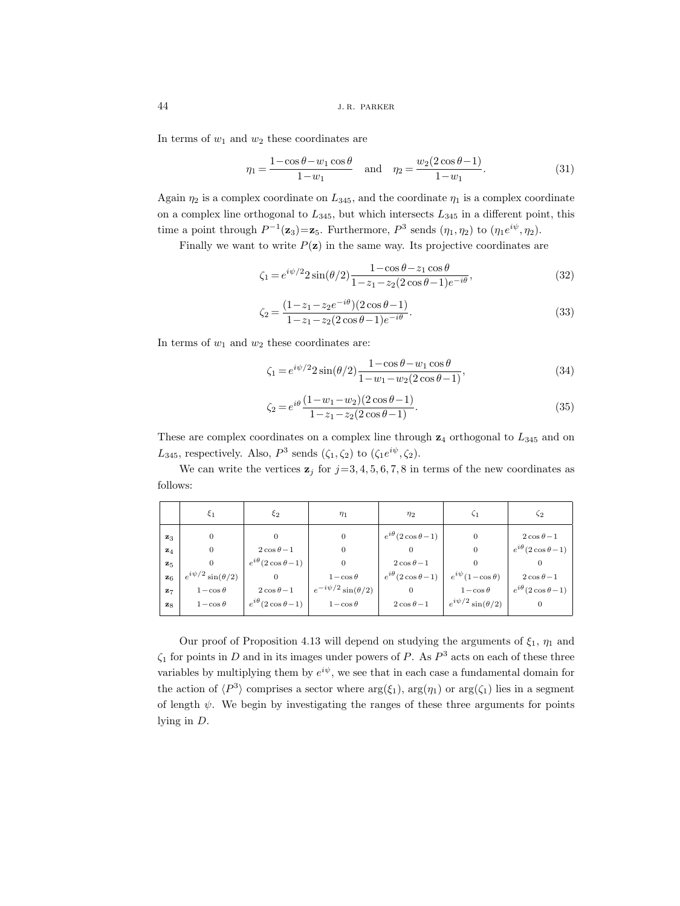In terms of  $w_1$  and  $w_2$  these coordinates are

$$
\eta_1 = \frac{1 - \cos \theta - w_1 \cos \theta}{1 - w_1} \quad \text{and} \quad \eta_2 = \frac{w_2 (2 \cos \theta - 1)}{1 - w_1}.
$$
 (31)

Again  $\eta_2$  is a complex coordinate on  $L_{345}$ , and the coordinate  $\eta_1$  is a complex coordinate on a complex line orthogonal to  $L_{345}$ , but which intersects  $L_{345}$  in a different point, this time a point through  $P^{-1}(\mathbf{z}_3) = \mathbf{z}_5$ . Furthermore,  $P^3$  sends  $(\eta_1, \eta_2)$  to  $(\eta_1 e^{i\psi}, \eta_2)$ .

Finally we want to write  $P(\mathbf{z})$  in the same way. Its projective coordinates are

$$
\zeta_1 = e^{i\psi/2} 2\sin(\theta/2) \frac{1 - \cos\theta - z_1\cos\theta}{1 - z_1 - z_2(2\cos\theta - 1)e^{-i\theta}},\tag{32}
$$

$$
\zeta_2 = \frac{(1 - z_1 - z_2 e^{-i\theta})(2\cos\theta - 1)}{1 - z_1 - z_2(2\cos\theta - 1)e^{-i\theta}}.\tag{33}
$$

In terms of  $w_1$  and  $w_2$  these coordinates are:

$$
\zeta_1 = e^{i\psi/2} 2\sin(\theta/2) \frac{1 - \cos\theta - w_1\cos\theta}{1 - w_1 - w_2(2\cos\theta - 1)},
$$
\n(34)

$$
\zeta_2 = e^{i\theta} \frac{(1 - w_1 - w_2)(2\cos\theta - 1)}{1 - z_1 - z_2(2\cos\theta - 1)}.
$$
\n(35)

These are complex coordinates on a complex line through  $z_4$  orthogonal to  $L_{345}$  and on  $L_{345}$ , respectively. Also,  $P^3$  sends  $(\zeta_1, \zeta_2)$  to  $(\zeta_1 e^{i\psi}, \zeta_2)$ .

We can write the vertices  $z_j$  for  $j=3, 4, 5, 6, 7, 8$  in terms of the new coordinates as follows:

|                | ξ1                          | $\xi_2$                      | $\eta_1$                     | $\eta_2$                     | ς1                          | $\zeta_2$                    |
|----------------|-----------------------------|------------------------------|------------------------------|------------------------------|-----------------------------|------------------------------|
| $\mathbf{z}_3$ | 0                           | 0                            | 0                            | $e^{i\theta}(2\cos\theta-1)$ | $\theta$                    | $2\cos\theta-1$              |
| $\mathbf{z}_4$ | $\Omega$                    | $2\cos\theta-1$              | $\Omega$                     | $\Omega$                     | $\theta$                    | $e^{i\theta}(2\cos\theta-1)$ |
| $\mathbf{z}_5$ |                             | $e^{i\theta}(2\cos\theta-1)$ |                              | $2\cos\theta-1$              |                             |                              |
| $\mathbf{z}_6$ | $e^{i\psi/2}\sin(\theta/2)$ | 0                            | $1-\cos\theta$               | $e^{i\theta}(2\cos\theta-1)$ | $e^{i\psi}(1-\cos\theta)$   | $2\cos\theta-1$              |
| $\mathbf{z}_7$ | $1-\cos\theta$              | $2\cos\theta-1$              | $e^{-i\psi/2}\sin(\theta/2)$ | $\Omega$                     | $1-\cos\theta$              | $e^{i\theta}(2\cos\theta-1)$ |
| $\mathbf{z}_8$ | $1-\cos\theta$              | $e^{i\theta}(2\cos\theta-1)$ | $1-\cos\theta$               | $2\cos\theta-1$              | $e^{i\psi/2}\sin(\theta/2)$ |                              |
|                |                             |                              |                              |                              |                             |                              |

Our proof of Proposition 4.13 will depend on studying the arguments of  $\xi_1$ ,  $\eta_1$  and  $\zeta_1$  for points in D and in its images under powers of P. As  $P^3$  acts on each of these three variables by multiplying them by  $e^{i\psi}$ , we see that in each case a fundamental domain for the action of  $\langle P^3 \rangle$  comprises a sector where  $\arg(\xi_1)$ ,  $\arg(\eta_1)$  or  $\arg(\zeta_1)$  lies in a segment of length  $\psi$ . We begin by investigating the ranges of these three arguments for points lying in D.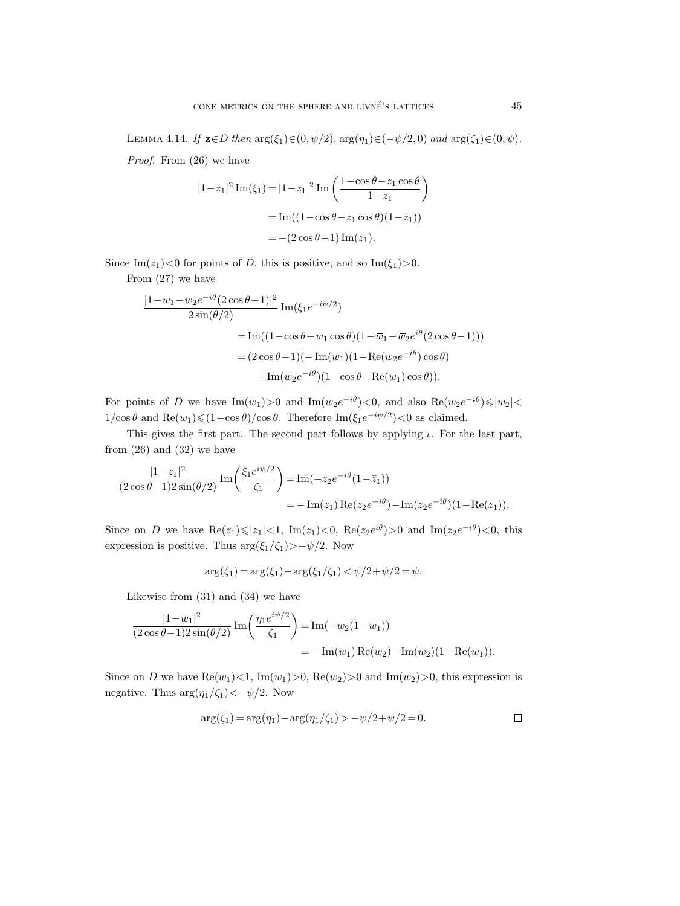LEMMA 4.14. *If* **z**∈D *then*  $arg(\xi_1) \in (0, \psi/2)$ ,  $arg(\eta_1) \in (-\psi/2, 0)$  *and*  $arg(\zeta_1) \in (0, \psi)$ *. Proof.* From (26) we have

$$
|1-z_1|^2 \operatorname{Im}(\xi_1) = |1-z_1|^2 \operatorname{Im} \left( \frac{1-\cos\theta - z_1\cos\theta}{1-z_1} \right)
$$
  
= 
$$
\operatorname{Im}((1-\cos\theta - z_1\cos\theta)(1-\bar{z}_1))
$$
  
= 
$$
-(2\cos\theta - 1)\operatorname{Im}(z_1).
$$

Since Im( $z_1$ )<0 for points of D, this is positive, and so Im( $\xi_1$ )>0.

From (27) we have

$$
\frac{|1 - w_1 - w_2 e^{-i\theta} (2 \cos \theta - 1)|^2}{2 \sin(\theta/2)} Im(\xi_1 e^{-i\psi/2})
$$
  
= Im((1 - \cos \theta - w\_1 \cos \theta)(1 - \overline{w}\_1 - \overline{w}\_2 e^{i\theta} (2 \cos \theta - 1)))  
= (2 \cos \theta - 1)(- Im(w\_1)(1 - Re(w\_2 e^{-i\theta}) \cos \theta)  
+ Im(w\_2 e^{-i\theta})(1 - \cos \theta - Re(w\_1) \cos \theta)).

For points of D we have  $\text{Im}(w_1) > 0$  and  $\text{Im}(w_2e^{-i\theta}) < 0$ , and also  $\text{Re}(w_2e^{-i\theta}) \leq |w_2| <$  $1/\cos\theta$  and  $\text{Re}(w_1) \leq (1-\cos\theta)/\cos\theta$ . Therefore  $\text{Im}(\xi_1 e^{-i\psi/2}) < 0$  as claimed.

This gives the first part. The second part follows by applying  $\iota$ . For the last part, from  $(26)$  and  $(32)$  we have

$$
\frac{|1-z_1|^2}{(2\cos\theta-1)2\sin(\theta/2)}\operatorname{Im}\left(\frac{\xi_1e^{i\psi/2}}{\zeta_1}\right) = \operatorname{Im}(-z_2e^{-i\theta}(1-\bar{z}_1))
$$
  
=  $-\operatorname{Im}(z_1)\operatorname{Re}(z_2e^{-i\theta}) - \operatorname{Im}(z_2e^{-i\theta})(1-\operatorname{Re}(z_1)).$ 

Since on D we have  $\text{Re}(z_1) \leq |z_1| < 1$ ,  $\text{Im}(z_1) < 0$ ,  $\text{Re}(z_2 e^{i\theta}) > 0$  and  $\text{Im}(z_2 e^{-i\theta}) < 0$ , this expression is positive. Thus  $\arg(\xi_1/\zeta_1) > -\psi/2$ . Now

$$
\arg(\zeta_1) = \arg(\xi_1) - \arg(\xi_1/\zeta_1) < \psi/2 + \psi/2 = \psi.
$$

Likewise from (31) and (34) we have

$$
\frac{|1-w_1|^2}{(2\cos\theta-1)2\sin(\theta/2)}\operatorname{Im}\left(\frac{\eta_1 e^{i\psi/2}}{\zeta_1}\right) = \operatorname{Im}(-w_2(1-\overline{w}_1))
$$
  
=  $-\operatorname{Im}(w_1)\operatorname{Re}(w_2) - \operatorname{Im}(w_2)(1-\operatorname{Re}(w_1)).$ 

Since on D we have  $\text{Re}(w_1)$  < 1, Im $(w_1)$  > 0,  $\text{Re}(w_2)$  > 0 and Im $(w_2)$  > 0, this expression is negative. Thus  $\arg(\eta_1/\zeta_1) < -\psi/2$ . Now

$$
\arg(\zeta_1) = \arg(\eta_1) - \arg(\eta_1/\zeta_1) > -\psi/2 + \psi/2 = 0.
$$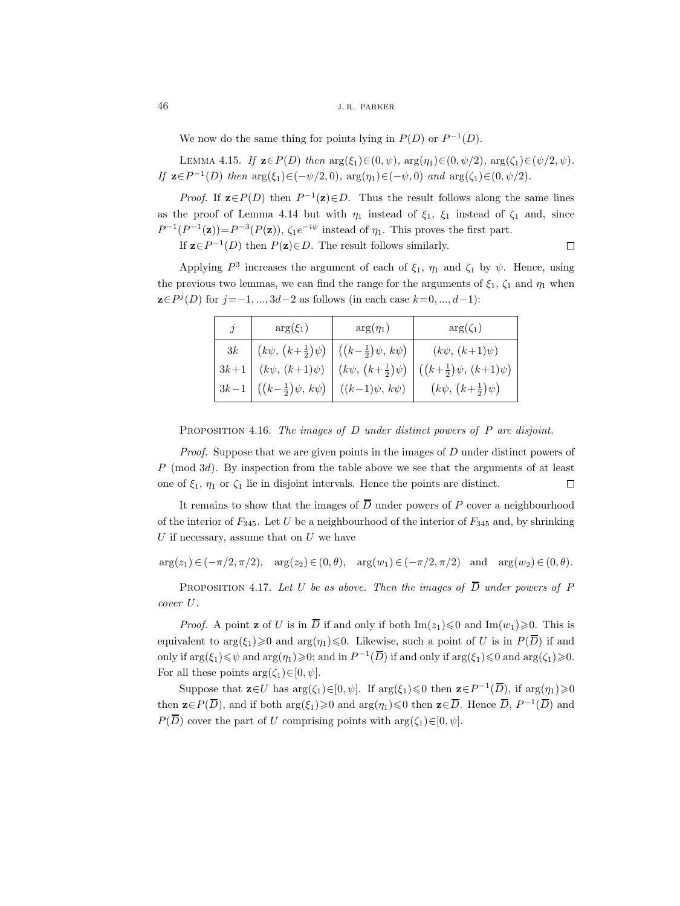We now do the same thing for points lying in  $P(D)$  or  $P^{-1}(D)$ .

LEMMA 4.15. *If* **z**∈P(D) *then*  $arg(\xi_1) ∈ (0, ψ)$ *,*  $arg(η_1) ∈ (0, ψ/2)$ *,*  $arg(ζ_1) ∈ (ψ/2, ψ)$ *. If*  $z \in P^{-1}(D)$  *then*  $\arg(\xi_1) \in (-\psi/2, 0)$ *,*  $\arg(\eta_1) \in (-\psi, 0)$  *and*  $\arg(\zeta_1) \in (0, \psi/2)$ *.* 

*Proof.* If  $\mathbf{z} \in P(D)$  then  $P^{-1}(\mathbf{z}) \in D$ . Thus the result follows along the same lines as the proof of Lemma 4.14 but with  $\eta_1$  instead of  $\xi_1$ ,  $\xi_1$  instead of  $\zeta_1$  and, since  $P^{-1}(P^{-1}(\mathbf{z}))=P^{-3}(P(\mathbf{z}))$ ,  $\zeta_1e^{-i\psi}$  instead of  $\eta_1$ . This proves the first part.  $\Box$ 

If  $\mathbf{z} \in P^{-1}(D)$  then  $P(\mathbf{z}) \in D$ . The result follows similarly.

Applying  $P^3$  increases the argument of each of  $\xi_1$ ,  $\eta_1$  and  $\zeta_1$  by  $\psi$ . Hence, using the previous two lemmas, we can find the range for the arguments of  $\xi_1$ ,  $\zeta_1$  and  $\eta_1$  when **z**∈ $P<sup>j</sup>(D)$  for  $j = -1, ..., 3d-2$  as follows (in each case  $k=0, ..., d-1$ ):

|        | $arg(\xi_1)$                   | $arg(\eta_1)$                                                 | $arg(\zeta_1)$                     |
|--------|--------------------------------|---------------------------------------------------------------|------------------------------------|
| 3k     |                                | $(k\psi, (k+\frac{1}{2})\psi)$ $((k-\frac{1}{2})\psi, k\psi)$ | $(k\psi, (k+1)\psi)$               |
| $3k+1$ | $(k\psi, (k+1)\psi)$           | $(k\psi, (k+\frac{1}{2})\psi)$                                | $((k+\frac{1}{2})\psi, (k+1)\psi)$ |
| $3k-1$ | $((k-\frac{1}{2})\psi, k\psi)$ | $((k-1)\psi, k\psi)$                                          | $(k\psi, (k+\frac{1}{2})\psi)$     |

Proposition 4.16. *The images of* D *under distinct powers of* P *are disjoint.*

*Proof.* Suppose that we are given points in the images of D under distinct powers of  $P \pmod{3d}$ . By inspection from the table above we see that the arguments of at least one of  $\xi_1$ ,  $\eta_1$  or  $\zeta_1$  lie in disjoint intervals. Hence the points are distinct.  $\Box$ 

It remains to show that the images of  $\overline{D}$  under powers of P cover a neighbourhood of the interior of  $F_{345}$ . Let U be a neighbourhood of the interior of  $F_{345}$  and, by shrinking  $U$  if necessary, assume that on  $U$  we have

 $arg(z_1) \in (-\pi/2, \pi/2), \quad arg(z_2) \in (0, \theta), \quad arg(w_1) \in (-\pi/2, \pi/2) \quad \text{and} \quad arg(w_2) \in (0, \theta).$ 

PROPOSITION 4.17. Let U be as above. Then the images of  $\overline{D}$  under powers of F *cover* U*.*

*Proof.* A point **z** of U is in  $\overline{D}$  if and only if both  $\text{Im}(z_1) \leq 0$  and  $\text{Im}(w_1) \geq 0$ . This is equivalent to  $\arg(\xi_1) \geq 0$  and  $\arg(\eta_1) \leq 0$ . Likewise, such a point of U is in  $P(\overline{D})$  if and only if  $\arg(\xi_1) \leq \psi$  and  $\arg(\eta_1) \geq 0$ ; and in  $P^{-1}(\overline{D})$  if and only if  $\arg(\xi_1) \leq 0$  and  $\arg(\zeta_1) \geq 0$ . For all these points  $\arg(\zeta_1) \in [0, \psi]$ .

Suppose that  $\mathbf{z} \in U$  has  $\arg(\zeta_1) \in [0, \psi]$ . If  $\arg(\xi_1) \leq 0$  then  $\mathbf{z} \in P^{-1}(\overline{D})$ , if  $\arg(\eta_1) \geq 0$ then  $\mathbf{z} \in P(\overline{D})$ , and if both  $\arg(\xi_1) \geq 0$  and  $\arg(\eta_1) \leq 0$  then  $\mathbf{z} \in \overline{D}$ . Hence  $\overline{D}$ ,  $P^{-1}(\overline{D})$  and  $P(\overline{D})$  cover the part of U comprising points with  $\arg(\zeta_1) \in [0, \psi]$ .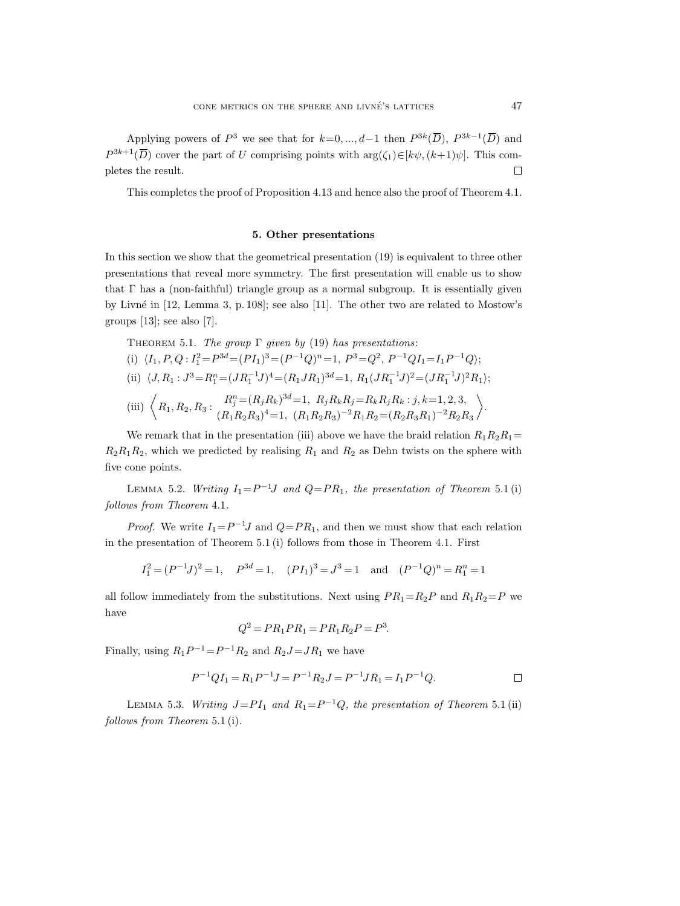Applying powers of  $P^3$  we see that for  $k=0, ..., d-1$  then  $P^{3k}(\overline{D}), P^{3k-1}(\overline{D})$  and  $P^{3k+1}(\overline{D})$  cover the part of U comprising points with  $\arg(\zeta_1) \in [k\psi, (k+1)\psi]$ . This com- $\Box$ pletes the result.

This completes the proof of Proposition 4.13 and hence also the proof of Theorem 4.1.

#### **5. Other presentations**

In this section we show that the geometrical presentation (19) is equivalent to three other presentations that reveal more symmetry. The first presentation will enable us to show that  $\Gamma$  has a (non-faithful) triangle group as a normal subgroup. It is essentially given by Livné in  $[12, \text{Lemma 3}, p. 108]$ ; see also  $[11]$ . The other two are related to Mostow's groups  $[13]$ ; see also  $[7]$ .

THEOREM 5.1. The group 
$$
\Gamma
$$
 given by (19) has presentations:  
\n(i)  $\langle I_1, P, Q: I_1^2 = P^{3d} = (PI_1)^3 = (P^{-1}Q)^n = 1, P^3 = Q^2, P^{-1}QI_1 = I_1P^{-1}Q$ ;  
\n(ii)  $\langle J, R_1: J^3 = R_1^n = (JR_1^{-1}J)^4 = (R_1JR_1)^{3d} = 1, R_1(JR_1^{-1}J)^2 = (JR_1^{-1}J)^2R_1$ ;  
\n(iii)  $\langle R_1, R_2, R_3: \frac{R_j^n}{(R_1R_2R_3)^4} = 1, (R_1R_2R_3)^{-2}R_1R_2 = (R_2R_3R_1)^{-2}R_2R_3$ 

We remark that in the presentation (iii) above we have the braid relation  $R_1R_2R_1=$  $R_2R_1R_2$ , which we predicted by realising  $R_1$  and  $R_2$  as Dehn twists on the sphere with five cone points.

LEMMA 5.2. *Writing*  $I_1 = P^{-1}J$  *and*  $Q = PR_1$ *, the presentation of Theorem* 5.1(i) *follows from Theorem* 4.1*.*

*Proof.* We write  $I_1 = P^{-1}J$  and  $Q = PR_1$ , and then we must show that each relation in the presentation of Theorem 5.1 (i) follows from those in Theorem 4.1. First

$$
I_1^2 = (P^{-1}J)^2 = 1
$$
,  $P^{3d} = 1$ ,  $(PI_1)^3 = J^3 = 1$  and  $(P^{-1}Q)^n = R_1^n = 1$ 

all follow immediately from the substitutions. Next using  $PR_1 = R_2P$  and  $R_1R_2 = P$  we have

$$
Q^2 = PR_1PR_1 = PR_1R_2P = P^3.
$$

Finally, using  $R_1P^{-1} = P^{-1}R_2$  and  $R_2J = JR_1$  we have

$$
P^{-1}QI_1 = R_1P^{-1}J = P^{-1}R_2J = P^{-1}JR_1 = I_1P^{-1}Q.
$$

LEMMA 5.3. *Writing*  $J=PI_1$  *and*  $R_1=P^{-1}Q$ *, the presentation of Theorem* 5.1 (ii) *follows from Theorem* 5.1 (i)*.*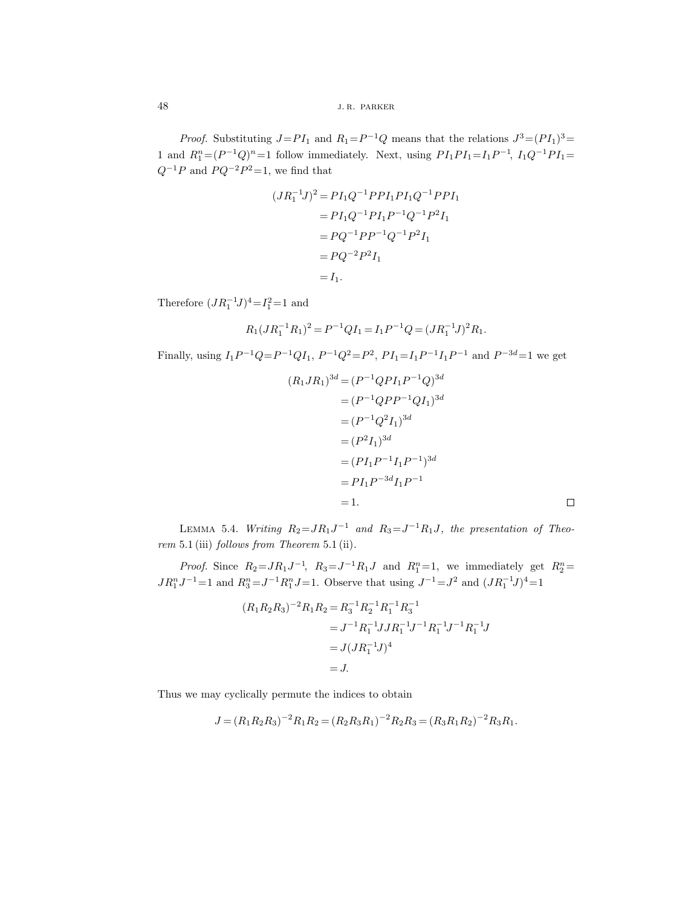*Proof.* Substituting  $J=PI_1$  and  $R_1=P^{-1}Q$  means that the relations  $J^3=(PI_1)^3=$ 1 and  $R_1^n = (P^{-1}Q)^n = 1$  follow immediately. Next, using  $PI_1PI_1 = I_1P^{-1}$ ,  $I_1Q^{-1}PI_1 =$  $Q^{-1}P$  and  $P Q^{-2}P^2{=}1,$  we find that

$$
(JR_1^{-1}J)^2 = PI_1Q^{-1}PPI_1PI_1Q^{-1}PPI_1
$$
  
=  $PI_1Q^{-1}PI_1P^{-1}Q^{-1}P^2I_1$   
=  $PQ^{-1}PP^{-1}Q^{-1}P^2I_1$   
=  $PQ^{-2}P^2I_1$   
=  $I_1$ .

Therefore  $(JR_1^{-1}J)^4 = I_1^2 = 1$  and

$$
R_1(JR_1^{-1}R_1)^2 = P^{-1}QI_1 = I_1P^{-1}Q = (JR_1^{-1}J)^2R_1.
$$

Finally, using  $I_1P^{-1}Q=P^{-1}QI_1$ ,  $P^{-1}Q^2=P^2$ ,  $PI_1=I_1P^{-1}I_1P^{-1}$  and  $P^{-3d}=1$  we get

$$
(R_1JR_1)^{3d} = (P^{-1}QPI_1P^{-1}Q)^{3d}
$$
  
=  $(P^{-1}QPP^{-1}QI_1)^{3d}$   
=  $(P^{-1}Q^2I_1)^{3d}$   
=  $(P^2I_1)^{3d}$   
=  $(PI_1P^{-1}I_1P^{-1})^{3d}$   
=  $PI_1P^{-3d}I_1P^{-1}$   
= 1.

LEMMA 5.4. *Writing*  $R_2 = JR_1J^{-1}$  *and*  $R_3 = J^{-1}R_1J$ *, the presentation of Theorem* 5.1 (iii) *follows from Theorem* 5.1 (ii)*.*

*Proof.* Since  $R_2 = JR_1J^{-1}$ ,  $R_3 = J^{-1}R_1J$  and  $R_1^n = 1$ , we immediately get  $R_2^n =$  $JR_1^nJ^{-1}=1$  and  $R_3^n = J^{-1}R_1^nJ=1$ . Observe that using  $J^{-1} = J^2$  and  $(JR_1^{-1}J)^4 = 1$ 

$$
(R_1R_2R_3)^{-2}R_1R_2 = R_3^{-1}R_2^{-1}R_1^{-1}R_3^{-1}
$$
  
=  $J^{-1}R_1^{-1}JJR_1^{-1}J^{-1}R_1^{-1}J^{-1}R_1^{-1}J$   
=  $J(JR_1^{-1}J)^4$   
= J.

Thus we may cyclically permute the indices to obtain

$$
J = (R_1 R_2 R_3)^{-2} R_1 R_2 = (R_2 R_3 R_1)^{-2} R_2 R_3 = (R_3 R_1 R_2)^{-2} R_3 R_1.
$$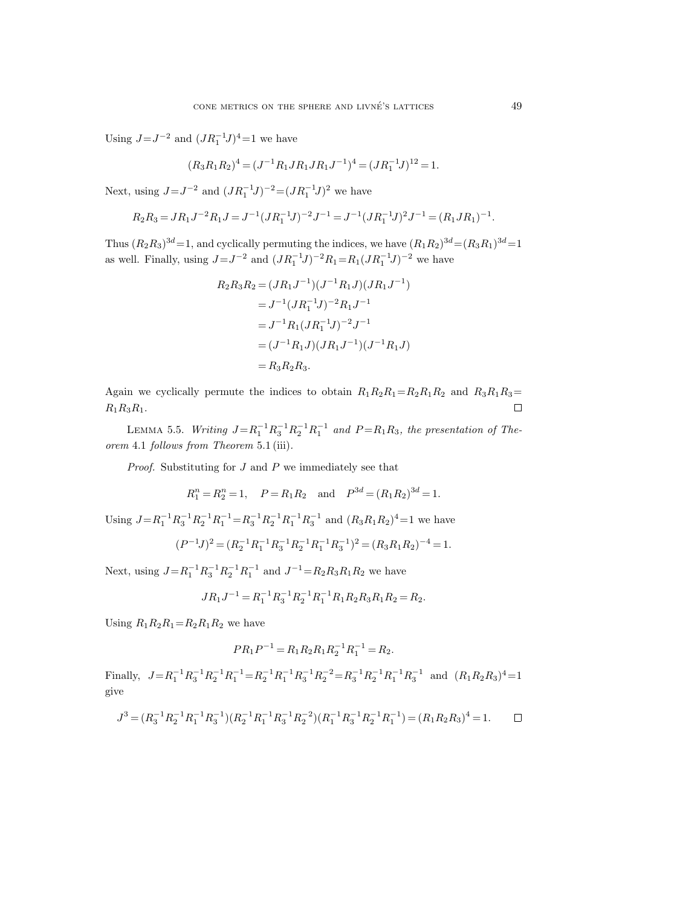Using  $J = J^{-2}$  and  $(JR_1^{-1}J)^4 = 1$  we have

$$
(R_3R_1R_2)^4 = (J^{-1}R_1JR_1JR_1J^{-1})^4 = (JR_1^{-1}J)^{12} = 1.
$$

Next, using  $J = J^{-2}$  and  $(JR_1^{-1}J)^{-2} = (JR_1^{-1}J)^2$  we have

$$
R_2R_3 = J R_1 J^{-2} R_1 J = J^{-1} (J R_1^{-1} J)^{-2} J^{-1} = J^{-1} (J R_1^{-1} J)^2 J^{-1} = (R_1 J R_1)^{-1}.
$$

Thus  $(R_2R_3)^{3d}=1$ , and cyclically permuting the indices, we have  $(R_1R_2)^{3d}=(R_3R_1)^{3d}=1$ as well. Finally, using  $J = J^{-2}$  and  $(JR_1^{-1}J)^{-2}R_1 = R_1(JR_1^{-1}J)^{-2}$  we have

$$
R_2 R_3 R_2 = (J R_1 J^{-1})(J^{-1} R_1 J)(J R_1 J^{-1})
$$
  
=  $J^{-1} (J R_1^{-1} J)^{-2} R_1 J^{-1}$   
=  $J^{-1} R_1 (J R_1^{-1} J)^{-2} J^{-1}$   
=  $(J^{-1} R_1 J)(J R_1 J^{-1})(J^{-1} R_1 J)$   
=  $R_3 R_2 R_3$ .

Again we cyclically permute the indices to obtain  $R_1R_2R_1=R_2R_1R_2$  and  $R_3R_1R_3=$  $R_1R_3R_1.$  $\Box$ 

LEMMA 5.5. *Writing*  $J = R_1^{-1} R_3^{-1} R_2^{-1} R_1^{-1}$  and  $P = R_1 R_3$ , the presentation of The*orem* 4.1 *follows from Theorem* 5.1 (iii)*.*

*Proof.* Substituting for J and P we immediately see that

$$
R_1^n = R_2^n = 1
$$
,  $P = R_1 R_2$  and  $P^{3d} = (R_1 R_2)^{3d} = 1$ .

Using  $J = R_1^{-1} R_3^{-1} R_2^{-1} R_1^{-1} = R_3^{-1} R_2^{-1} R_1^{-1} R_3^{-1}$  and  $(R_3 R_1 R_2)^4 = 1$  we have

$$
(P^{-1}J)^2 = (R_2^{-1}R_1^{-1}R_3^{-1}R_2^{-1}R_1^{-1}R_3^{-1})^2 = (R_3R_1R_2)^{-4} = 1.
$$

Next, using  $J = R_1^{-1} R_3^{-1} R_2^{-1} R_1^{-1}$  and  $J^{-1} = R_2 R_3 R_1 R_2$  we have

$$
JR_1J^{-1} = R_1^{-1}R_3^{-1}R_2^{-1}R_1^{-1}R_1R_2R_3R_1R_2 = R_2.
$$

Using  $R_1R_2R_1=R_2R_1R_2$  we have

$$
PR_1P^{-1} = R_1R_2R_1R_2^{-1}R_1^{-1} = R_2.
$$

Finally,  $J = R_1^{-1} R_3^{-1} R_2^{-1} R_1^{-1} = R_2^{-1} R_1^{-1} R_3^{-1} R_2^{-2} = R_3^{-1} R_2^{-1} R_1^{-1} R_3^{-1}$  and  $(R_1 R_2 R_3)^4 = 1$ give

$$
J^3 = (R_3^{-1}R_2^{-1}R_1^{-1}R_3^{-1})(R_2^{-1}R_1^{-1}R_3^{-1}R_2^{-2})(R_1^{-1}R_3^{-1}R_2^{-1}R_1^{-1}) = (R_1R_2R_3)^4 = 1.
$$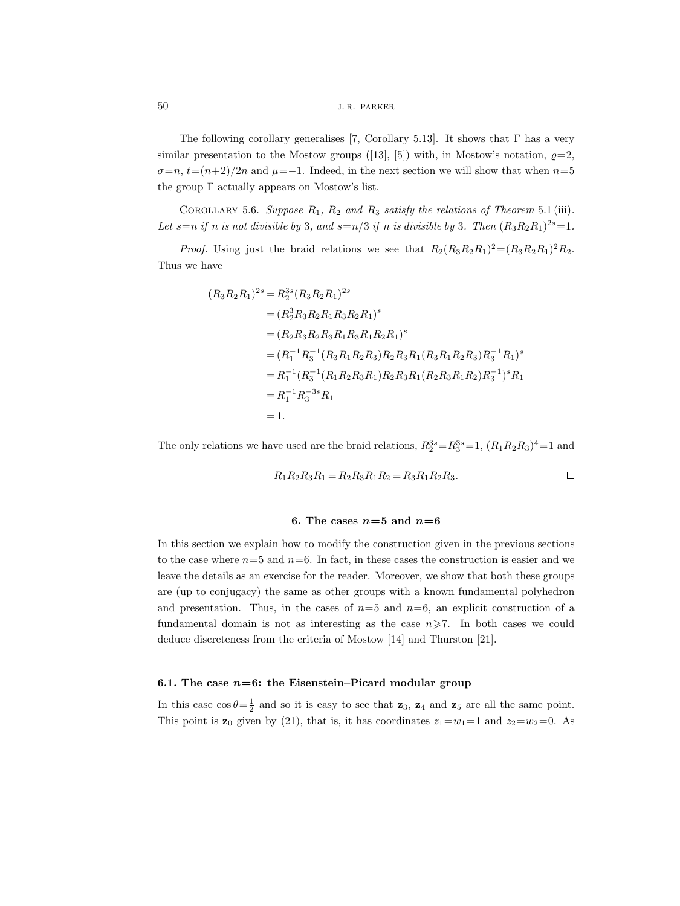The following corollary generalises [7, Corollary 5.13]. It shows that  $\Gamma$  has a very similar presentation to the Mostow groups ([13], [5]) with, in Mostow's notation,  $\rho=2$ ,  $\sigma=n, t=(n+2)/2n$  and  $\mu=-1$ . Indeed, in the next section we will show that when  $n=5$ the group  $\Gamma$  actually appears on Mostow's list.

COROLLARY 5.6. Suppose  $R_1$ ,  $R_2$  and  $R_3$  satisfy the relations of Theorem 5.1 (iii). Let  $s=n$  *if* n *is not divisible by* 3*, and*  $s=n/3$  *if* n *is divisible by* 3*. Then*  $(R_3R_2R_1)^{2s}=1$ *.* 

*Proof.* Using just the braid relations we see that  $R_2(R_3R_2R_1)^2 = (R_3R_2R_1)^2R_2$ . Thus we have

$$
(R_3R_2R_1)^{2s} = R_2^{3s} (R_3R_2R_1)^{2s}
$$
  
=  $(R_2^3R_3R_2R_1R_3R_2R_1)^s$   
=  $(R_2R_3R_2R_3R_1R_3R_1R_2R_1)^s$   
=  $(R_1^{-1}R_3^{-1}(R_3R_1R_2R_3)R_2R_3R_1(R_3R_1R_2R_3)R_3^{-1}R_1)^s$   
=  $R_1^{-1}(R_3^{-1}(R_1R_2R_3R_1)R_2R_3R_1(R_2R_3R_1R_2)R_3^{-1})^sR_1$   
=  $R_1^{-1}R_3^{-3s}R_1$   
= 1.

The only relations we have used are the braid relations,  $R_2^{3s} = R_3^{3s} = 1$ ,  $(R_1R_2R_3)^4 = 1$  and

$$
R_1 R_2 R_3 R_1 = R_2 R_3 R_1 R_2 = R_3 R_1 R_2 R_3.
$$

#### **6.** The cases  $n=5$  and  $n=6$

In this section we explain how to modify the construction given in the previous sections to the case where  $n=5$  and  $n=6$ . In fact, in these cases the construction is easier and we leave the details as an exercise for the reader. Moreover, we show that both these groups are (up to conjugacy) the same as other groups with a known fundamental polyhedron and presentation. Thus, in the cases of  $n=5$  and  $n=6$ , an explicit construction of a fundamental domain is not as interesting as the case  $n\geq 7$ . In both cases we could deduce discreteness from the criteria of Mostow [14] and Thurston [21].

# **6.1. The case** *n***=6: the Eisenstein–Picard modular group**

In this case  $\cos \theta = \frac{1}{2}$  and so it is easy to see that **z**<sub>3</sub>, **z**<sub>4</sub> and **z**<sub>5</sub> are all the same point. This point is  $z_0$  given by (21), that is, it has coordinates  $z_1 = w_1 = 1$  and  $z_2 = w_2 = 0$ . As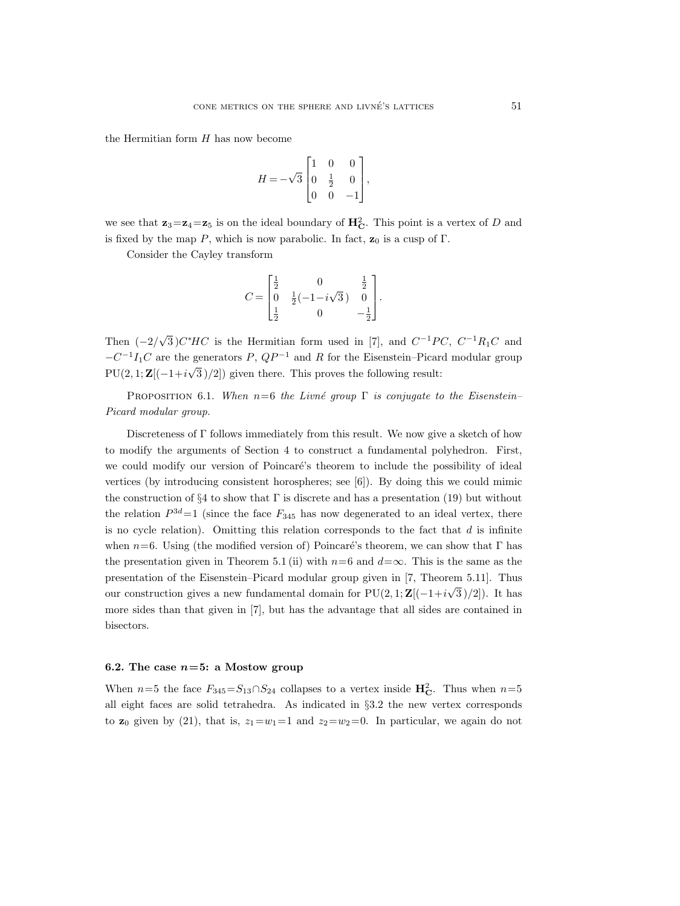the Hermitian form  $H$  has now become

$$
H = -\sqrt{3} \begin{bmatrix} 1 & 0 & 0 \\ 0 & \frac{1}{2} & 0 \\ 0 & 0 & -1 \end{bmatrix},
$$

we see that  $z_3 = z_4 = z_5$  is on the ideal boundary of  $H_C^2$ . This point is a vertex of D and is fixed by the map P, which is now parabolic. In fact,  $\mathbf{z}_0$  is a cusp of  $\Gamma$ .

Consider the Cayley transform

$$
C = \begin{bmatrix} \frac{1}{2} & 0 & \frac{1}{2} \\ 0 & \frac{1}{2}(-1 - i\sqrt{3}) & 0 \\ \frac{1}{2} & 0 & -\frac{1}{2} \end{bmatrix}.
$$

Then  $(-2/\sqrt{3})C^*HC$  is the Hermitian form used in [7], and  $C^{-1}PC$ ,  $C^{-1}R_1C$  and  $-C^{-1}I_1C$  are the generators P,  $QP^{-1}$  and R for the Eisenstein–Picard modular group  $PU(2, 1; \mathbf{Z}[(-1+i\sqrt{3})/2])$  given there. This proves the following result:

Proposition 6.1. *When* n=6 *the Livn´e group* Γ *is conjugate to the Eisenstein– Picard modular group.*

Discreteness of Γ follows immediately from this result. We now give a sketch of how to modify the arguments of Section 4 to construct a fundamental polyhedron. First, we could modify our version of Poincaré's theorem to include the possibility of ideal vertices (by introducing consistent horospheres; see [6]). By doing this we could mimic the construction of §4 to show that  $\Gamma$  is discrete and has a presentation (19) but without the relation  $P^{3d}=1$  (since the face  $F_{345}$  has now degenerated to an ideal vertex, there is no cycle relation). Omitting this relation corresponds to the fact that  $d$  is infinite when  $n=6$ . Using (the modified version of) Poincaré's theorem, we can show that Γ has the presentation given in Theorem 5.1 (ii) with  $n=6$  and  $d=\infty$ . This is the same as the presentation of the Eisenstein–Picard modular group given in [7, Theorem 5.11]. Thus our construction gives a new fundamental domain for PU(2, 1; **<sup>Z</sup>**[(−1+<sup>i</sup> <sup>√</sup>3 )/2]). It has more sides than that given in [7], but has the advantage that all sides are contained in bisectors.

## **6.2.** The case  $n=5$ : a Mostow group

When  $n=5$  the face  $F_{345}=S_{13}\cap S_{24}$  collapses to a vertex inside  $\mathbf{H}_{\mathbf{C}}^2$ . Thus when  $n=5$ all eight faces are solid tetrahedra. As indicated in §3.2 the new vertex corresponds to **z**<sub>0</sub> given by (21), that is,  $z_1 = w_1 = 1$  and  $z_2 = w_2 = 0$ . In particular, we again do not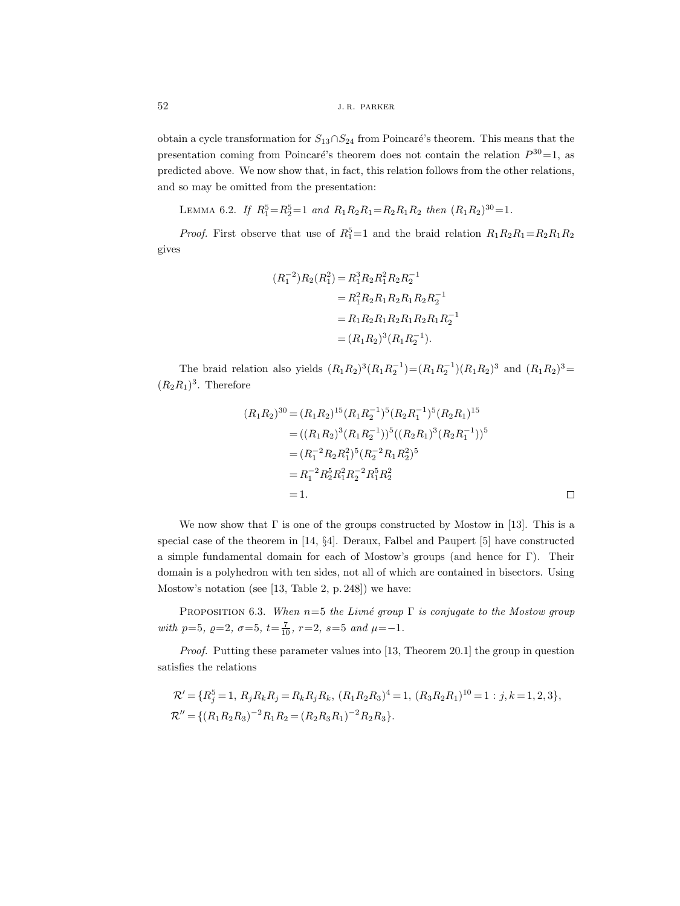obtain a cycle transformation for  $S_{13} \cap S_{24}$  from Poincaré's theorem. This means that the presentation coming from Poincaré's theorem does not contain the relation  $P^{30}=1$ , as predicted above. We now show that, in fact, this relation follows from the other relations, and so may be omitted from the presentation:

LEMMA 6.2. If  $R_1^5 = R_2^5 = 1$  and  $R_1 R_2 R_1 = R_2 R_1 R_2$  then  $(R_1 R_2)^{30} = 1$ .

*Proof.* First observe that use of  $R_1^5 = 1$  and the braid relation  $R_1R_2R_1 = R_2R_1R_2$ gives

$$
(R_1^{-2})R_2(R_1^2) = R_1^3 R_2 R_1^2 R_2 R_2^{-1}
$$
  
=  $R_1^2 R_2 R_1 R_2 R_1 R_2 R_2^{-1}$   
=  $R_1 R_2 R_1 R_2 R_1 R_2 R_1 R_2^{-1}$   
=  $(R_1 R_2)^3 (R_1 R_2^{-1}).$ 

The braid relation also yields  $(R_1R_2)^3(R_1R_2^{-1}) = (R_1R_2)^1(R_1R_2)^3$  and  $(R_1R_2)^3 =$  $(R_2R_1)^3$ . Therefore

$$
(R_1R_2)^{30} = (R_1R_2)^{15} (R_1R_2^{-1})^5 (R_2R_1^{-1})^5 (R_2R_1)^{15}
$$
  
=  $((R_1R_2)^3 (R_1R_2^{-1}))^5 ((R_2R_1)^3 (R_2R_1^{-1}))^5$   
=  $(R_1^{-2}R_2R_1^2)^5 (R_2^{-2}R_1R_2^2)^5$   
=  $R_1^{-2}R_2^5R_1^2R_2^{-2}R_1^5R_2^2$   
= 1.

We now show that  $\Gamma$  is one of the groups constructed by Mostow in [13]. This is a special case of the theorem in [14, §4]. Deraux, Falbel and Paupert [5] have constructed a simple fundamental domain for each of Mostow's groups (and hence for Γ). Their domain is a polyhedron with ten sides, not all of which are contained in bisectors. Using Mostow's notation (see [13, Table 2, p. 248]) we have:

Proposition 6.3. *When* n=5 *the Livn´e group* Γ *is conjugate to the Mostow group*  $with$   $p=5$ *,*  $\varrho=2$ *,*  $\sigma=5$ *,*  $t=\frac{7}{10}$ *,*  $r=2$ *,*  $s=5$  *and*  $\mu=-1$ *.* 

*Proof.* Putting these parameter values into [13, Theorem 20.1] the group in question satisfies the relations

$$
\mathcal{R}' = \{R_j^5 = 1, R_j R_k R_j = R_k R_j R_k, (R_1 R_2 R_3)^4 = 1, (R_3 R_2 R_1)^{10} = 1 : j, k = 1, 2, 3\},
$$
  

$$
\mathcal{R}'' = \{(R_1 R_2 R_3)^{-2} R_1 R_2 = (R_2 R_3 R_1)^{-2} R_2 R_3\}.
$$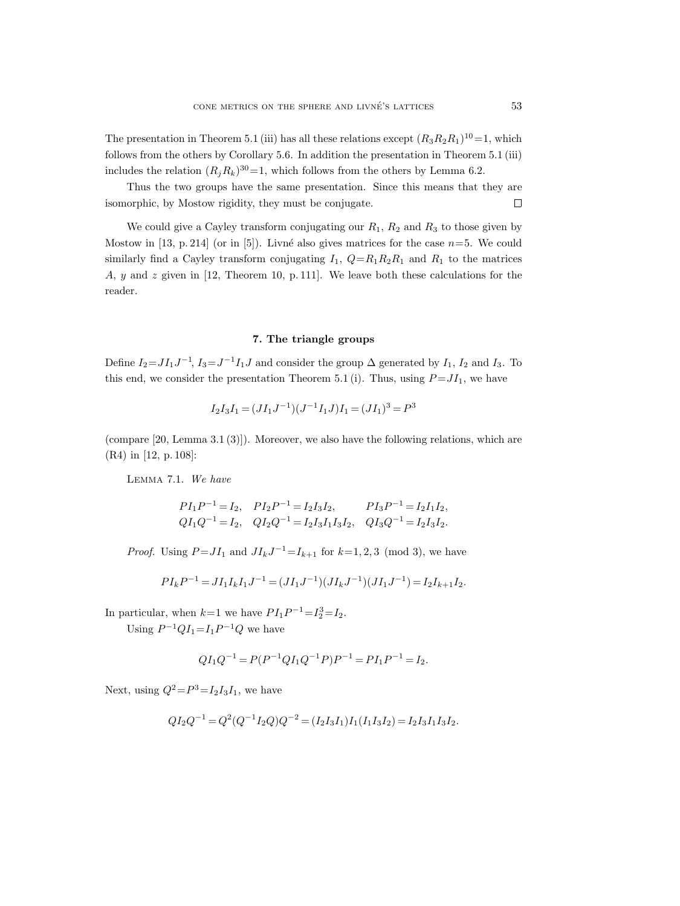The presentation in Theorem 5.1 (iii) has all these relations except  $(R_3R_2R_1)^{10}=1$ , which follows from the others by Corollary 5.6. In addition the presentation in Theorem 5.1 (iii) includes the relation  $(R_iR_k)^{30}=1$ , which follows from the others by Lemma 6.2.

Thus the two groups have the same presentation. Since this means that they are isomorphic, by Mostow rigidity, they must be conjugate.  $\Box$ 

We could give a Cayley transform conjugating our  $R_1$ ,  $R_2$  and  $R_3$  to those given by Mostow in [13, p. 214] (or in [5]). Livné also gives matrices for the case  $n=5$ . We could similarly find a Cayley transform conjugating  $I_1$ ,  $Q=R_1R_2R_1$  and  $R_1$  to the matrices A, y and z given in [12, Theorem 10, p. 111]. We leave both these calculations for the reader.

# **7. The triangle groups**

Define  $I_2 = J I_1 J^{-1}$ ,  $I_3 = J^{-1} I_1 J$  and consider the group  $\Delta$  generated by  $I_1$ ,  $I_2$  and  $I_3$ . To this end, we consider the presentation Theorem 5.1 (i). Thus, using  $P = JI_1$ , we have

$$
I_2 I_3 I_1 = (JI_1 J^{-1})(J^{-1} I_1 J) I_1 = (JI_1)^3 = P^3
$$

(compare [20, Lemma 3.1 (3)]). Moreover, we also have the following relations, which are (R4) in [12, p. 108]:

Lemma 7.1. *We have*

$$
PI_1P^{-1} = I_2, \quad PI_2P^{-1} = I_2I_3I_2, \quad PI_3P^{-1} = I_2I_1I_2,
$$
  
\n
$$
QI_1Q^{-1} = I_2, \quad QI_2Q^{-1} = I_2I_3I_1I_3I_2, \quad QI_3Q^{-1} = I_2I_3I_2.
$$

*Proof.* Using  $P = JI_1$  and  $JI_kJ^{-1} = I_{k+1}$  for  $k=1,2,3 \pmod{3}$ , we have

$$
PI_k P^{-1} = J I_1 I_k I_1 J^{-1} = (J I_1 J^{-1})(J I_k J^{-1})(J I_1 J^{-1}) = I_2 I_{k+1} I_2.
$$

In particular, when  $k=1$  we have  $PI_1P^{-1} = I_2^3 = I_2$ .

Using  $P^{-1}QI_1 = I_1P^{-1}Q$  we have

$$
QI_1Q^{-1} = P(P^{-1}QI_1Q^{-1}P)P^{-1} = PI_1P^{-1} = I_2.
$$

Next, using  $Q^2 = P^3 = I_2 I_3 I_1$ , we have

$$
QI_2Q^{-1} = Q^2(Q^{-1}I_2Q)Q^{-2} = (I_2I_3I_1)I_1(I_1I_3I_2) = I_2I_3I_1I_3I_2.
$$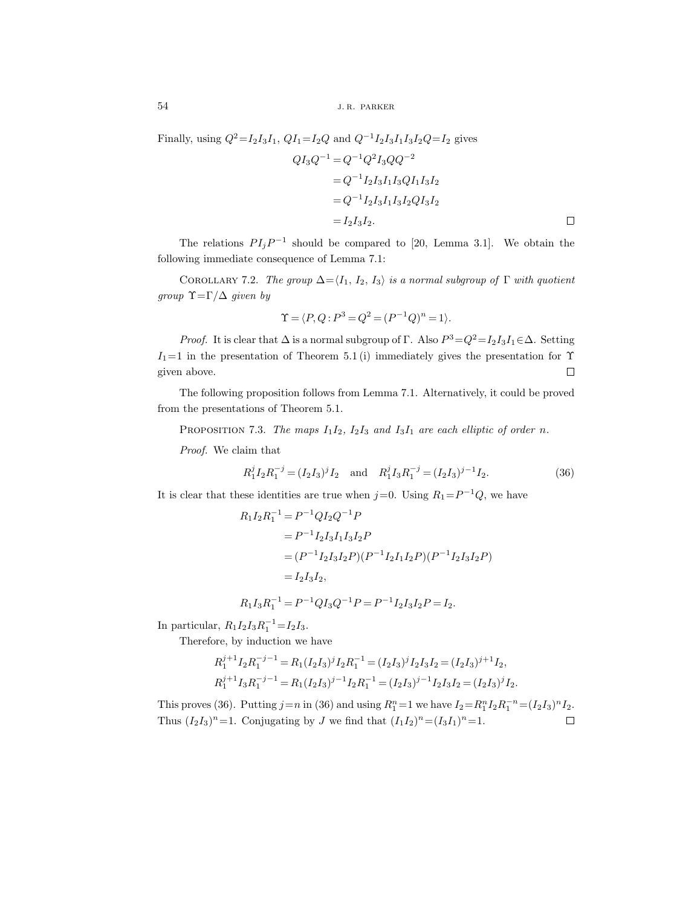Finally, using  $Q^2 = I_2 I_3 I_1$ ,  $QI_1 = I_2 Q$  and  $Q^{-1} I_2 I_3 I_1 I_3 I_2 Q = I_2$  gives

$$
QI_3Q^{-1} = Q^{-1}Q^2I_3QQ^{-2}
$$
  
=  $Q^{-1}I_2I_3I_1I_3QI_1I_3I_2$   
=  $Q^{-1}I_2I_3I_1I_3I_2QI_3I_2$   
=  $I_2I_3I_2$ .

The relations  $PI_iP^{-1}$  should be compared to [20, Lemma 3.1]. We obtain the following immediate consequence of Lemma 7.1:

COROLLARY 7.2. *The group*  $\Delta = \langle I_1, I_2, I_3 \rangle$  *is a normal subgroup of*  $\Gamma$  *with quotient group* Υ=Γ/∆ *given by*

$$
\Upsilon=\langle P,Q\text{ : }P^3=Q^2=(P^{-1}Q)^n=1\rangle.
$$

*Proof.* It is clear that  $\Delta$  is a normal subgroup of Γ. Also  $P^3 = Q^2 = I_2 I_3 I_1 \in \Delta$ . Setting  $I_1=1$  in the presentation of Theorem 5.1 (i) immediately gives the presentation for  $\Upsilon$ given above.  $\Box$ 

The following proposition follows from Lemma 7.1. Alternatively, it could be proved from the presentations of Theorem 5.1.

PROPOSITION 7.3. *The maps*  $I_1I_2$ ,  $I_2I_3$  *and*  $I_3I_1$  *are each elliptic of order n*.

*Proof.* We claim that

$$
R_1^j I_2 R_1^{-j} = (I_2 I_3)^j I_2 \quad \text{and} \quad R_1^j I_3 R_1^{-j} = (I_2 I_3)^{j-1} I_2. \tag{36}
$$

It is clear that these identities are true when  $j=0$ . Using  $R_1=P^{-1}Q$ , we have

$$
R_1 I_2 R_1^{-1} = P^{-1} Q I_2 Q^{-1} P
$$
  
=  $P^{-1} I_2 I_3 I_1 I_3 I_2 P$   
=  $(P^{-1} I_2 I_3 I_2 P)(P^{-1} I_2 I_1 I_2 P)(P^{-1} I_2 I_3 I_2 P)$   
=  $I_2 I_3 I_2$ ,

$$
R_1 I_3 R_1^{-1} = P^{-1} Q I_3 Q^{-1} P = P^{-1} I_2 I_3 I_2 P = I_2.
$$

In particular,  $R_1 I_2 I_3 R_1^{-1} = I_2 I_3$ .

Therefore, by induction we have

$$
\begin{split} R_1^{j+1}I_2R_1^{-j-1} &= R_1(I_2I_3)^jI_2R_1^{-1} = (I_2I_3)^jI_2I_3I_2 = (I_2I_3)^{j+1}I_2, \\ R_1^{j+1}I_3R_1^{-j-1} &= R_1(I_2I_3)^{j-1}I_2R_1^{-1} = (I_2I_3)^{j-1}I_2I_3I_2 = (I_2I_3)^jI_2. \end{split}
$$

This proves (36). Putting  $j=n$  in (36) and using  $R_1^n = 1$  we have  $I_2 = R_1^n I_2 R_1^{-n} = (I_2 I_3)^n I_2$ . Thus  $(I_2I_3)^n=1$ . Conjugating by J we find that  $(I_1I_2)^n=(I_3I_1)^n=1$ .  $\Box$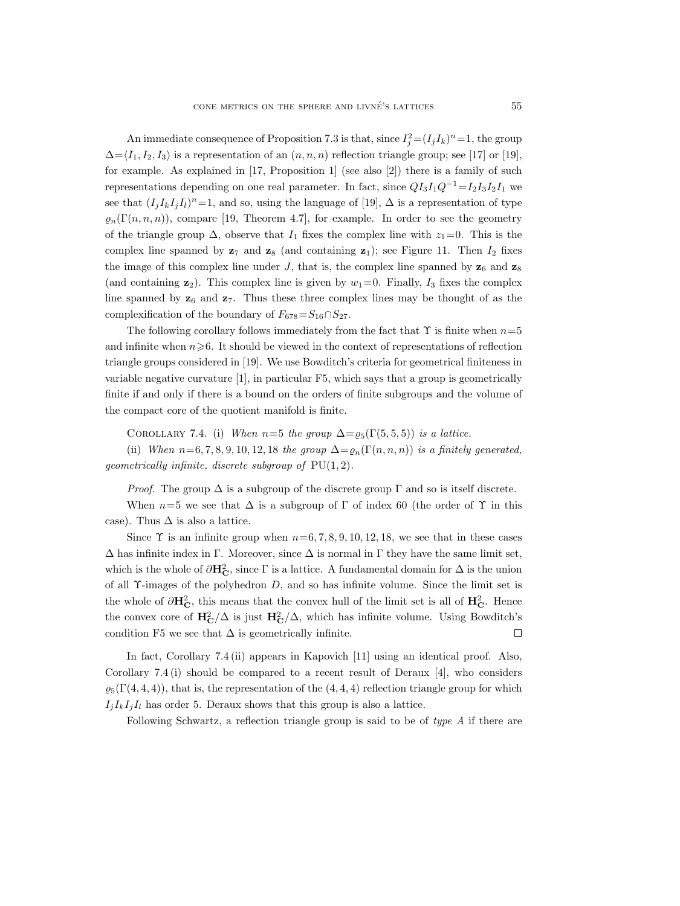An immediate consequence of Proposition 7.3 is that, since  $I_i^2 = (I_j I_k)^n = 1$ , the group  $\Delta = \langle I_1, I_2, I_3 \rangle$  is a representation of an  $(n, n, n)$  reflection triangle group; see [17] or [19], for example. As explained in [17, Proposition 1] (see also [2]) there is a family of such representations depending on one real parameter. In fact, since  $QI_3I_1Q^{-1}=I_2I_3I_2I_1$  we see that  $(I_j I_k I_j I_l)^n=1$ , and so, using the language of [19],  $\Delta$  is a representation of type  $\rho_n(\Gamma(n,n,n))$ , compare [19, Theorem 4.7], for example. In order to see the geometry of the triangle group  $\Delta$ , observe that  $I_1$  fixes the complex line with  $z_1=0$ . This is the complex line spanned by  $z_7$  and  $z_8$  (and containing  $z_1$ ); see Figure 11. Then  $I_2$  fixes the image of this complex line under J, that is, the complex line spanned by  $z_6$  and  $z_8$ (and containing  $\mathbf{z}_2$ ). This complex line is given by  $w_1=0$ . Finally,  $I_3$  fixes the complex line spanned by  $z_6$  and  $z_7$ . Thus these three complex lines may be thought of as the complexification of the boundary of  $F_{678} = S_{16} \cap S_{27}$ .

The following corollary follows immediately from the fact that  $\Upsilon$  is finite when  $n=5$ and infinite when  $n\geqslant 6$ . It should be viewed in the context of representations of reflection triangle groups considered in [19]. We use Bowditch's criteria for geometrical finiteness in variable negative curvature [1], in particular F5, which says that a group is geometrically finite if and only if there is a bound on the orders of finite subgroups and the volume of the compact core of the quotient manifold is finite.

COROLLARY 7.4. (i) *When*  $n=5$  *the group*  $\Delta = \varrho_5(\Gamma(5, 5, 5))$  *is a lattice.* 

(ii) *When*  $n=6, 7, 8, 9, 10, 12, 18$  *the group*  $\Delta = \rho_n(\Gamma(n, n, n))$  *is a finitely generated, geometrically infinite, discrete subgroup of* PU(1, 2)*.*

*Proof.* The group  $\Delta$  is a subgroup of the discrete group  $\Gamma$  and so is itself discrete.

When  $n=5$  we see that  $\Delta$  is a subgroup of  $\Gamma$  of index 60 (the order of  $\Upsilon$  in this case). Thus  $\Delta$  is also a lattice.

Since  $\Upsilon$  is an infinite group when  $n=6, 7, 8, 9, 10, 12, 18$ , we see that in these cases  $\Delta$  has infinite index in Γ. Moreover, since  $\Delta$  is normal in Γ they have the same limit set, which is the whole of  $\partial H_C^2$ , since  $\Gamma$  is a lattice. A fundamental domain for  $\Delta$  is the union of all  $\Upsilon$ -images of the polyhedron D, and so has infinite volume. Since the limit set is the whole of  $\partial \mathbf{H}_{\mathbf{C}}^2$ , this means that the convex hull of the limit set is all of  $\mathbf{H}_{\mathbf{C}}^2$ . Hence the convex core of  $\mathbf{H}_{\mathbf{C}}^2/\Delta$  is just  $\mathbf{H}_{\mathbf{C}}^2/\Delta$ , which has infinite volume. Using Bowditch's condition F5 we see that  $\Delta$  is geometrically infinite.  $\Box$ 

In fact, Corollary 7.4 (ii) appears in Kapovich [11] using an identical proof. Also, Corollary 7.4 (i) should be compared to a recent result of Deraux [4], who considers  $\varrho_5(\Gamma(4,4,4))$ , that is, the representation of the  $(4,4,4)$  reflection triangle group for which  $I_j I_k I_j I_l$  has order 5. Deraux shows that this group is also a lattice.

Following Schwartz, a reflection triangle group is said to be of *type A* if there are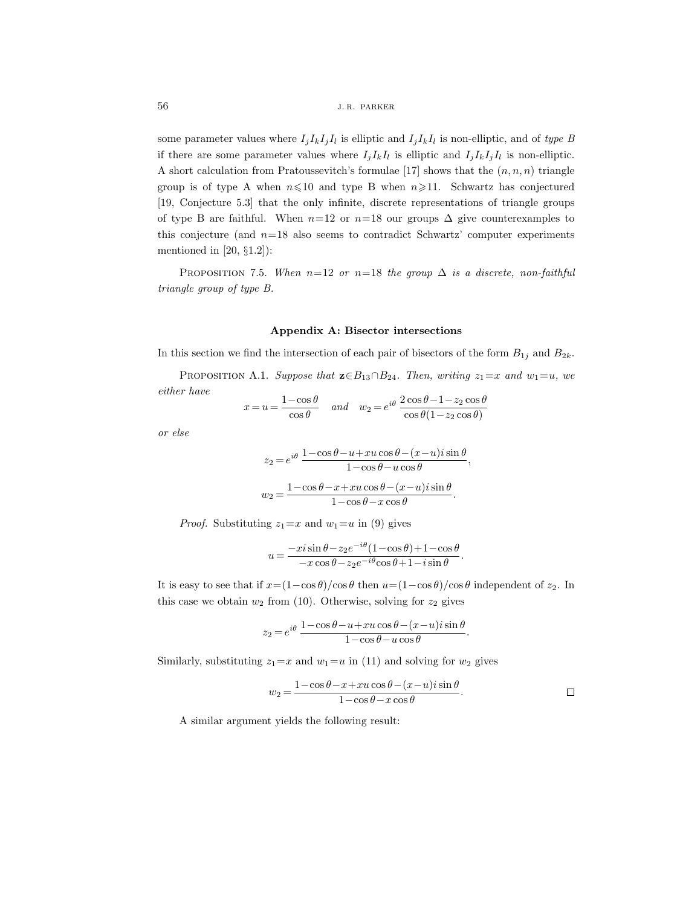some parameter values where  $I_i I_k I_i I_l$  is elliptic and  $I_i I_k I_l$  is non-elliptic, and of *type B* if there are some parameter values where  $I_j I_k I_l$  is elliptic and  $I_j I_k I_j I_l$  is non-elliptic. A short calculation from Pratoussevitch's formulae [17] shows that the  $(n, n, n)$  triangle group is of type A when  $n \leq 10$  and type B when  $n \geq 11$ . Schwartz has conjectured [19, Conjecture 5.3] that the only infinite, discrete representations of triangle groups of type B are faithful. When  $n=12$  or  $n=18$  our groups  $\Delta$  give counterexamples to this conjecture (and  $n=18$  also seems to contradict Schwartz' computer experiments mentioned in  $[20, §1.2]$ :

PROPOSITION 7.5. *When*  $n=12$  *or*  $n=18$  *the group*  $\Delta$  *is a discrete, non-faithful triangle group of type B.*

#### **Appendix A: Bisector intersections**

In this section we find the intersection of each pair of bisectors of the form  $B_{1j}$  and  $B_{2k}$ .

PROPOSITION A.1. *Suppose that*  $\mathbf{z} \in B_{13} \cap B_{24}$ *. Then, writing*  $z_1 = x$  *and*  $w_1 = u$ *, we either have*

$$
x = u = \frac{1 - \cos \theta}{\cos \theta} \quad and \quad w_2 = e^{i\theta} \frac{2 \cos \theta - 1 - z_2 \cos \theta}{\cos \theta (1 - z_2 \cos \theta)}
$$

*or else*

$$
z_2 = e^{i\theta} \frac{1 - \cos \theta - u + xu \cos \theta - (x - u)i \sin \theta}{1 - \cos \theta - u \cos \theta},
$$

$$
w_2 = \frac{1 - \cos \theta - x + xu \cos \theta - (x - u)i \sin \theta}{1 - \cos \theta - x \cos \theta}.
$$

*Proof.* Substituting  $z_1=x$  and  $w_1=u$  in (9) gives

$$
u = \frac{-xi \sin \theta - z_2 e^{-i\theta} (1 - \cos \theta) + 1 - \cos \theta}{-x \cos \theta - z_2 e^{-i\theta} \cos \theta + 1 - i \sin \theta}.
$$

It is easy to see that if  $x=(1-\cos\theta)/\cos\theta$  then  $u=(1-\cos\theta)/\cos\theta$  independent of  $z_2$ . In this case we obtain  $w_2$  from (10). Otherwise, solving for  $z_2$  gives

$$
z_2=e^{i\theta}\,\frac{1-\cos\theta-u+xu\cos\theta-(x-u)i\sin\theta}{1-\cos\theta-u\cos\theta}.
$$

Similarly, substituting  $z_1=x$  and  $w_1=u$  in (11) and solving for  $w_2$  gives

$$
w_2 = \frac{1 - \cos \theta - x + xu \cos \theta - (x - u)i \sin \theta}{1 - \cos \theta - x \cos \theta}.
$$

A similar argument yields the following result: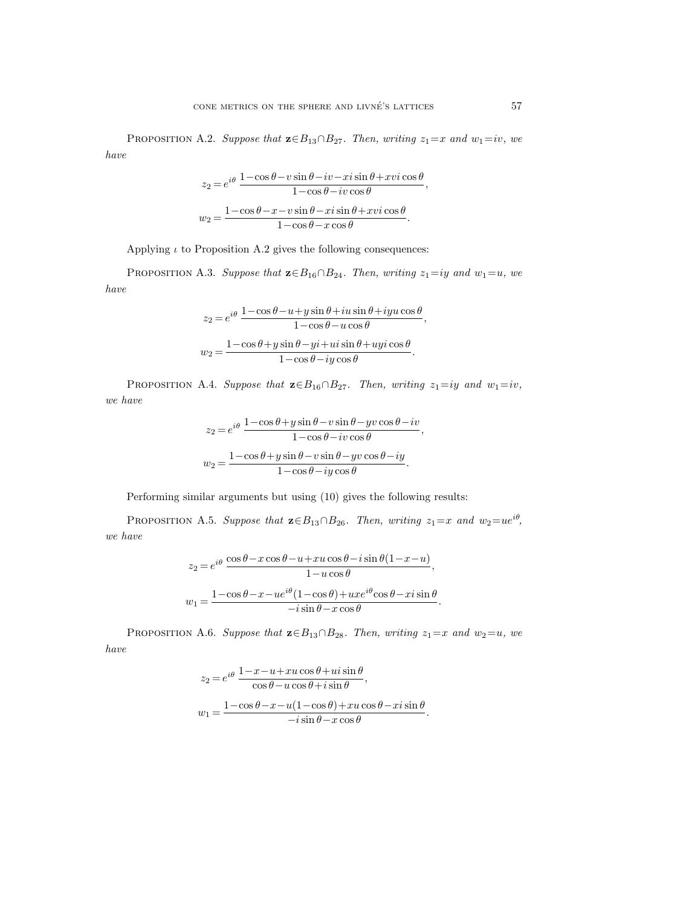PROPOSITION A.2. *Suppose that*  $\mathbf{z} \in B_{13} \cap B_{27}$ *. Then, writing*  $z_1 = x$  *and*  $w_1 = iv$ *, we have*

$$
z_2 = e^{i\theta} \frac{1 - \cos \theta - v \sin \theta - iv - xi \sin \theta + xvi \cos \theta}{1 - \cos \theta - iv \cos \theta},
$$

$$
w_2 = \frac{1 - \cos \theta - x - v \sin \theta - xi \sin \theta + xvi \cos \theta}{1 - \cos \theta - x \cos \theta}.
$$

Applying  $\iota$  to Proposition A.2 gives the following consequences:

PROPOSITION A.3. *Suppose that*  $\mathbf{z} \in B_{16} \cap B_{24}$ *. Then, writing*  $z_1 = iy$  *and*  $w_1 = u$ *, we have*

$$
z_2 = e^{i\theta} \frac{1 - \cos \theta - u + y \sin \theta + i u \sin \theta + i y u \cos \theta}{1 - \cos \theta - u \cos \theta},
$$

$$
w_2 = \frac{1 - \cos \theta + y \sin \theta - yi + u i \sin \theta + u yi \cos \theta}{1 - \cos \theta - iy \cos \theta}.
$$

PROPOSITION A.4. *Suppose that*  $\mathbf{z} \in B_{16} \cap B_{27}$ *. Then, writing*  $z_1 = iy$  *and*  $w_1 = iv$ *, we have*

$$
z_2 = e^{i\theta} \frac{1 - \cos \theta + y \sin \theta - v \sin \theta - yv \cos \theta - iv}{1 - \cos \theta - iv \cos \theta},
$$

$$
w_2 = \frac{1 - \cos \theta + y \sin \theta - v \sin \theta - yv \cos \theta - iy}{1 - \cos \theta - iy \cos \theta}.
$$

Performing similar arguments but using (10) gives the following results:

PROPOSITION A.5. *Suppose that*  $\mathbf{z} \in B_{13} \cap B_{26}$ *. Then, writing*  $z_1 = x$  *and*  $w_2 = ue^{i\theta}$ *, we have*

$$
z_2 = e^{i\theta} \frac{\cos \theta - x \cos \theta - u + xu \cos \theta - i \sin \theta (1 - x - u)}{1 - u \cos \theta},
$$

$$
w_1 = \frac{1 - \cos \theta - x - ue^{i\theta} (1 - \cos \theta) + uxe^{i\theta} \cos \theta - xi \sin \theta}{-i \sin \theta - x \cos \theta}.
$$

PROPOSITION A.6. *Suppose that*  $\mathbf{z} \in B_{13} \cap B_{28}$ *. Then, writing*  $z_1 = x$  *and*  $w_2 = u$ *, we have*

$$
z_2 = e^{i\theta} \frac{1 - x - u + xu\cos\theta + ui\sin\theta}{\cos\theta - u\cos\theta + i\sin\theta},
$$
  

$$
w_1 = \frac{1 - \cos\theta - x - u(1 - \cos\theta) + xu\cos\theta - xi\sin\theta}{-i\sin\theta - x\cos\theta}.
$$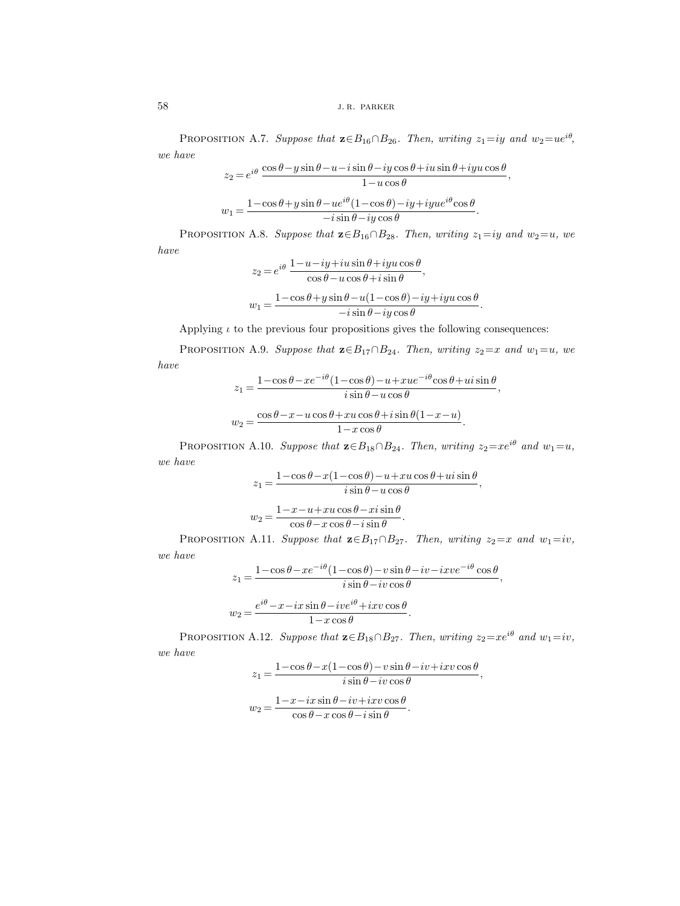PROPOSITION A.7. *Suppose that*  $\mathbf{z} \in B_{16} \cap B_{26}$ *. Then, writing*  $z_1 = iy$  *and*  $w_2 = ue^{i\theta}$ *, we have*

$$
z_2 = e^{i\theta} \frac{\cos \theta - y \sin \theta - u - i \sin \theta - iy \cos \theta + i u \sin \theta + iyu \cos \theta}{1 - u \cos \theta},
$$

$$
w_1 = \frac{1 - \cos \theta + y \sin \theta - u e^{i\theta} (1 - \cos \theta) - iy + iyu e^{i\theta} \cos \theta}{-i \sin \theta - iy \cos \theta}.
$$

PROPOSITION A.8. *Suppose that*  $\mathbf{z} \in B_{16} \cap B_{28}$ *. Then, writing*  $z_1 = iy$  *and*  $w_2 = u$ *, we have*

$$
z_2 = e^{i\theta} \frac{1 - u - iy + iu \sin \theta + iyu \cos \theta}{\cos \theta - u \cos \theta + i \sin \theta},
$$

$$
w_1 = \frac{1 - \cos \theta + y \sin \theta - u(1 - \cos \theta) - iy + iyu \cos \theta}{-i \sin \theta - iy \cos \theta}.
$$

Applying  $\iota$  to the previous four propositions gives the following consequences:

PROPOSITION A.9. *Suppose that*  $\mathbf{z} \in B_{17} \cap B_{24}$ *. Then, writing*  $z_2 = x$  *and*  $w_1 = u$ *, we have*

$$
z_1 = \frac{1 - \cos \theta - xe^{-i\theta} (1 - \cos \theta) - u + xue^{-i\theta} \cos \theta + ui \sin \theta}{i \sin \theta - u \cos \theta},
$$

$$
w_2 = \frac{\cos \theta - x - u \cos \theta + xu \cos \theta + i \sin \theta (1 - x - u)}{1 - x \cos \theta}.
$$

PROPOSITION A.10. *Suppose that*  $\mathbf{z} \in B_{18} \cap B_{24}$ *. Then, writing*  $z_2 = xe^{i\theta}$  *and*  $w_1 = u$ *, we have*

$$
z_1 = \frac{1 - \cos \theta - x(1 - \cos \theta) - u + xu \cos \theta + ui \sin \theta}{i \sin \theta - u \cos \theta},
$$

$$
w_2 = \frac{1 - x - u + xu \cos \theta - xi \sin \theta}{\cos \theta - x \cos \theta - i \sin \theta}.
$$

PROPOSITION A.11. *Suppose that*  $\mathbf{z} \in B_{17} \cap B_{27}$ *. Then, writing*  $z_2 = x$  *and*  $w_1 = iv$ *, we have*

$$
z_1 = \frac{1 - \cos \theta - xe^{-i\theta} (1 - \cos \theta) - v \sin \theta - iv - ixve^{-i\theta} \cos \theta}{i \sin \theta - iv \cos \theta},
$$

$$
w_2 = \frac{e^{i\theta} - x - ix \sin \theta - ive^{i\theta} + ixv \cos \theta}{1 - x \cos \theta}.
$$

PROPOSITION A.12. *Suppose that*  $\mathbf{z} \in B_{18} \cap B_{27}$ *. Then, writing*  $z_2 = xe^{i\theta}$  *and*  $w_1 = iv$ *, we have*

$$
z_1 = \frac{1 - \cos \theta - x(1 - \cos \theta) - v \sin \theta - iv + ixv \cos \theta}{i \sin \theta - iv \cos \theta},
$$

$$
w_2 = \frac{1 - x - ix \sin \theta - iv + ixv \cos \theta}{\cos \theta - x \cos \theta - i \sin \theta}.
$$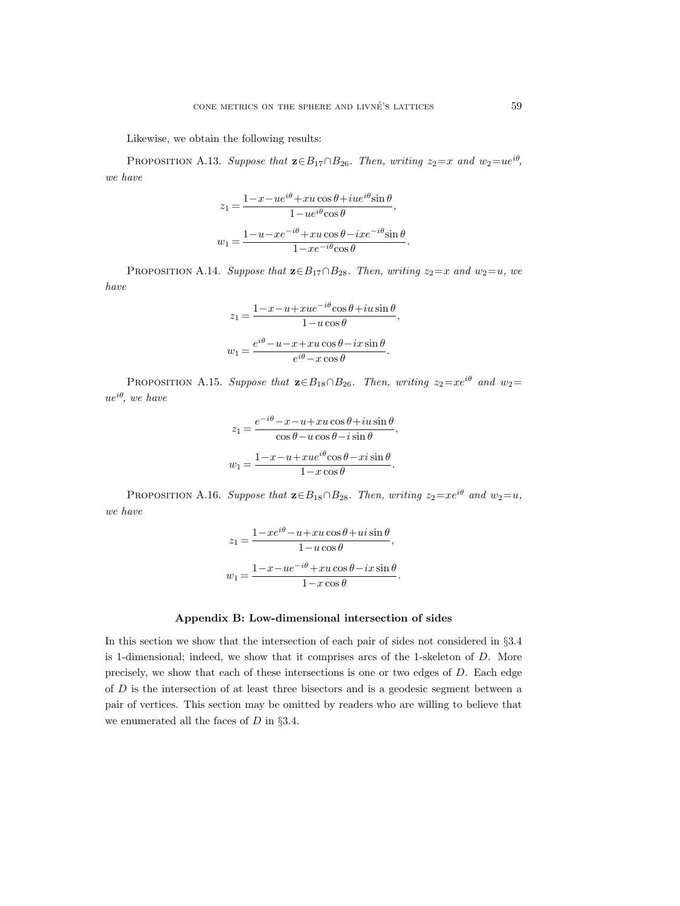Likewise, we obtain the following results:

PROPOSITION A.13. *Suppose that*  $\mathbf{z} \in B_{17} \cap B_{26}$ *. Then, writing*  $z_2 = x$  *and*  $w_2 = ue^{i\theta}$ *, we have*

$$
\begin{aligned} z_1 &= \frac{1 - x - ue^{i\theta} + xu\cos\theta + iue^{i\theta}\sin\theta}{1 - ue^{i\theta}\cos\theta}, \\ w_1 &= \frac{1 - u - xe^{-i\theta} + xu\cos\theta - ixe^{-i\theta}\sin\theta}{1 - xe^{-i\theta}\cos\theta}. \end{aligned}
$$

PROPOSITION A.14. *Suppose that*  $\mathbf{z} \in B_{17} \cap B_{28}$ *. Then, writing*  $z_2 = x$  *and*  $w_2 = u$ *, we have*

$$
z_1 = \frac{1 - x - u + xue^{-i\theta}\cos\theta + iu\sin\theta}{1 - u\cos\theta},
$$

$$
w_1 = \frac{e^{i\theta} - u - x + xu\cos\theta - ix\sin\theta}{e^{i\theta} - x\cos\theta}.
$$

PROPOSITION A.15. *Suppose that*  $\mathbf{z} \in B_{18} \cap B_{26}$ *. Then, writing*  $z_2 = xe^{i\theta}$  *and*  $w_2 =$ ueiθ*, we have*

$$
z_1 = \frac{e^{-i\theta} - x - u + xu\cos\theta + iu\sin\theta}{\cos\theta - u\cos\theta - i\sin\theta},
$$

$$
w_1 = \frac{1 - x - u + xu e^{i\theta}\cos\theta - xi\sin\theta}{1 - x\cos\theta}.
$$

PROPOSITION A.16. *Suppose that*  $\mathbf{z} \in B_{18} \cap B_{28}$ *. Then, writing*  $z_2 = xe^{i\theta}$  *and*  $w_2 = u$ *, we have*

$$
z_1 = \frac{1 - xe^{i\theta} - u + xu\cos\theta + ui\sin\theta}{1 - u\cos\theta},
$$

$$
w_1 = \frac{1 - x - ue^{-i\theta} + xu\cos\theta - ix\sin\theta}{1 - x\cos\theta}.
$$

#### **Appendix B: Low-dimensional intersection of sides**

In this section we show that the intersection of each pair of sides not considered in §3.4 is 1-dimensional; indeed, we show that it comprises arcs of the 1-skeleton of  $D$ . More precisely, we show that each of these intersections is one or two edges of D. Each edge of D is the intersection of at least three bisectors and is a geodesic segment between a pair of vertices. This section may be omitted by readers who are willing to believe that we enumerated all the faces of  $D$  in §3.4.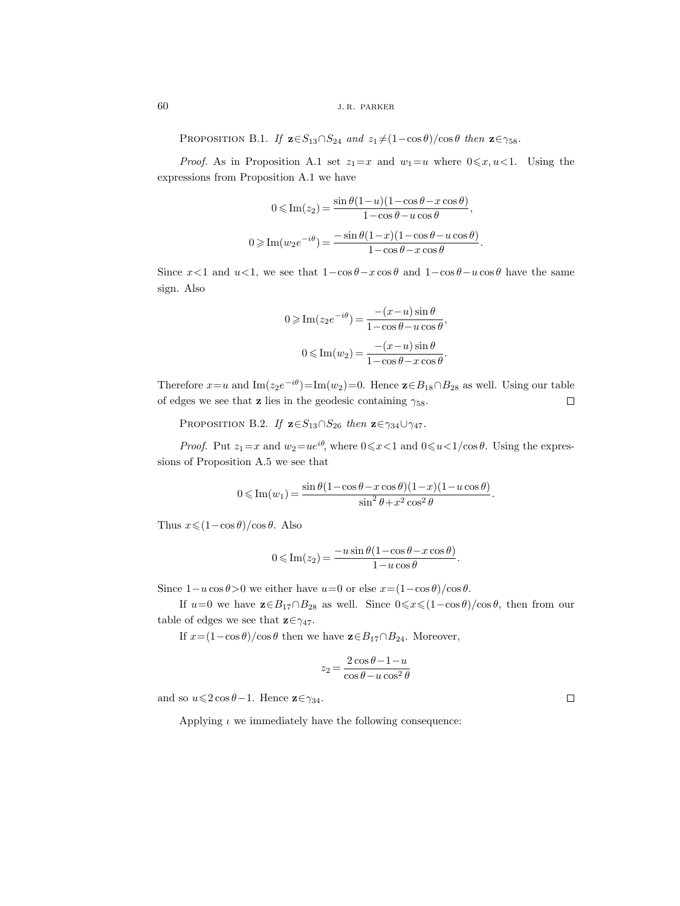PROPOSITION B.1. *If*  $\mathbf{z} \in S_{13} \cap S_{24}$  *and*  $z_1 \neq (1-\cos \theta)/\cos \theta$  *then*  $\mathbf{z} \in \gamma_{58}$ *.* 

*Proof.* As in Proposition A.1 set  $z_1 = x$  and  $w_1 = u$  where  $0 \le x, u < 1$ . Using the expressions from Proposition A.1 we have

$$
0 \leqslant \text{Im}(z_2) = \frac{\sin \theta (1 - u)(1 - \cos \theta - x \cos \theta)}{1 - \cos \theta - u \cos \theta},
$$
  

$$
0 \geqslant \text{Im}(w_2 e^{-i\theta}) = \frac{-\sin \theta (1 - x)(1 - \cos \theta - u \cos \theta)}{1 - \cos \theta - x \cos \theta}.
$$

Since  $x<1$  and  $u<1$ , we see that  $1-\cos\theta-x\cos\theta$  and  $1-\cos\theta-u\cos\theta$  have the same sign. Also

$$
0 \ge \operatorname{Im}(z_2 e^{-i\theta}) = \frac{-(x-u)\sin\theta}{1-\cos\theta-u\cos\theta},
$$

$$
0 \le \operatorname{Im}(w_2) = \frac{-(x-u)\sin\theta}{1-\cos\theta-x\cos\theta}.
$$

Therefore  $x=u$  and  $\text{Im}(z_2e^{-i\theta})=\text{Im}(w_2)=0$ . Hence  $\mathbf{z}\in B_{18}\cap B_{28}$  as well. Using our table of edges we see that **z** lies in the geodesic containing  $\gamma_{58}$ .  $\Box$ 

PROPOSITION B.2. *If*  $\mathbf{z} \in S_{13} \cap S_{26}$  *then*  $\mathbf{z} \in \gamma_{34} \cup \gamma_{47}$ *.* 

*Proof.* Put  $z_1 = x$  and  $w_2 = ue^{i\theta}$ , where  $0 \le x < 1$  and  $0 \le u < 1/\cos \theta$ . Using the expressions of Proposition A.5 we see that

$$
0\leqslant \operatorname{Im}(w_1)=\frac{\sin\theta(1-\cos\theta-x\cos\theta)(1-x)(1-u\cos\theta)}{\sin^2\theta+x^2\cos^2\theta}.
$$

Thus  $x \leq (1 - \cos \theta)/\cos \theta$ . Also

$$
0 \leqslant \operatorname{Im}(z_2) = \frac{-u \sin \theta (1 - \cos \theta - x \cos \theta)}{1 - u \cos \theta}.
$$

Since  $1-u\cos\theta>0$  we either have  $u=0$  or else  $x=(1-\cos\theta)/\cos\theta$ .

If  $u=0$  we have  $\mathbf{z} \in B_{17} \cap B_{28}$  as well. Since  $0 \le x \le (1-\cos\theta)/\cos\theta$ , then from our table of edges we see that  $\mathbf{z} \in \gamma_{47}$ .

If  $x=(1-\cos\theta)/\cos\theta$  then we have  $\mathbf{z}\in B_{17}\cap B_{24}$ . Moreover,

$$
z_2=\frac{2\cos\theta-1-u}{\cos\theta-u\cos^2\theta}
$$

and so  $u \leqslant 2 \cos \theta - 1$ . Hence  $\mathbf{z} \in \gamma_{34}$ .

Applying  $\iota$  we immediately have the following consequence:

 $\Box$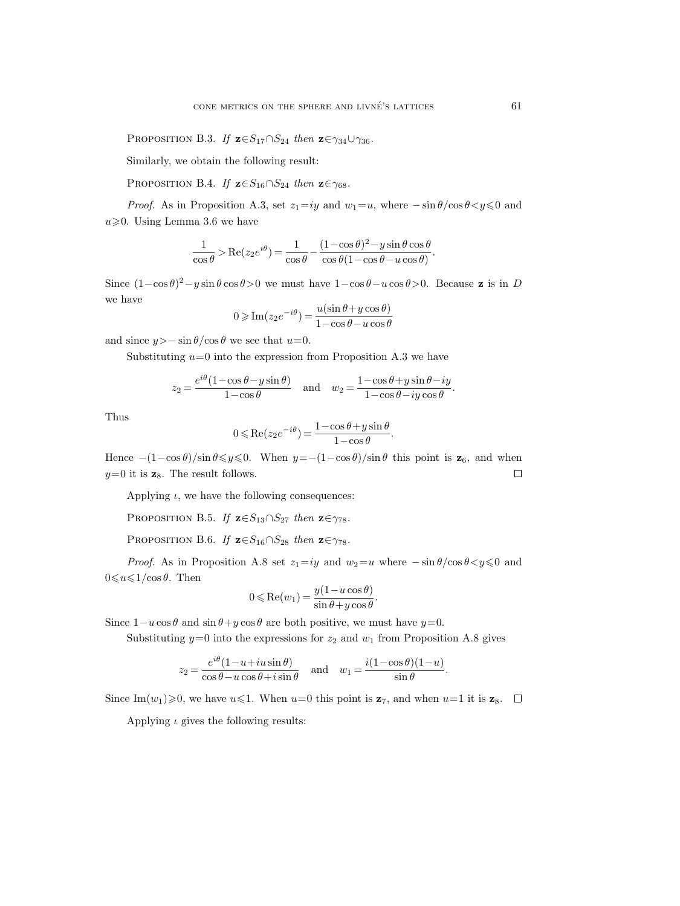PROPOSITION B.3. *If*  $\mathbf{z} \in S_{17} \cap S_{24}$  *then*  $\mathbf{z} \in \gamma_{34} \cup \gamma_{36}$ *.* 

Similarly, we obtain the following result:

PROPOSITION B.4. *If*  $z \in S_{16} \cap S_{24}$  *then*  $z \in \gamma_{68}$ *.* 

*Proof.* As in Proposition A.3, set  $z_1 = iy$  and  $w_1 = u$ , where  $-\sin \theta / \cos \theta < y \le 0$  and  $u \geqslant 0$ . Using Lemma 3.6 we have

$$
\frac{1}{\cos\theta} > \text{Re}(z_2 e^{i\theta}) = \frac{1}{\cos\theta} - \frac{(1-\cos\theta)^2 - y\sin\theta\cos\theta}{\cos\theta(1-\cos\theta - u\cos\theta)}.
$$

Since  $(1-\cos\theta)^2 - y\sin\theta\cos\theta > 0$  we must have  $1-\cos\theta - u\cos\theta > 0$ . Because **z** is in D we have

$$
0 \ge \operatorname{Im}(z_2 e^{-i\theta}) = \frac{u(\sin \theta + y \cos \theta)}{1 - \cos \theta - u \cos \theta}
$$

and since  $y>-\sin\theta/\cos\theta$  we see that  $u=0$ .

Substituting  $u=0$  into the expression from Proposition A.3 we have

$$
z_2 = \frac{e^{i\theta}(1-\cos\theta-y\sin\theta)}{1-\cos\theta} \quad \text{and} \quad w_2 = \frac{1-\cos\theta+y\sin\theta-iy}{1-\cos\theta-iy\cos\theta}.
$$

Thus

$$
0 \le \text{Re}(z_2 e^{-i\theta}) = \frac{1 - \cos \theta + y \sin \theta}{1 - \cos \theta}.
$$

Hence  $-(1-\cos\theta)/\sin\theta \leq y \leq 0$ . When  $y=-(1-\cos\theta)/\sin\theta$  this point is **z**<sub>6</sub>, and when  $y=0$  it is  $z_8$ . The result follows.  $\Box$ 

Applying  $\iota$ , we have the following consequences:

PROPOSITION B.5. *If*  $z \in S_{13} \cap S_{27}$  *then*  $z \in \gamma_{78}$ *.* 

PROPOSITION B.6. *If*  $z \in S_{16} \cap S_{28}$  *then*  $z \in \gamma_{78}$ *.* 

*Proof.* As in Proposition A.8 set  $z_1 = iy$  and  $w_2 = u$  where  $-\sin \theta / \cos \theta < y \le 0$  and  $0 \leqslant u \leqslant 1/\cos \theta$ . Then

$$
0\leqslant\text{Re}(w_1)=\frac{y(1-u\cos\theta)}{\sin\theta+y\cos\theta}.
$$

Since  $1-u\cos\theta$  and  $\sin\theta+y\cos\theta$  are both positive, we must have  $y=0$ .

Substituting  $y=0$  into the expressions for  $z_2$  and  $w_1$  from Proposition A.8 gives

$$
z_2=\frac{e^{i\theta}(1-u+iu\sin\theta)}{\cos\theta-u\cos\theta+i\sin\theta}\quad\text{and}\quad w_1=\frac{i(1-\cos\theta)(1-u)}{\sin\theta}.
$$

Since Im $(w_1) \geq 0$ , we have  $u \leq 1$ . When  $u=0$  this point is  $z_7$ , and when  $u=1$  it is  $z_8$ .

Applying  $\iota$  gives the following results: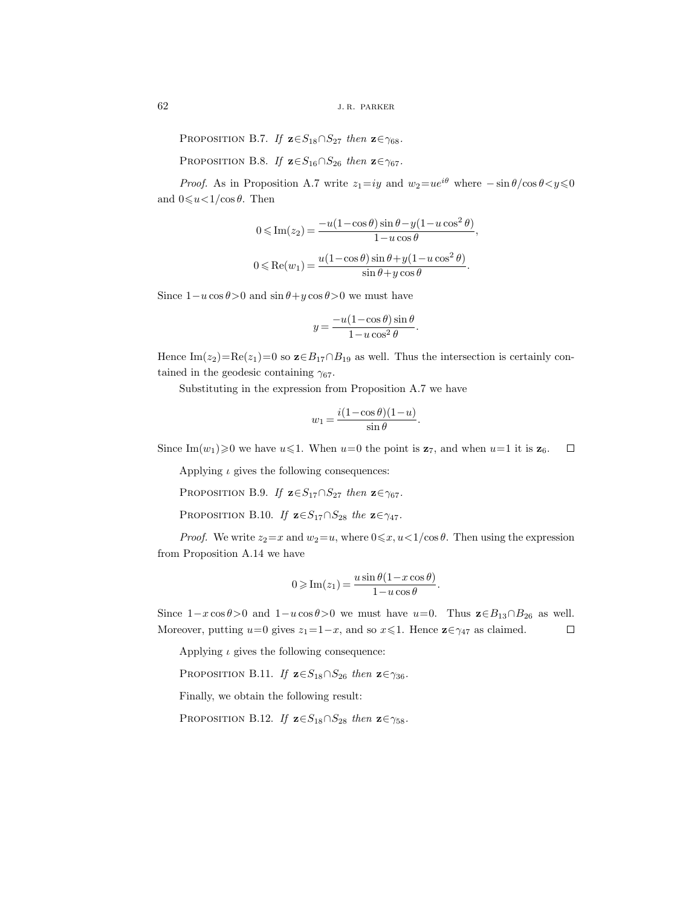PROPOSITION B.7. *If*  $z \in S_{18} \cap S_{27}$  *then*  $z \in \gamma_{68}$ *.* 

PROPOSITION B.8. *If*  $z \in S_{16} \cap S_{26}$  *then*  $z \in \gamma_{67}$ *.* 

*Proof.* As in Proposition A.7 write  $z_1 = iy$  and  $w_2 = ue^{i\theta}$  where  $-\sin \theta / \cos \theta < y \le 0$ and  $0 \le u < 1/\cos \theta$ . Then

$$
0 \leq \operatorname{Im}(z_2) = \frac{-u(1-\cos\theta)\sin\theta - y(1-u\cos^2\theta)}{1-u\cos\theta},
$$
  

$$
0 \leq \operatorname{Re}(w_1) = \frac{u(1-\cos\theta)\sin\theta + y(1-u\cos^2\theta)}{\sin\theta + y\cos\theta}.
$$

Since  $1-u\cos\theta>0$  and  $\sin\theta+y\cos\theta>0$  we must have

$$
y = \frac{-u(1-\cos\theta)\sin\theta}{1-u\cos^2\theta}.
$$

Hence Im( $z_2$ )=Re( $z_1$ )=0 so  $\mathbf{z} \in B_{17} \cap B_{19}$  as well. Thus the intersection is certainly contained in the geodesic containing  $\gamma_{67}$ .

Substituting in the expression from Proposition A.7 we have

$$
w_1 = \frac{i(1-\cos\theta)(1-u)}{\sin\theta}.
$$

Since Im $(w_1) \geq 0$  we have  $u \leq 1$ . When  $u=0$  the point is  $z_7$ , and when  $u=1$  it is  $z_6$ .  $\Box$ 

Applying  $\iota$  gives the following consequences:

PROPOSITION B.9. *If*  $z \in S_{17} \cap S_{27}$  *then*  $z \in \gamma_{67}$ *.* 

PROPOSITION B.10. *If*  $\mathbf{z} \in S_{17} \cap S_{28}$  *the*  $\mathbf{z} \in \gamma_{47}$ *.* 

*Proof.* We write  $z_2 = x$  and  $w_2 = u$ , where  $0 \le x, u < 1/\cos \theta$ . Then using the expression from Proposition A.14 we have

$$
0 \geqslant \operatorname{Im}(z_1) = \frac{u \sin \theta (1 - x \cos \theta)}{1 - u \cos \theta}.
$$

Since  $1-x\cos\theta>0$  and  $1-u\cos\theta>0$  we must have  $u=0$ . Thus  $\mathbf{z}\in B_{13}\cap B_{26}$  as well. Moreover, putting  $u=0$  gives  $z_1=1-x$ , and so  $x\leq 1$ . Hence  $\mathbf{z} \in \gamma_{47}$  as claimed.  $\Box$ 

Applying  $\iota$  gives the following consequence:

PROPOSITION B.11. *If*  $\mathbf{z} \in S_{18} \cap S_{26}$  *then*  $\mathbf{z} \in \gamma_{36}$ *.* 

Finally, we obtain the following result:

PROPOSITION B.12. *If*  $z \in S_{18} \cap S_{28}$  *then*  $z \in \gamma_{58}$ *.*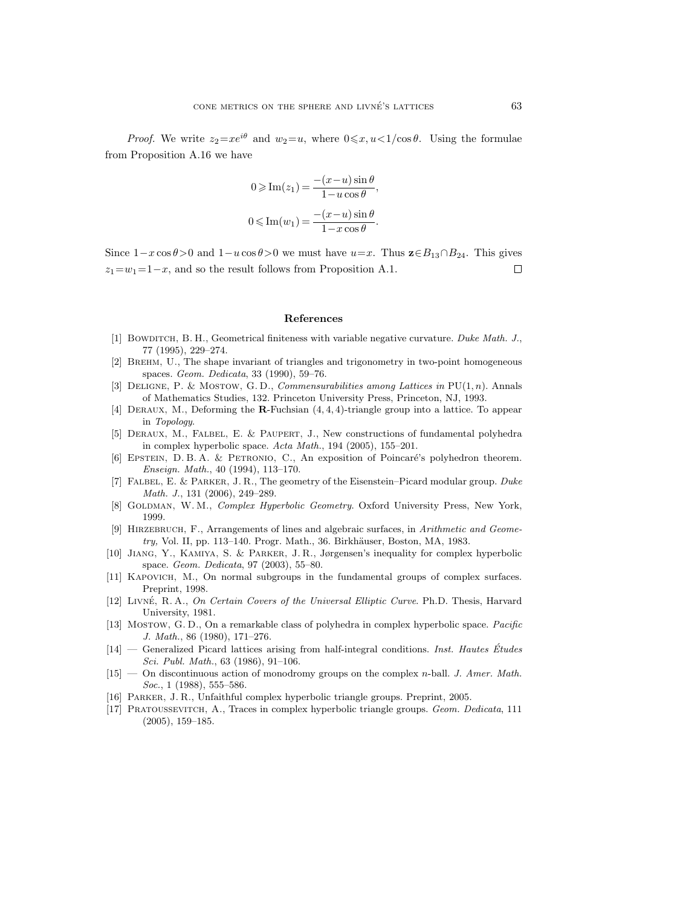*Proof.* We write  $z_2 = xe^{i\theta}$  and  $w_2 = u$ , where  $0 \le x, u < 1/\cos \theta$ . Using the formulae from Proposition A.16 we have

$$
0 \geqslant \operatorname{Im}(z_1) = \frac{-(x-u)\sin\theta}{1-u\cos\theta},
$$
  

$$
0 \leqslant \operatorname{Im}(w_1) = \frac{-(x-u)\sin\theta}{1-x\cos\theta}.
$$

Since  $1-x\cos\theta>0$  and  $1-u\cos\theta>0$  we must have  $u=x$ . Thus  $\mathbf{z}\in B_{13}\cap B_{24}$ . This gives  $z_1=w_1=1-x$ , and so the result follows from Proposition A.1.  $\Box$ 

#### **References**

- [1] BOWDITCH, B. H., Geometrical finiteness with variable negative curvature. Duke Math. J., 77 (1995), 229–274.
- [2] Brehm, U., The shape invariant of triangles and trigonometry in two-point homogeneous spaces. Geom. Dedicata, 33 (1990), 59–76.
- [3] DELIGNE, P. & MOSTOW, G. D., *Commensurabilities among Lattices in*  $PU(1, n)$ . Annals of Mathematics Studies, 132. Princeton University Press, Princeton, NJ, 1993.
- [4] Deraux, M., Deforming the **R**-Fuchsian (4, 4, 4)-triangle group into a lattice. To appear in Topology.
- [5] DERAUX, M., FALBEL, E. & PAUPERT, J., New constructions of fundamental polyhedra in complex hyperbolic space. Acta Math., 194 (2005), 155–201.
- [6] EPSTEIN, D. B. A. & PETRONIO, C., An exposition of Poincaré's polyhedron theorem. Enseign. Math., 40 (1994), 113–170.
- [7] Falbel, E. & Parker, J. R., The geometry of the Eisenstein–Picard modular group. Duke Math. J., 131 (2006), 249–289.
- [8] GOLDMAN, W. M., Complex Hyperbolic Geometry. Oxford University Press, New York, 1999.
- [9] HIRZEBRUCH, F., Arrangements of lines and algebraic surfaces, in Arithmetic and Geome $try,$  Vol. II, pp. 113–140. Progr. Math., 36. Birkhäuser, Boston, MA, 1983.
- [10] Jiang, Y., Kamiya, S. & Parker, J. R., Jørgensen's inequality for complex hyperbolic space. Geom. Dedicata, 97 (2003), 55–80.
- [11] Kapovich, M., On normal subgroups in the fundamental groups of complex surfaces. Preprint, 1998.
- [12] LIVNÉ, R. A., On Certain Covers of the Universal Elliptic Curve. Ph.D. Thesis, Harvard University, 1981.
- [13] Mostow, G. D., On a remarkable class of polyhedra in complex hyperbolic space. Pacific J. Math., 86 (1980), 171–276.
- $[14]$  Generalized Picard lattices arising from half-integral conditions. Inst. Hautes Études Sci. Publ. Math., 63 (1986), 91–106.
- $[15]$  On discontinuous action of monodromy groups on the complex *n*-ball. *J. Amer. Math.*  $Soc., 1$  (1988), 555–586.
- [16] Parker, J. R., Unfaithful complex hyperbolic triangle groups. Preprint, 2005.
- [17] Pratoussevitch, A., Traces in complex hyperbolic triangle groups. Geom. Dedicata, 111 (2005), 159–185.